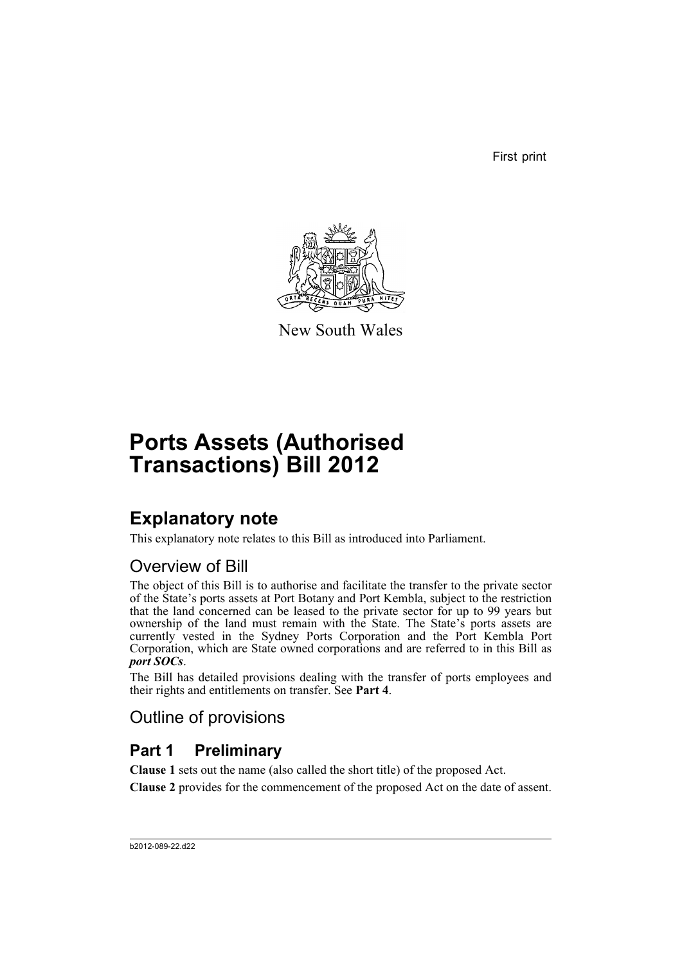First print



New South Wales

# **Ports Assets (Authorised Transactions) Bill 2012**

# **Explanatory note**

This explanatory note relates to this Bill as introduced into Parliament.

## Overview of Bill

The object of this Bill is to authorise and facilitate the transfer to the private sector of the State's ports assets at Port Botany and Port Kembla, subject to the restriction that the land concerned can be leased to the private sector for up to 99 years but ownership of the land must remain with the State. The State's ports assets are currently vested in the Sydney Ports Corporation and the Port Kembla Port Corporation, which are State owned corporations and are referred to in this Bill as *port SOCs*.

The Bill has detailed provisions dealing with the transfer of ports employees and their rights and entitlements on transfer. See **Part 4**.

# Outline of provisions

# **Part 1 Preliminary**

**Clause 1** sets out the name (also called the short title) of the proposed Act.

**Clause 2** provides for the commencement of the proposed Act on the date of assent.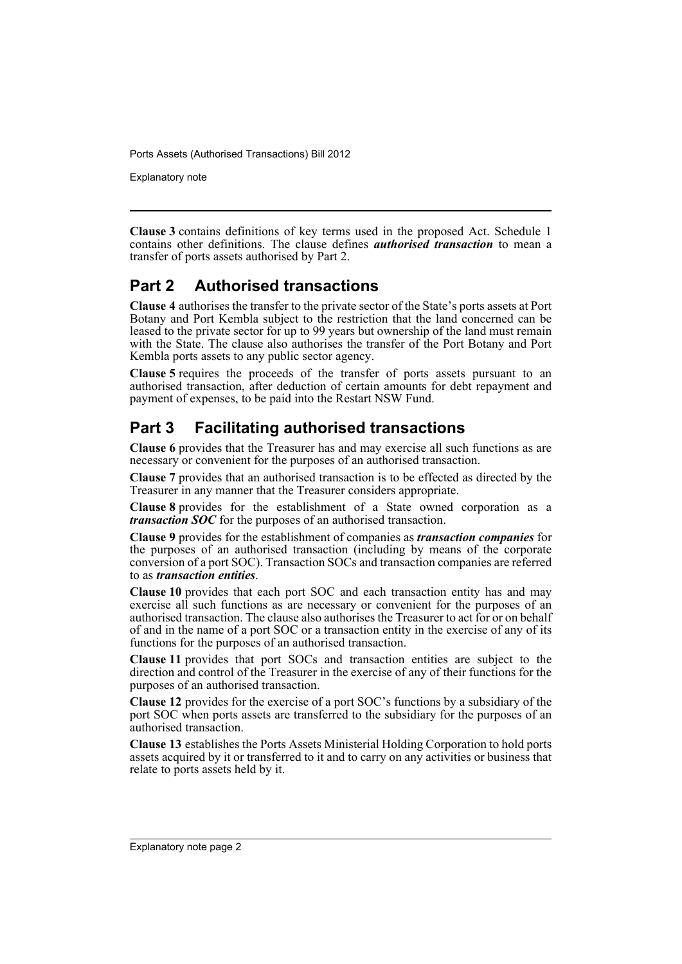Explanatory note

**Clause 3** contains definitions of key terms used in the proposed Act. Schedule 1 contains other definitions. The clause defines *authorised transaction* to mean a transfer of ports assets authorised by Part 2.

### **Part 2 Authorised transactions**

**Clause 4** authorises the transfer to the private sector of the State's ports assets at Port Botany and Port Kembla subject to the restriction that the land concerned can be leased to the private sector for up to 99 years but ownership of the land must remain with the State. The clause also authorises the transfer of the Port Botany and Port Kembla ports assets to any public sector agency.

**Clause 5** requires the proceeds of the transfer of ports assets pursuant to an authorised transaction, after deduction of certain amounts for debt repayment and payment of expenses, to be paid into the Restart NSW Fund.

## **Part 3 Facilitating authorised transactions**

**Clause 6** provides that the Treasurer has and may exercise all such functions as are necessary or convenient for the purposes of an authorised transaction.

**Clause 7** provides that an authorised transaction is to be effected as directed by the Treasurer in any manner that the Treasurer considers appropriate.

**Clause 8** provides for the establishment of a State owned corporation as a *transaction SOC* for the purposes of an authorised transaction.

**Clause 9** provides for the establishment of companies as *transaction companies* for the purposes of an authorised transaction (including by means of the corporate conversion of a port SOC). Transaction SOCs and transaction companies are referred to as *transaction entities*.

**Clause 10** provides that each port SOC and each transaction entity has and may exercise all such functions as are necessary or convenient for the purposes of an authorised transaction. The clause also authorises the Treasurer to act for or on behalf of and in the name of a port SOC or a transaction entity in the exercise of any of its functions for the purposes of an authorised transaction.

**Clause 11** provides that port SOCs and transaction entities are subject to the direction and control of the Treasurer in the exercise of any of their functions for the purposes of an authorised transaction.

**Clause 12** provides for the exercise of a port SOC's functions by a subsidiary of the port SOC when ports assets are transferred to the subsidiary for the purposes of an authorised transaction.

**Clause 13** establishes the Ports Assets Ministerial Holding Corporation to hold ports assets acquired by it or transferred to it and to carry on any activities or business that relate to ports assets held by it.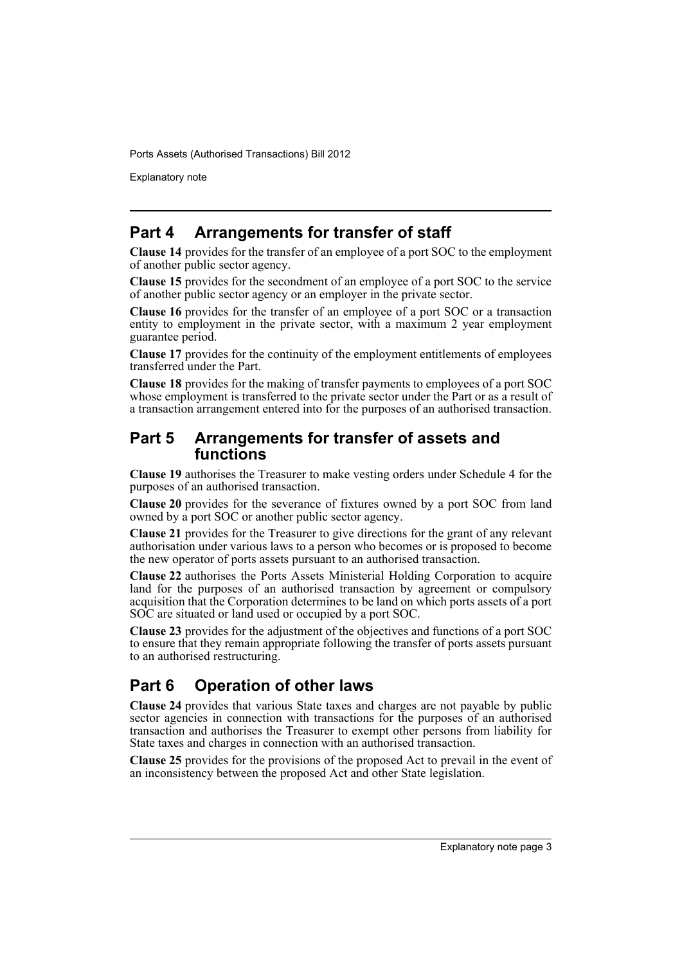Explanatory note

### **Part 4 Arrangements for transfer of staff**

**Clause 14** provides for the transfer of an employee of a port SOC to the employment of another public sector agency.

**Clause 15** provides for the secondment of an employee of a port SOC to the service of another public sector agency or an employer in the private sector.

**Clause 16** provides for the transfer of an employee of a port SOC or a transaction entity to employment in the private sector, with a maximum 2 year employment guarantee period.

**Clause 17** provides for the continuity of the employment entitlements of employees transferred under the Part.

**Clause 18** provides for the making of transfer payments to employees of a port SOC whose employment is transferred to the private sector under the Part or as a result of a transaction arrangement entered into for the purposes of an authorised transaction.

### **Part 5 Arrangements for transfer of assets and functions**

**Clause 19** authorises the Treasurer to make vesting orders under Schedule 4 for the purposes of an authorised transaction.

**Clause 20** provides for the severance of fixtures owned by a port SOC from land owned by a port SOC or another public sector agency.

**Clause 21** provides for the Treasurer to give directions for the grant of any relevant authorisation under various laws to a person who becomes or is proposed to become the new operator of ports assets pursuant to an authorised transaction.

**Clause 22** authorises the Ports Assets Ministerial Holding Corporation to acquire land for the purposes of an authorised transaction by agreement or compulsory acquisition that the Corporation determines to be land on which ports assets of a port SOC are situated or land used or occupied by a port SOC.

**Clause 23** provides for the adjustment of the objectives and functions of a port SOC to ensure that they remain appropriate following the transfer of ports assets pursuant to an authorised restructuring.

### **Part 6 Operation of other laws**

**Clause 24** provides that various State taxes and charges are not payable by public sector agencies in connection with transactions for the purposes of an authorised transaction and authorises the Treasurer to exempt other persons from liability for State taxes and charges in connection with an authorised transaction.

**Clause 25** provides for the provisions of the proposed Act to prevail in the event of an inconsistency between the proposed Act and other State legislation.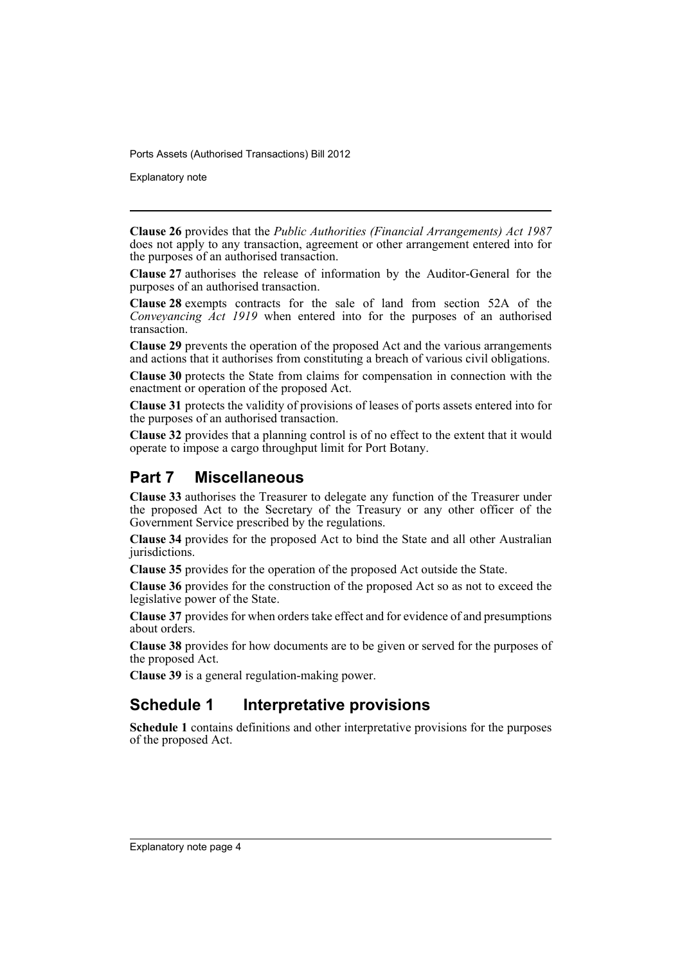Explanatory note

**Clause 26** provides that the *Public Authorities (Financial Arrangements) Act 1987* does not apply to any transaction, agreement or other arrangement entered into for the purposes of an authorised transaction.

**Clause 27** authorises the release of information by the Auditor-General for the purposes of an authorised transaction.

**Clause 28** exempts contracts for the sale of land from section 52A of the *Conveyancing Act 1919* when entered into for the purposes of an authorised transaction.

**Clause 29** prevents the operation of the proposed Act and the various arrangements and actions that it authorises from constituting a breach of various civil obligations.

**Clause 30** protects the State from claims for compensation in connection with the enactment or operation of the proposed Act.

**Clause 31** protects the validity of provisions of leases of ports assets entered into for the purposes of an authorised transaction.

**Clause 32** provides that a planning control is of no effect to the extent that it would operate to impose a cargo throughput limit for Port Botany.

### **Part 7 Miscellaneous**

**Clause 33** authorises the Treasurer to delegate any function of the Treasurer under the proposed Act to the Secretary of the Treasury or any other officer of the Government Service prescribed by the regulations.

**Clause 34** provides for the proposed Act to bind the State and all other Australian jurisdictions.

**Clause 35** provides for the operation of the proposed Act outside the State.

**Clause 36** provides for the construction of the proposed Act so as not to exceed the legislative power of the State.

**Clause 37** provides for when orders take effect and for evidence of and presumptions about orders.

**Clause 38** provides for how documents are to be given or served for the purposes of the proposed Act.

**Clause 39** is a general regulation-making power.

### **Schedule 1 Interpretative provisions**

**Schedule 1** contains definitions and other interpretative provisions for the purposes of the proposed Act.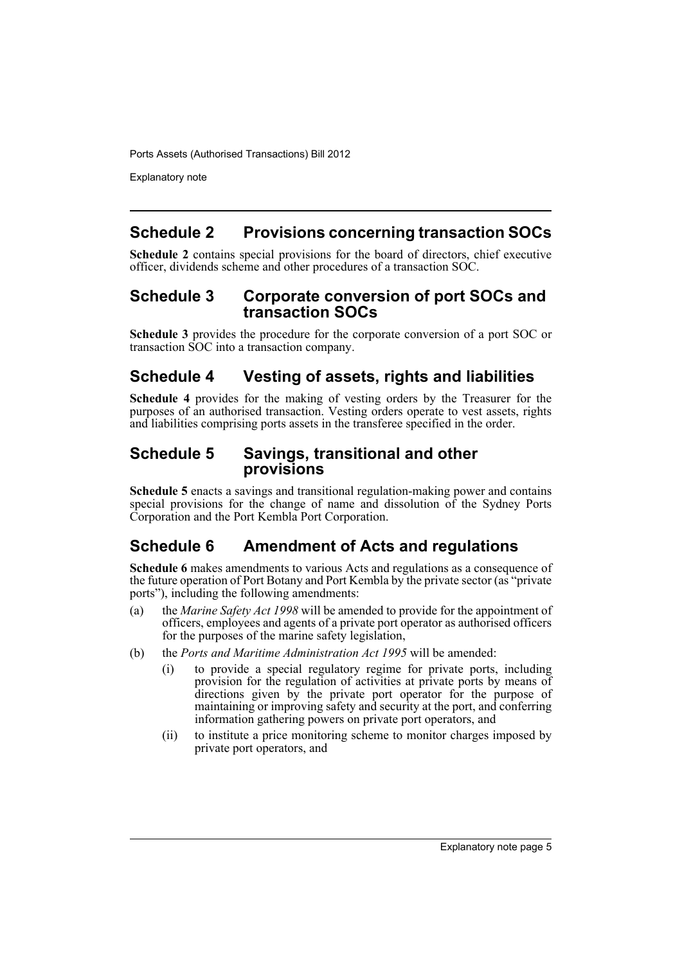Explanatory note

### **Schedule 2 Provisions concerning transaction SOCs**

**Schedule 2** contains special provisions for the board of directors, chief executive officer, dividends scheme and other procedures of a transaction SOC.

### **Schedule 3 Corporate conversion of port SOCs and transaction SOCs**

**Schedule 3** provides the procedure for the corporate conversion of a port SOC or transaction SOC into a transaction company.

### **Schedule 4 Vesting of assets, rights and liabilities**

**Schedule 4** provides for the making of vesting orders by the Treasurer for the purposes of an authorised transaction. Vesting orders operate to vest assets, rights and liabilities comprising ports assets in the transferee specified in the order.

### **Schedule 5 Savings, transitional and other provisions**

**Schedule 5** enacts a savings and transitional regulation-making power and contains special provisions for the change of name and dissolution of the Sydney Ports Corporation and the Port Kembla Port Corporation.

### **Schedule 6 Amendment of Acts and regulations**

**Schedule 6** makes amendments to various Acts and regulations as a consequence of the future operation of Port Botany and Port Kembla by the private sector (as "private ports"), including the following amendments:

- (a) the *Marine Safety Act 1998* will be amended to provide for the appointment of officers, employees and agents of a private port operator as authorised officers for the purposes of the marine safety legislation,
- (b) the *Ports and Maritime Administration Act 1995* will be amended:
	- (i) to provide a special regulatory regime for private ports, including provision for the regulation of activities at private ports by means of directions given by the private port operator for the purpose of maintaining or improving safety and security at the port, and conferring information gathering powers on private port operators, and
	- (ii) to institute a price monitoring scheme to monitor charges imposed by private port operators, and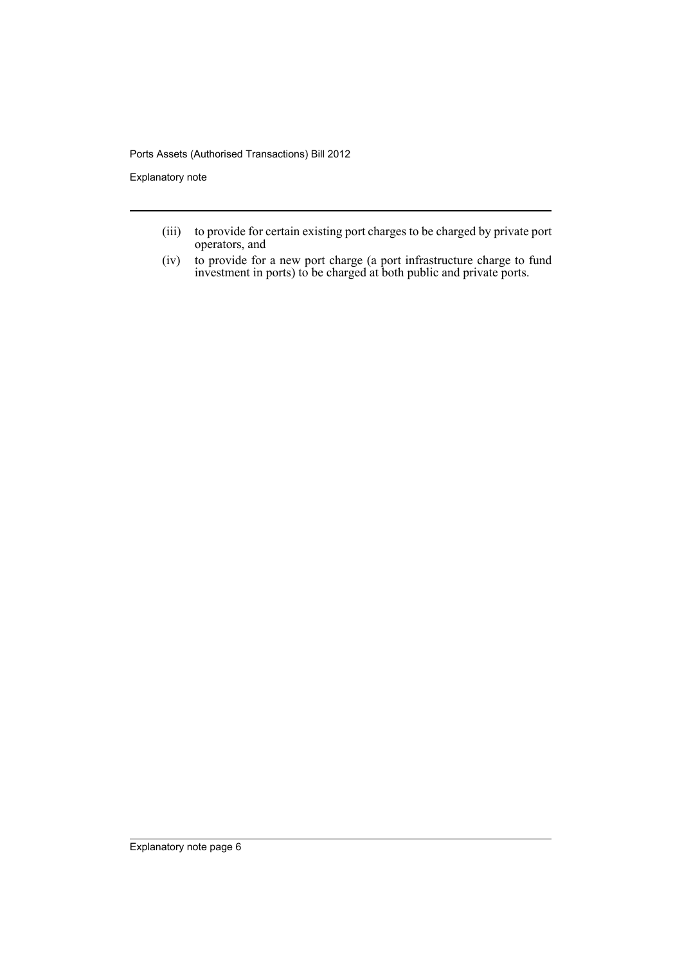Explanatory note

- (iii) to provide for certain existing port charges to be charged by private port operators, and
- (iv) to provide for a new port charge (a port infrastructure charge to fund investment in ports) to be charged at both public and private ports.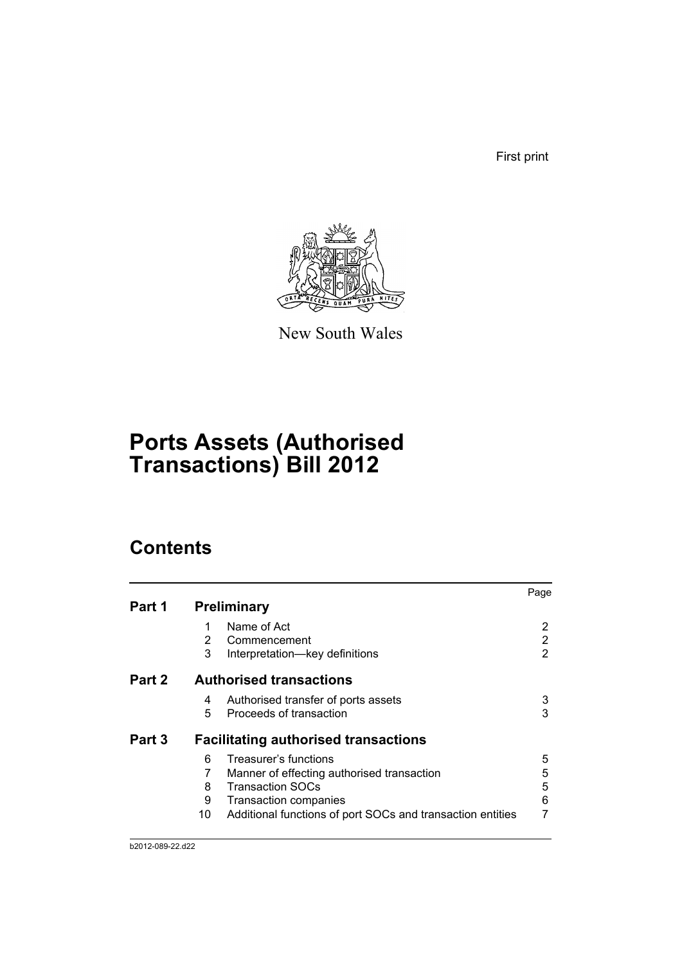First print



New South Wales

# **Ports Assets (Authorised Transactions) Bill 2012**

# **Contents**

|        |    |                                                            | Page |
|--------|----|------------------------------------------------------------|------|
| Part 1 |    | <b>Preliminary</b>                                         |      |
|        |    | Name of Act                                                |      |
|        | 2  | Commencement                                               | 2    |
|        | 3  | Interpretation-key definitions                             | 2    |
| Part 2 |    | <b>Authorised transactions</b>                             |      |
|        | 4  | Authorised transfer of ports assets                        | 3    |
|        | 5  | Proceeds of transaction                                    | 3    |
| Part 3 |    | <b>Facilitating authorised transactions</b>                |      |
|        | 6  | Treasurer's functions                                      | 5    |
|        |    | Manner of effecting authorised transaction                 | 5    |
|        | 8  | <b>Transaction SOCs</b>                                    | 5    |
|        | 9  | Transaction companies                                      | 6    |
|        | 10 | Additional functions of port SOCs and transaction entities |      |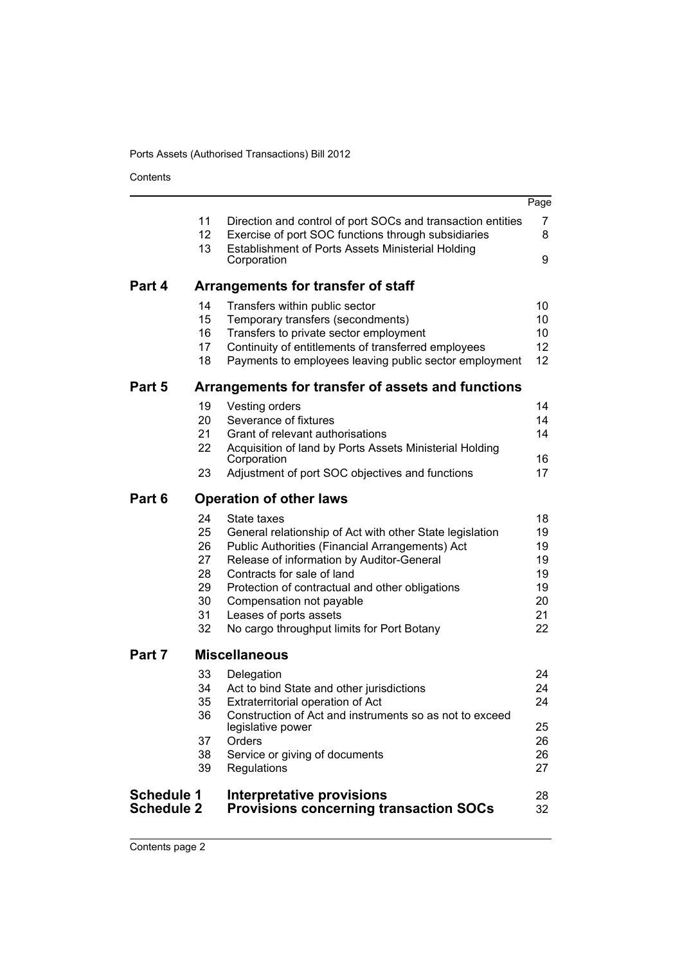Contents

|                                        |                                                    |                                                                                                                                                                                                                                                                                                                                                              | Page                                               |
|----------------------------------------|----------------------------------------------------|--------------------------------------------------------------------------------------------------------------------------------------------------------------------------------------------------------------------------------------------------------------------------------------------------------------------------------------------------------------|----------------------------------------------------|
|                                        | 11<br>12<br>13                                     | Direction and control of port SOCs and transaction entities<br>Exercise of port SOC functions through subsidiaries<br>Establishment of Ports Assets Ministerial Holding<br>Corporation                                                                                                                                                                       | 7<br>8<br>9                                        |
| Part 4                                 |                                                    |                                                                                                                                                                                                                                                                                                                                                              |                                                    |
|                                        |                                                    | Arrangements for transfer of staff                                                                                                                                                                                                                                                                                                                           |                                                    |
|                                        | 14<br>15<br>16<br>17<br>18                         | Transfers within public sector<br>Temporary transfers (secondments)<br>Transfers to private sector employment<br>Continuity of entitlements of transferred employees<br>Payments to employees leaving public sector employment                                                                                                                               | 10<br>10<br>10<br>12<br>12                         |
| Part 5                                 |                                                    | Arrangements for transfer of assets and functions                                                                                                                                                                                                                                                                                                            |                                                    |
|                                        | 19<br>20<br>21<br>22                               | Vesting orders<br>Severance of fixtures<br>Grant of relevant authorisations<br>Acquisition of land by Ports Assets Ministerial Holding<br>Corporation                                                                                                                                                                                                        | 14<br>14<br>14<br>16                               |
|                                        | 23                                                 | Adjustment of port SOC objectives and functions                                                                                                                                                                                                                                                                                                              | 17                                                 |
| Part 6                                 |                                                    | <b>Operation of other laws</b>                                                                                                                                                                                                                                                                                                                               |                                                    |
|                                        | 24<br>25<br>26<br>27<br>28<br>29<br>30<br>31<br>32 | State taxes<br>General relationship of Act with other State legislation<br>Public Authorities (Financial Arrangements) Act<br>Release of information by Auditor-General<br>Contracts for sale of land<br>Protection of contractual and other obligations<br>Compensation not payable<br>Leases of ports assets<br>No cargo throughput limits for Port Botany | 18<br>19<br>19<br>19<br>19<br>19<br>20<br>21<br>22 |
| Part 7                                 |                                                    | <b>Miscellaneous</b>                                                                                                                                                                                                                                                                                                                                         |                                                    |
|                                        | 33<br>34<br>35<br>36<br>37                         | Delegation<br>Act to bind State and other jurisdictions<br>Extraterritorial operation of Act<br>Construction of Act and instruments so as not to exceed<br>legislative power<br>Orders                                                                                                                                                                       | 24<br>24<br>24<br>25<br>26                         |
|                                        | 38<br>39                                           | Service or giving of documents<br>Regulations                                                                                                                                                                                                                                                                                                                | 26<br>27                                           |
| <b>Schedule 1</b><br><b>Schedule 2</b> |                                                    | Interpretative provisions<br><b>Provisions concerning transaction SOCs</b>                                                                                                                                                                                                                                                                                   | 28<br>32                                           |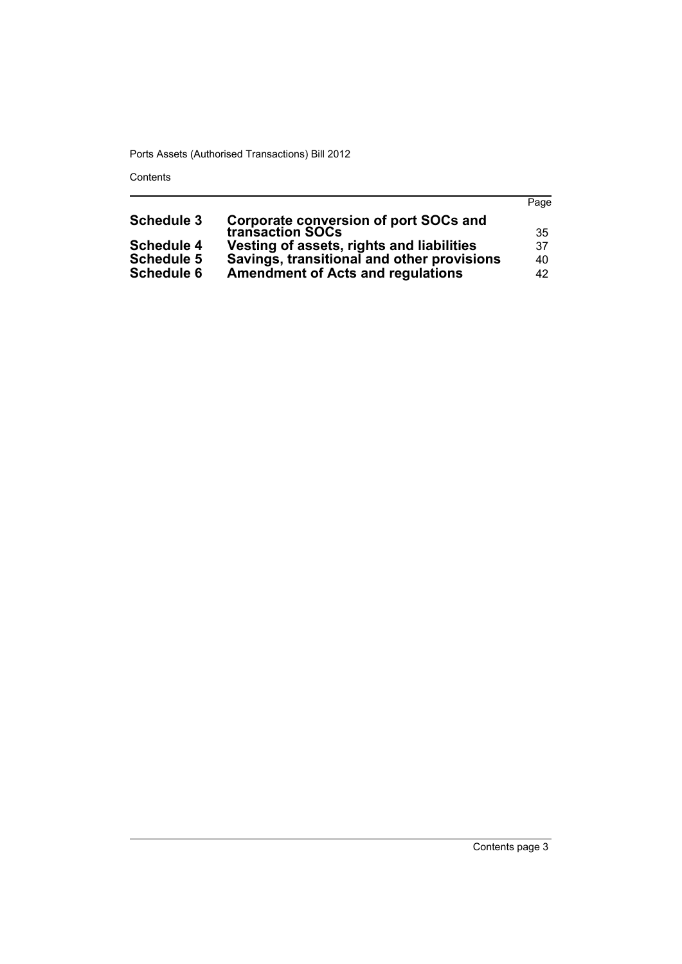Contents

|                   |                                                                   | Page |
|-------------------|-------------------------------------------------------------------|------|
| <b>Schedule 3</b> | <b>Corporate conversion of port SOCs and<br/>transaction SOCs</b> |      |
|                   |                                                                   | 35   |
| <b>Schedule 4</b> | Vesting of assets, rights and liabilities                         | 37   |
| <b>Schedule 5</b> | Savings, transitional and other provisions                        | 40   |
| <b>Schedule 6</b> | <b>Amendment of Acts and regulations</b>                          | 42   |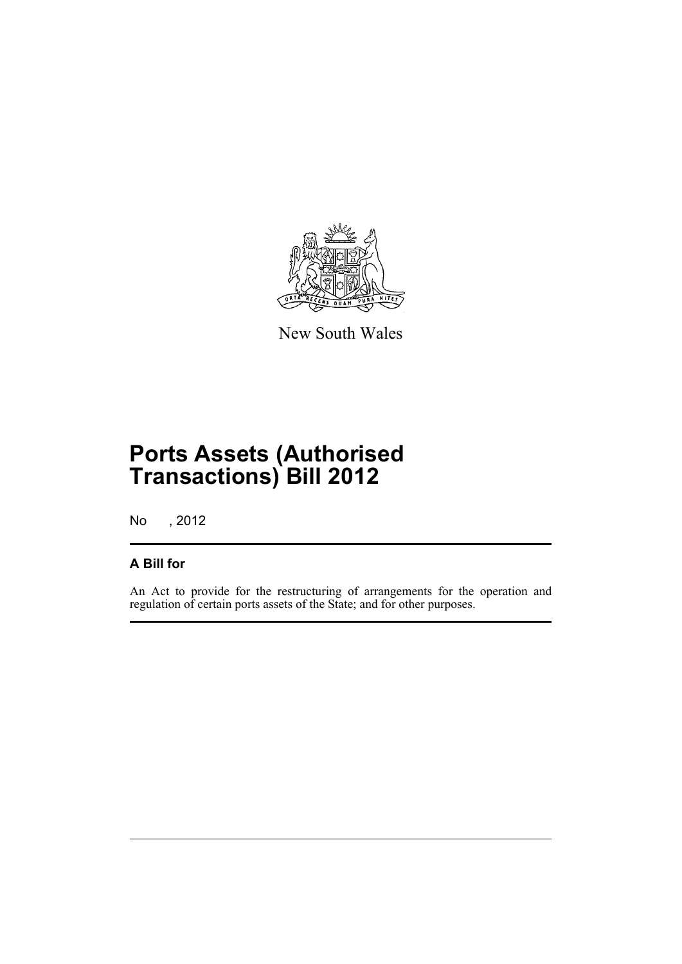

New South Wales

# **Ports Assets (Authorised Transactions) Bill 2012**

No , 2012

### **A Bill for**

An Act to provide for the restructuring of arrangements for the operation and regulation of certain ports assets of the State; and for other purposes.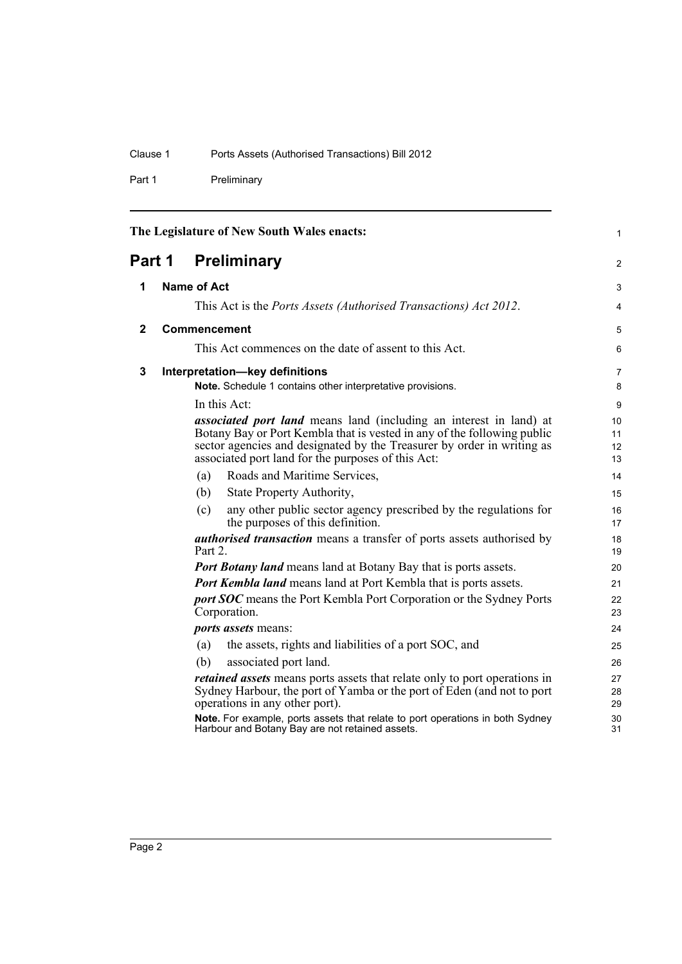Part 1 Preliminary

<span id="page-11-3"></span><span id="page-11-2"></span><span id="page-11-1"></span><span id="page-11-0"></span>

| The Legislature of New South Wales enacts: |  |                    |                                                                                                                                                                                                                                                                                      |                      |
|--------------------------------------------|--|--------------------|--------------------------------------------------------------------------------------------------------------------------------------------------------------------------------------------------------------------------------------------------------------------------------------|----------------------|
| Part 1                                     |  |                    | <b>Preliminary</b>                                                                                                                                                                                                                                                                   | 2                    |
| 1                                          |  | <b>Name of Act</b> |                                                                                                                                                                                                                                                                                      | 3                    |
|                                            |  |                    | This Act is the <i>Ports Assets (Authorised Transactions) Act 2012</i> .                                                                                                                                                                                                             | 4                    |
| 2                                          |  |                    | Commencement                                                                                                                                                                                                                                                                         | 5                    |
|                                            |  |                    | This Act commences on the date of assent to this Act.                                                                                                                                                                                                                                | 6                    |
| 3                                          |  |                    | Interpretation-key definitions<br>Note. Schedule 1 contains other interpretative provisions.                                                                                                                                                                                         | 7<br>8               |
|                                            |  |                    | In this Act:                                                                                                                                                                                                                                                                         | 9                    |
|                                            |  |                    | <i>associated port land</i> means land (including an interest in land) at<br>Botany Bay or Port Kembla that is vested in any of the following public<br>sector agencies and designated by the Treasurer by order in writing as<br>associated port land for the purposes of this Act: | 10<br>11<br>12<br>13 |
|                                            |  | (a)                | Roads and Maritime Services,                                                                                                                                                                                                                                                         | 14                   |
|                                            |  | (b)                | State Property Authority,                                                                                                                                                                                                                                                            | 15                   |
|                                            |  | (c)                | any other public sector agency prescribed by the regulations for<br>the purposes of this definition.                                                                                                                                                                                 | 16<br>17             |
|                                            |  | Part 2.            | <i>authorised transaction</i> means a transfer of ports assets authorised by                                                                                                                                                                                                         | 18<br>19             |
|                                            |  |                    | <b>Port Botany land</b> means land at Botany Bay that is ports assets.                                                                                                                                                                                                               | 20                   |
|                                            |  |                    | <b>Port Kembla land</b> means land at Port Kembla that is ports assets.                                                                                                                                                                                                              | 21                   |
|                                            |  |                    | <b>port SOC</b> means the Port Kembla Port Corporation or the Sydney Ports<br>Corporation.                                                                                                                                                                                           | 22<br>23             |
|                                            |  |                    | <i>ports assets means:</i>                                                                                                                                                                                                                                                           | 24                   |
|                                            |  | (a)                | the assets, rights and liabilities of a port SOC, and                                                                                                                                                                                                                                | 25                   |
|                                            |  | (b)                | associated port land.                                                                                                                                                                                                                                                                | 26                   |
|                                            |  |                    | <i>retained assets</i> means ports assets that relate only to port operations in<br>Sydney Harbour, the port of Yamba or the port of Eden (and not to port<br>operations in any other port).                                                                                         | 27<br>28<br>29       |
|                                            |  |                    | Note. For example, ports assets that relate to port operations in both Sydney<br>Harbour and Botany Bay are not retained assets.                                                                                                                                                     | 30<br>31             |

Page 2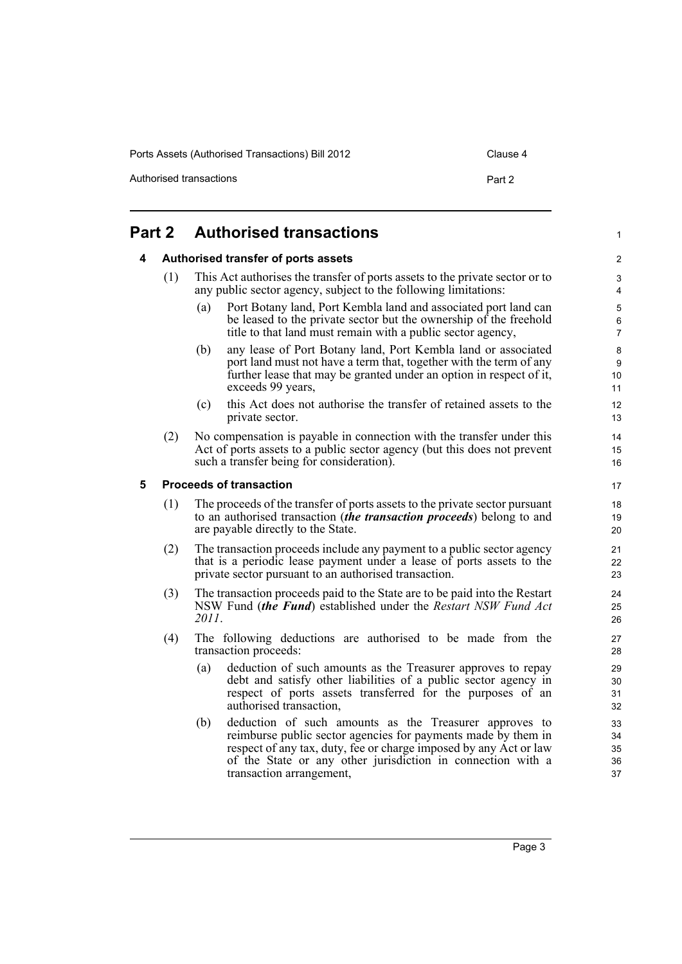Authorised transactions **Part 2** 

#### <span id="page-12-2"></span><span id="page-12-1"></span><span id="page-12-0"></span>**Part 2 Authorised transactions 4 Authorised transfer of ports assets** (1) This Act authorises the transfer of ports assets to the private sector or to any public sector agency, subject to the following limitations: (a) Port Botany land, Port Kembla land and associated port land can be leased to the private sector but the ownership of the freehold title to that land must remain with a public sector agency, (b) any lease of Port Botany land, Port Kembla land or associated port land must not have a term that, together with the term of any further lease that may be granted under an option in respect of it, exceeds 99 years, (c) this Act does not authorise the transfer of retained assets to the private sector. (2) No compensation is payable in connection with the transfer under this Act of ports assets to a public sector agency (but this does not prevent such a transfer being for consideration). **5 Proceeds of transaction** (1) The proceeds of the transfer of ports assets to the private sector pursuant to an authorised transaction (*the transaction proceeds*) belong to and are payable directly to the State. (2) The transaction proceeds include any payment to a public sector agency that is a periodic lease payment under a lease of ports assets to the private sector pursuant to an authorised transaction. (3) The transaction proceeds paid to the State are to be paid into the Restart NSW Fund (*the Fund*) established under the *Restart NSW Fund Act 2011*. (4) The following deductions are authorised to be made from the transaction proceeds: (a) deduction of such amounts as the Treasurer approves to repay debt and satisfy other liabilities of a public sector agency in respect of ports assets transferred for the purposes of an authorised transaction, (b) deduction of such amounts as the Treasurer approves to reimburse public sector agencies for payments made by them in respect of any tax, duty, fee or charge imposed by any Act or law of the State or any other jurisdiction in connection with a transaction arrangement, 1  $\mathfrak{p}$ 3 4 5 6 7 8 9 10 11 12 13 14 15 16 17 18 19 20 21 22 23 24 25 26 27 28 29 30 31 32 33 34 35 36 37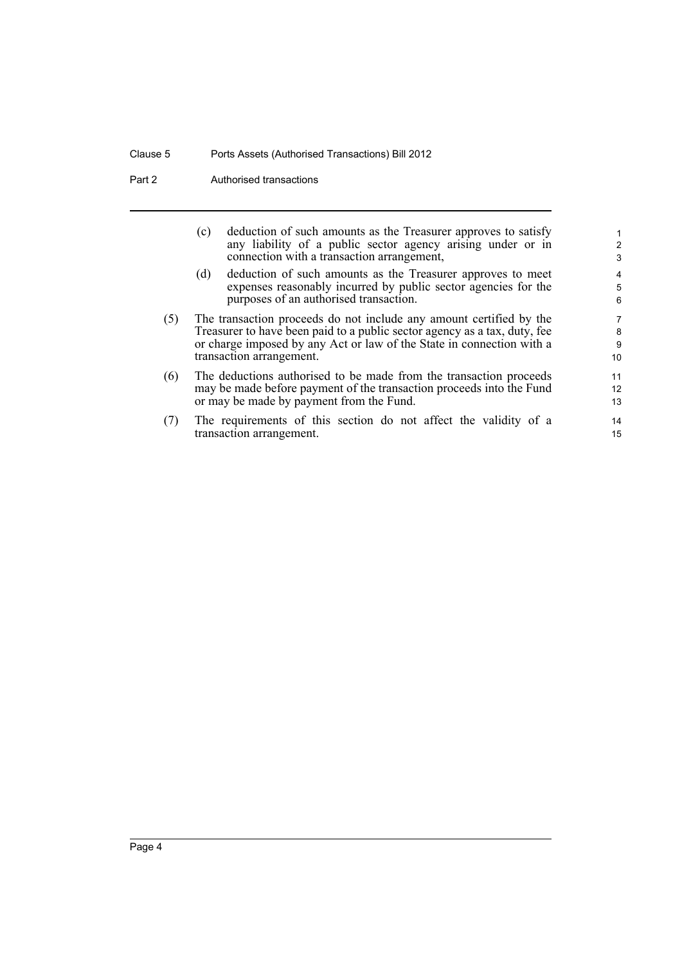Part 2 **Authorised transactions** 

|     | (c) | deduction of such amounts as the Treasurer approves to satisfy<br>any liability of a public sector agency arising under or in<br>connection with a transaction arrangement,                                                                           | $\overline{2}$<br>3         |
|-----|-----|-------------------------------------------------------------------------------------------------------------------------------------------------------------------------------------------------------------------------------------------------------|-----------------------------|
|     | (d) | deduction of such amounts as the Treasurer approves to meet<br>expenses reasonably incurred by public sector agencies for the<br>purposes of an authorised transaction.                                                                               | 4<br>5<br>6                 |
| (5) |     | The transaction proceeds do not include any amount certified by the<br>Treasurer to have been paid to a public sector agency as a tax, duty, fee<br>or charge imposed by any Act or law of the State in connection with a<br>transaction arrangement. | 7<br>8<br>9<br>10           |
| (6) |     | The deductions authorised to be made from the transaction proceeds<br>may be made before payment of the transaction proceeds into the Fund<br>or may be made by payment from the Fund.                                                                | 11<br>12 <sup>2</sup><br>13 |
| (7) |     | The requirements of this section do not affect the validity of a<br>transaction arrangement.                                                                                                                                                          | 14<br>15                    |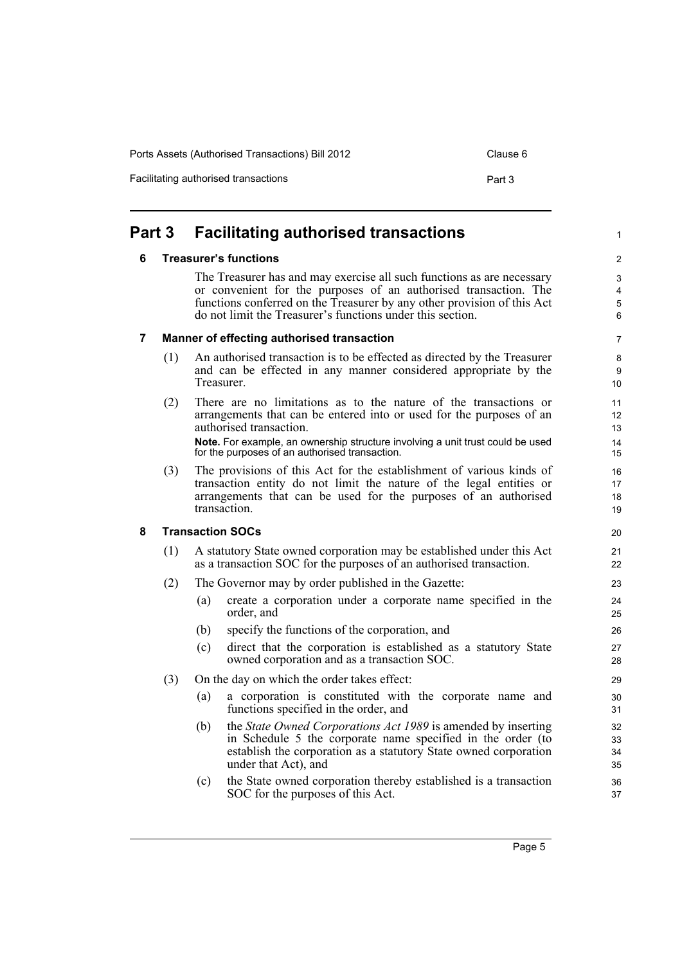Facilitating authorised transactions example of the Part 3

<span id="page-14-0"></span>**Part 3 Facilitating authorised transactions**

### <span id="page-14-1"></span>**6 Treasurer's functions**

The Treasurer has and may exercise all such functions as are necessary or convenient for the purposes of an authorised transaction. The functions conferred on the Treasurer by any other provision of this Act do not limit the Treasurer's functions under this section.

#### <span id="page-14-2"></span>**7 Manner of effecting authorised transaction**

- (1) An authorised transaction is to be effected as directed by the Treasurer and can be effected in any manner considered appropriate by the **Treasurer.**
- (2) There are no limitations as to the nature of the transactions or arrangements that can be entered into or used for the purposes of an authorised transaction. **Note.** For example, an ownership structure involving a unit trust could be used for the purposes of an authorised transaction.
- (3) The provisions of this Act for the establishment of various kinds of transaction entity do not limit the nature of the legal entities or arrangements that can be used for the purposes of an authorised transaction.

### <span id="page-14-3"></span>**8 Transaction SOCs**

- (1) A statutory State owned corporation may be established under this Act as a transaction SOC for the purposes of an authorised transaction.
- (2) The Governor may by order published in the Gazette:
	- (a) create a corporation under a corporate name specified in the order, and
	- (b) specify the functions of the corporation, and
	- (c) direct that the corporation is established as a statutory State owned corporation and as a transaction SOC.
- (3) On the day on which the order takes effect:
	- (a) a corporation is constituted with the corporate name and functions specified in the order, and
	- (b) the *State Owned Corporations Act 1989* is amended by inserting in Schedule 5 the corporate name specified in the order (to establish the corporation as a statutory State owned corporation under that Act), and
	- (c) the State owned corporation thereby established is a transaction SOC for the purposes of this Act.

 $\mathfrak{p}$ 3

1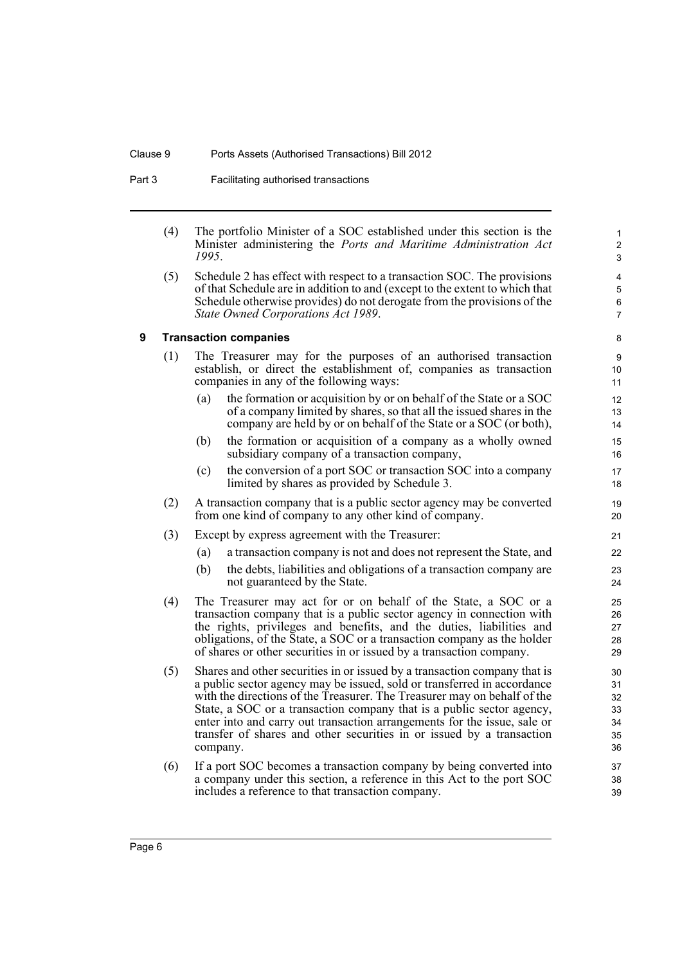Part 3 Facilitating authorised transactions

| (4) |      | The portfolio Minister of a SOC established under this section is the |  |  |  |  |  |
|-----|------|-----------------------------------------------------------------------|--|--|--|--|--|
|     |      | Minister administering the Ports and Maritime Administration Act      |  |  |  |  |  |
|     | 1995 |                                                                       |  |  |  |  |  |

(5) Schedule 2 has effect with respect to a transaction SOC. The provisions of that Schedule are in addition to and (except to the extent to which that Schedule otherwise provides) do not derogate from the provisions of the *State Owned Corporations Act 1989*.

### 8 9

#### <span id="page-15-0"></span>**9 Transaction companies**

- (1) The Treasurer may for the purposes of an authorised transaction establish, or direct the establishment of, companies as transaction companies in any of the following ways:
	- (a) the formation or acquisition by or on behalf of the State or a SOC of a company limited by shares, so that all the issued shares in the company are held by or on behalf of the State or a SOC (or both),
	- (b) the formation or acquisition of a company as a wholly owned subsidiary company of a transaction company,
	- (c) the conversion of a port SOC or transaction SOC into a company limited by shares as provided by Schedule 3.
- (2) A transaction company that is a public sector agency may be converted from one kind of company to any other kind of company.
- (3) Except by express agreement with the Treasurer:
	- (a) a transaction company is not and does not represent the State, and
	- (b) the debts, liabilities and obligations of a transaction company are not guaranteed by the State.
- (4) The Treasurer may act for or on behalf of the State, a SOC or a transaction company that is a public sector agency in connection with the rights, privileges and benefits, and the duties, liabilities and obligations, of the State, a SOC or a transaction company as the holder of shares or other securities in or issued by a transaction company.
- (5) Shares and other securities in or issued by a transaction company that is a public sector agency may be issued, sold or transferred in accordance with the directions of the Treasurer. The Treasurer may on behalf of the State, a SOC or a transaction company that is a public sector agency, enter into and carry out transaction arrangements for the issue, sale or transfer of shares and other securities in or issued by a transaction company.
- (6) If a port SOC becomes a transaction company by being converted into a company under this section, a reference in this Act to the port SOC includes a reference to that transaction company.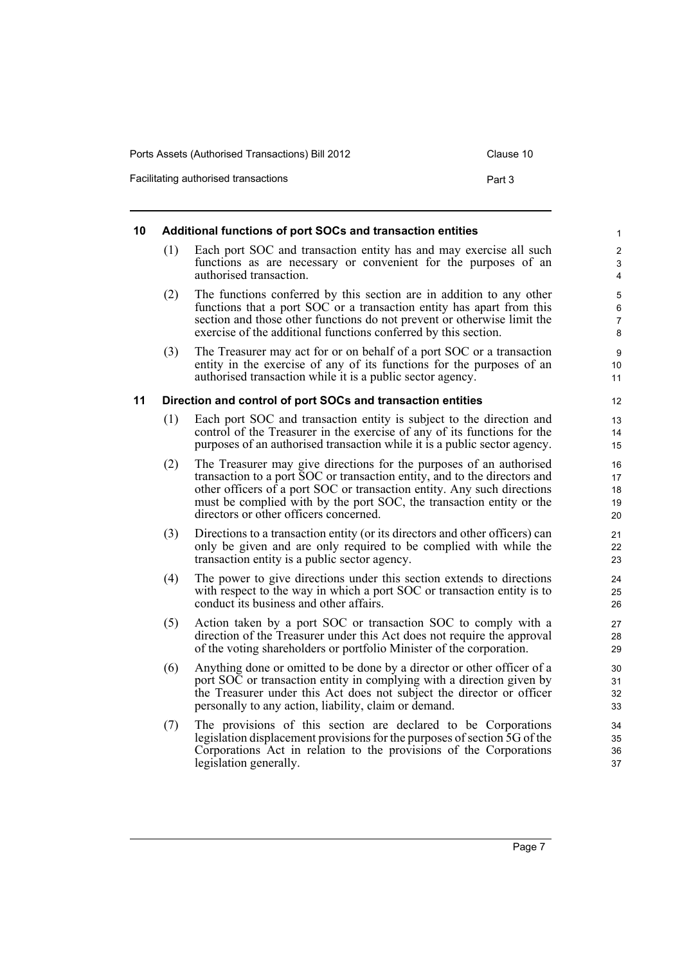Facilitating authorised transactions example of the Part 3

<span id="page-16-1"></span><span id="page-16-0"></span>

| 10 |     | Additional functions of port SOCs and transaction entities                                                                                                                                                                                                                                                                                    |  |
|----|-----|-----------------------------------------------------------------------------------------------------------------------------------------------------------------------------------------------------------------------------------------------------------------------------------------------------------------------------------------------|--|
|    | (1) | Each port SOC and transaction entity has and may exercise all such<br>functions as are necessary or convenient for the purposes of an<br>authorised transaction.                                                                                                                                                                              |  |
|    | (2) | The functions conferred by this section are in addition to any other<br>functions that a port SOC or a transaction entity has apart from this<br>section and those other functions do not prevent or otherwise limit the<br>exercise of the additional functions conferred by this section.                                                   |  |
|    | (3) | The Treasurer may act for or on behalf of a port SOC or a transaction<br>entity in the exercise of any of its functions for the purposes of an<br>authorised transaction while it is a public sector agency.                                                                                                                                  |  |
| 11 |     | Direction and control of port SOCs and transaction entities                                                                                                                                                                                                                                                                                   |  |
|    | (1) | Each port SOC and transaction entity is subject to the direction and<br>control of the Treasurer in the exercise of any of its functions for the<br>purposes of an authorised transaction while it is a public sector agency.                                                                                                                 |  |
|    | (2) | The Treasurer may give directions for the purposes of an authorised<br>transaction to a port SOC or transaction entity, and to the directors and<br>other officers of a port SOC or transaction entity. Any such directions<br>must be complied with by the port SOC, the transaction entity or the<br>directors or other officers concerned. |  |
|    | (3) | Directions to a transaction entity (or its directors and other officers) can<br>only be given and are only required to be complied with while the<br>transaction entity is a public sector agency.                                                                                                                                            |  |
|    | (4) | The power to give directions under this section extends to directions<br>with respect to the way in which a port SOC or transaction entity is to<br>conduct its business and other affairs.                                                                                                                                                   |  |
|    | (5) | Action taken by a port SOC or transaction SOC to comply with a<br>direction of the Treasurer under this Act does not require the approval<br>of the voting shareholders or portfolio Minister of the corporation.                                                                                                                             |  |
|    | (6) | Anything done or omitted to be done by a director or other officer of a<br>port SOC or transaction entity in complying with a direction given by<br>the Treasurer under this Act does not subject the director or officer<br>personally to any action, liability, claim or demand.                                                            |  |
|    | (7) | The provisions of this section are declared to be Corporations<br>legislation displacement provisions for the purposes of section 5G of the<br>Corporations Act in relation to the provisions of the Corporations<br>legislation generally.                                                                                                   |  |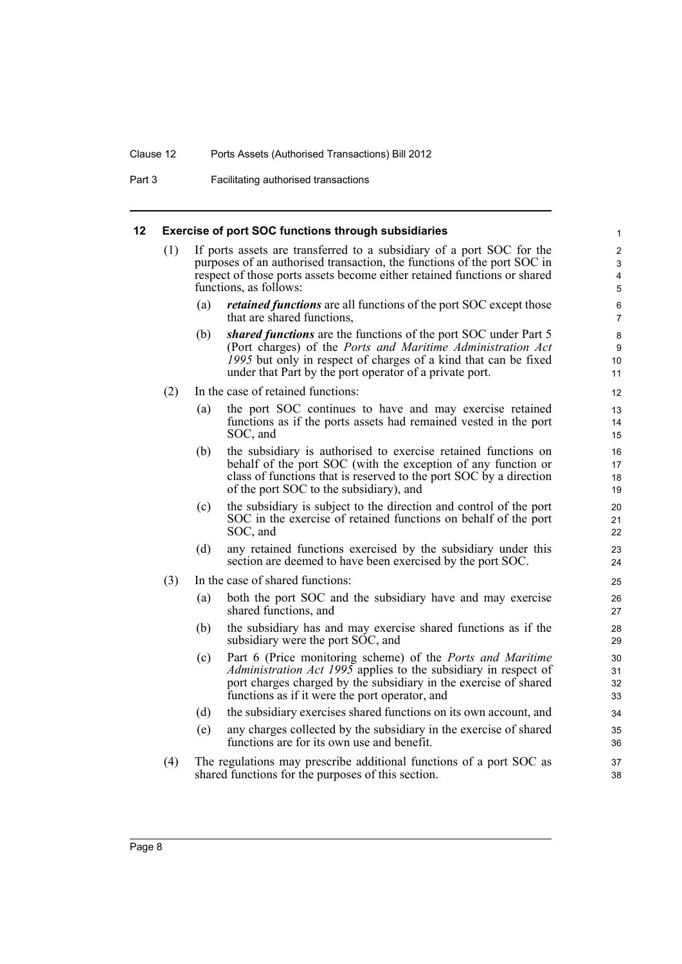#### Clause 12 Ports Assets (Authorised Transactions) Bill 2012

Part 3 Facilitating authorised transactions

#### <span id="page-17-0"></span>**12 Exercise of port SOC functions through subsidiaries**

- (1) If ports assets are transferred to a subsidiary of a port SOC for the purposes of an authorised transaction, the functions of the port SOC in respect of those ports assets become either retained functions or shared functions, as follows:
	- (a) *retained functions* are all functions of the port SOC except those that are shared functions,

- (b) *shared functions* are the functions of the port SOC under Part 5 (Port charges) of the *Ports and Maritime Administration Act 1995* but only in respect of charges of a kind that can be fixed under that Part by the port operator of a private port.
- (2) In the case of retained functions:
	- (a) the port SOC continues to have and may exercise retained functions as if the ports assets had remained vested in the port SOC, and
	- (b) the subsidiary is authorised to exercise retained functions on behalf of the port SOC (with the exception of any function or class of functions that is reserved to the port SOC by a direction of the port SOC to the subsidiary), and
	- (c) the subsidiary is subject to the direction and control of the port SOC in the exercise of retained functions on behalf of the port SOC, and
	- (d) any retained functions exercised by the subsidiary under this section are deemed to have been exercised by the port SOC.
- (3) In the case of shared functions:
	- (a) both the port SOC and the subsidiary have and may exercise shared functions, and
	- (b) the subsidiary has and may exercise shared functions as if the subsidiary were the port SOC, and
	- (c) Part 6 (Price monitoring scheme) of the *Ports and Maritime Administration Act 1995* applies to the subsidiary in respect of port charges charged by the subsidiary in the exercise of shared functions as if it were the port operator, and
	- (d) the subsidiary exercises shared functions on its own account, and
	- (e) any charges collected by the subsidiary in the exercise of shared functions are for its own use and benefit.
- (4) The regulations may prescribe additional functions of a port SOC as shared functions for the purposes of this section.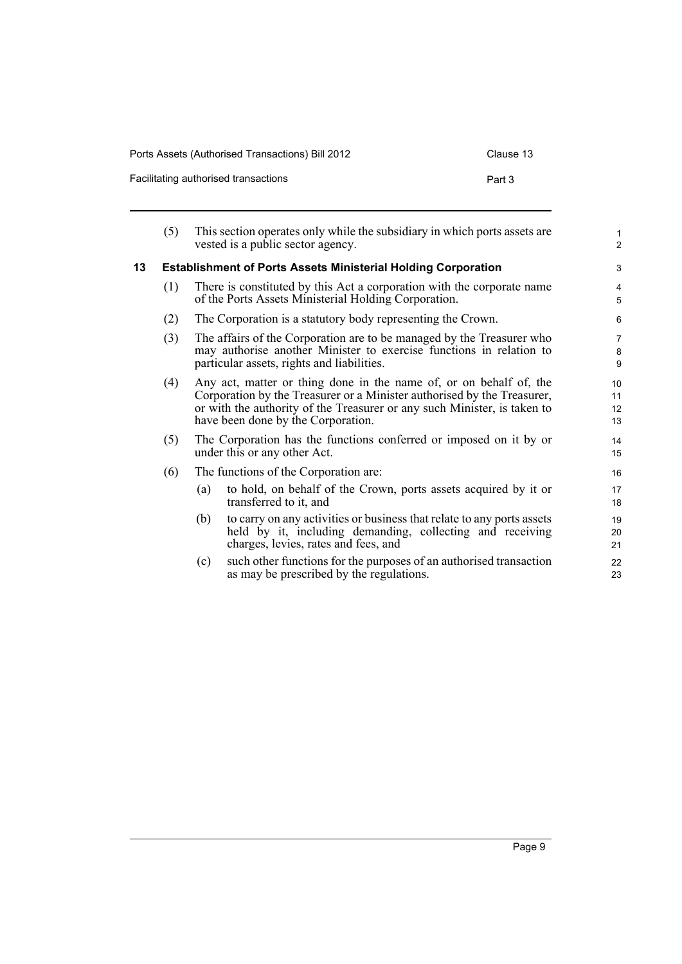| Ports Assets (Authorised Transactions) Bill 2012 | Clause 13 |
|--------------------------------------------------|-----------|
|--------------------------------------------------|-----------|

| Clause 13 |  |  |
|-----------|--|--|
|-----------|--|--|

| Facilitating authorised transactions | Part 3 |
|--------------------------------------|--------|
|--------------------------------------|--------|

<span id="page-18-0"></span>

|    | (5) |     | This section operates only while the subsidiary in which ports assets are<br>vested is a public sector agency.                                                                                                                                                  | $\mathbf{1}$<br>$\overline{2}$ |
|----|-----|-----|-----------------------------------------------------------------------------------------------------------------------------------------------------------------------------------------------------------------------------------------------------------------|--------------------------------|
| 13 |     |     | <b>Establishment of Ports Assets Ministerial Holding Corporation</b>                                                                                                                                                                                            | 3                              |
|    | (1) |     | There is constituted by this Act a corporation with the corporate name<br>of the Ports Assets Ministerial Holding Corporation.                                                                                                                                  | $\overline{4}$<br>5            |
|    | (2) |     | The Corporation is a statutory body representing the Crown.                                                                                                                                                                                                     | 6                              |
|    | (3) |     | The affairs of the Corporation are to be managed by the Treasurer who<br>may authorise another Minister to exercise functions in relation to<br>particular assets, rights and liabilities.                                                                      | $\overline{7}$<br>8<br>9       |
|    | (4) |     | Any act, matter or thing done in the name of, or on behalf of, the<br>Corporation by the Treasurer or a Minister authorised by the Treasurer,<br>or with the authority of the Treasurer or any such Minister, is taken to<br>have been done by the Corporation. | 10<br>11<br>12<br>13           |
|    | (5) |     | The Corporation has the functions conferred or imposed on it by or<br>under this or any other Act.                                                                                                                                                              | 14<br>15                       |
|    | (6) |     | The functions of the Corporation are:                                                                                                                                                                                                                           | 16                             |
|    |     | (a) | to hold, on behalf of the Crown, ports assets acquired by it or<br>transferred to it, and                                                                                                                                                                       | 17<br>18                       |
|    |     | (b) | to carry on any activities or business that relate to any ports assets<br>held by it, including demanding, collecting and receiving<br>charges, levies, rates and fees, and                                                                                     | 19<br>20<br>21                 |
|    |     | (c) | such other functions for the purposes of an authorised transaction<br>as may be prescribed by the regulations.                                                                                                                                                  | 22<br>23                       |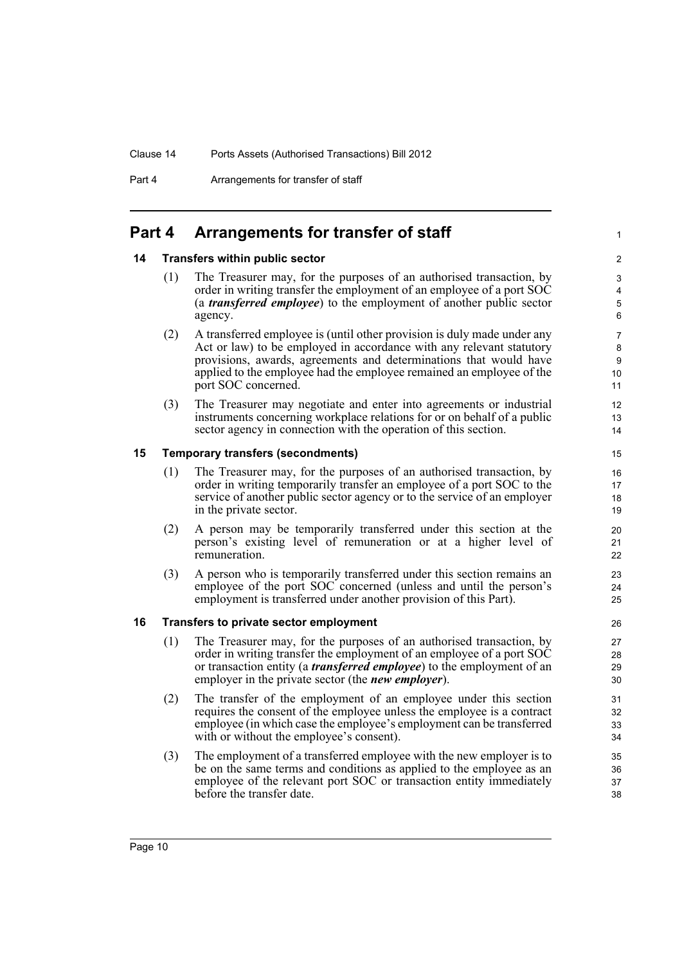Part 4 Arrangements for transfer of staff

### <span id="page-19-0"></span>**Part 4 Arrangements for transfer of staff**

#### <span id="page-19-1"></span>**14 Transfers within public sector**

(1) The Treasurer may, for the purposes of an authorised transaction, by order in writing transfer the employment of an employee of a port SOC (a *transferred employee*) to the employment of another public sector agency.

1

- (2) A transferred employee is (until other provision is duly made under any Act or law) to be employed in accordance with any relevant statutory provisions, awards, agreements and determinations that would have applied to the employee had the employee remained an employee of the port SOC concerned.
- (3) The Treasurer may negotiate and enter into agreements or industrial instruments concerning workplace relations for or on behalf of a public sector agency in connection with the operation of this section.

#### <span id="page-19-2"></span>**15 Temporary transfers (secondments)**

- (1) The Treasurer may, for the purposes of an authorised transaction, by order in writing temporarily transfer an employee of a port SOC to the service of another public sector agency or to the service of an employer in the private sector.
- (2) A person may be temporarily transferred under this section at the person's existing level of remuneration or at a higher level of remuneration.
- (3) A person who is temporarily transferred under this section remains an employee of the port SOC concerned (unless and until the person's employment is transferred under another provision of this Part).

#### <span id="page-19-3"></span>**16 Transfers to private sector employment**

- (1) The Treasurer may, for the purposes of an authorised transaction, by order in writing transfer the employment of an employee of a port SOC or transaction entity (a *transferred employee*) to the employment of an employer in the private sector (the *new employer*).
- (2) The transfer of the employment of an employee under this section requires the consent of the employee unless the employee is a contract employee (in which case the employee's employment can be transferred with or without the employee's consent).
- (3) The employment of a transferred employee with the new employer is to be on the same terms and conditions as applied to the employee as an employee of the relevant port SOC or transaction entity immediately before the transfer date.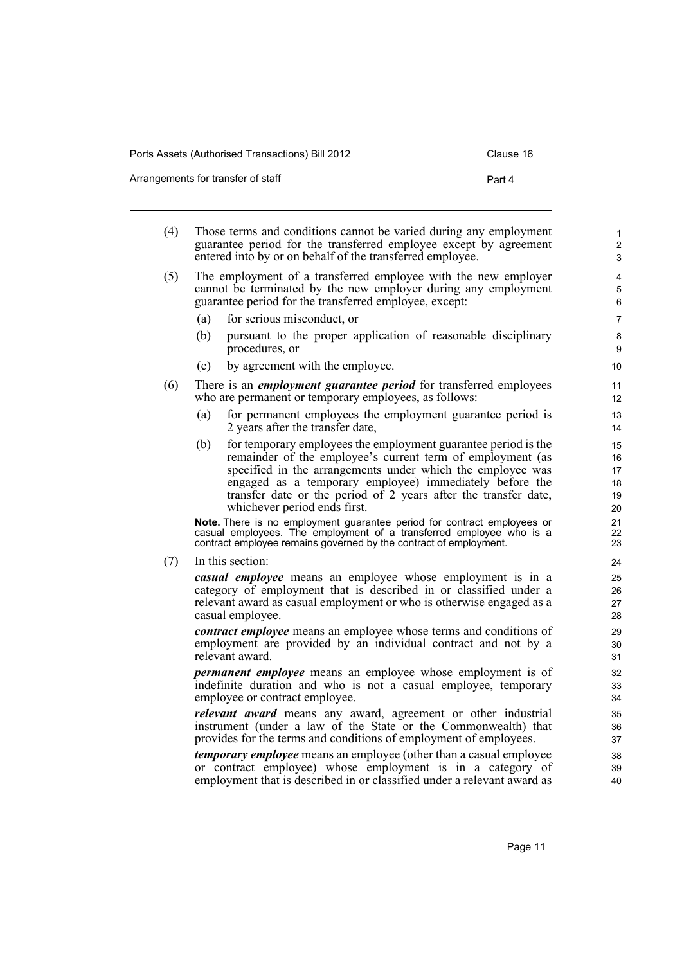Arrangements for transfer of staff **Part 4** Part 4

(4) Those terms and conditions cannot be varied during any employment guarantee period for the transferred employee except by agreement entered into by or on behalf of the transferred employee. (5) The employment of a transferred employee with the new employer cannot be terminated by the new employer during any employment guarantee period for the transferred employee, except: (a) for serious misconduct, or (b) pursuant to the proper application of reasonable disciplinary procedures, or (c) by agreement with the employee. (6) There is an *employment guarantee period* for transferred employees who are permanent or temporary employees, as follows: (a) for permanent employees the employment guarantee period is 2 years after the transfer date, (b) for temporary employees the employment guarantee period is the remainder of the employee's current term of employment (as specified in the arrangements under which the employee was engaged as a temporary employee) immediately before the transfer date or the period of 2 years after the transfer date, whichever period ends first. **Note.** There is no employment guarantee period for contract employees or casual employees. The employment of a transferred employee who is a contract employee remains governed by the contract of employment. (7) In this section: *casual employee* means an employee whose employment is in a category of employment that is described in or classified under a relevant award as casual employment or who is otherwise engaged as a casual employee. *contract employee* means an employee whose terms and conditions of employment are provided by an individual contract and not by a relevant award. *permanent employee* means an employee whose employment is of indefinite duration and who is not a casual employee, temporary employee or contract employee. *relevant award* means any award, agreement or other industrial instrument (under a law of the State or the Commonwealth) that 10 11 12 13 14 15 16 17 18 19 20 21 22 23 24 25 26 27 28  $29$ 30 31 32 33 34 35 36

*temporary employee* means an employee (other than a casual employee or contract employee) whose employment is in a category of employment that is described in or classified under a relevant award as

provides for the terms and conditions of employment of employees.

Page 11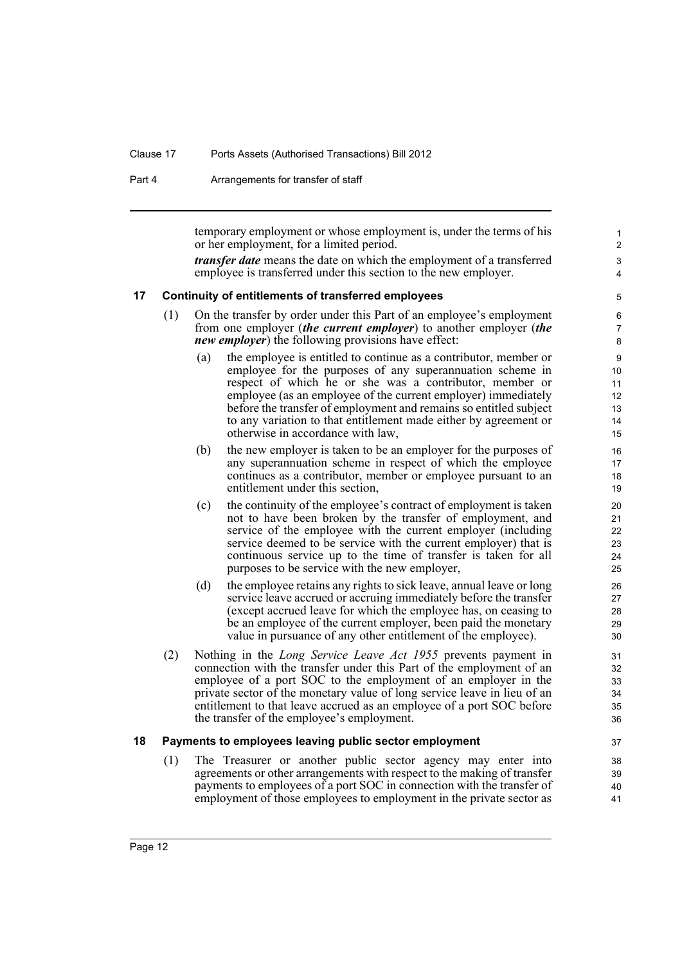#### Clause 17 Ports Assets (Authorised Transactions) Bill 2012

Part 4 Arrangements for transfer of staff

temporary employment or whose employment is, under the terms of his or her employment, for a limited period.

*transfer date* means the date on which the employment of a transferred employee is transferred under this section to the new employer.

#### <span id="page-21-0"></span>**17 Continuity of entitlements of transferred employees**

- (1) On the transfer by order under this Part of an employee's employment from one employer (*the current employer*) to another employer (*the new employer*) the following provisions have effect:
	- (a) the employee is entitled to continue as a contributor, member or employee for the purposes of any superannuation scheme in respect of which he or she was a contributor, member or employee (as an employee of the current employer) immediately before the transfer of employment and remains so entitled subject to any variation to that entitlement made either by agreement or otherwise in accordance with law,
	- (b) the new employer is taken to be an employer for the purposes of any superannuation scheme in respect of which the employee continues as a contributor, member or employee pursuant to an entitlement under this section,
	- (c) the continuity of the employee's contract of employment is taken not to have been broken by the transfer of employment, and service of the employee with the current employer (including service deemed to be service with the current employer) that is continuous service up to the time of transfer is taken for all purposes to be service with the new employer,
	- (d) the employee retains any rights to sick leave, annual leave or long service leave accrued or accruing immediately before the transfer (except accrued leave for which the employee has, on ceasing to be an employee of the current employer, been paid the monetary value in pursuance of any other entitlement of the employee).
- (2) Nothing in the *Long Service Leave Act 1955* prevents payment in connection with the transfer under this Part of the employment of an employee of a port SOC to the employment of an employer in the private sector of the monetary value of long service leave in lieu of an entitlement to that leave accrued as an employee of a port SOC before the transfer of the employee's employment.

#### <span id="page-21-1"></span>**18 Payments to employees leaving public sector employment**

(1) The Treasurer or another public sector agency may enter into agreements or other arrangements with respect to the making of transfer payments to employees of a port SOC in connection with the transfer of employment of those employees to employment in the private sector as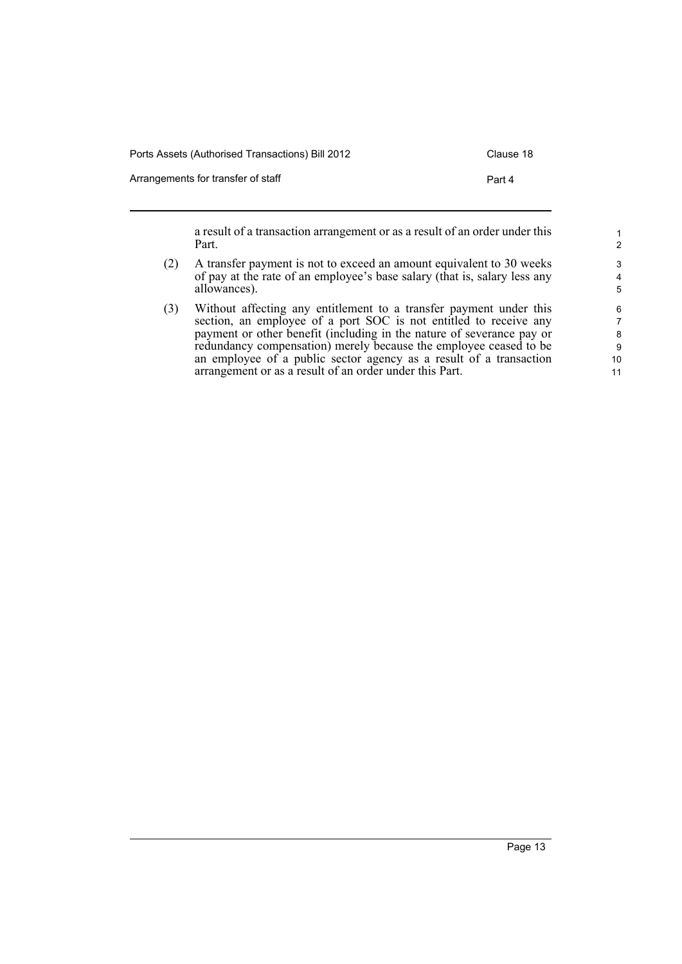| Ports Assets (Authorised Transactions) Bill 2012 | Clause 18 |
|--------------------------------------------------|-----------|
| Arrangements for transfer of staff               | Part 4    |

a result of a transaction arrangement or as a result of an order under this Part.

- (2) A transfer payment is not to exceed an amount equivalent to 30 weeks of pay at the rate of an employee's base salary (that is, salary less any allowances).
- (3) Without affecting any entitlement to a transfer payment under this section, an employee of a port SOC is not entitled to receive any payment or other benefit (including in the nature of severance pay or redundancy compensation) merely because the employee ceased to be an employee of a public sector agency as a result of a transaction arrangement or as a result of an order under this Part.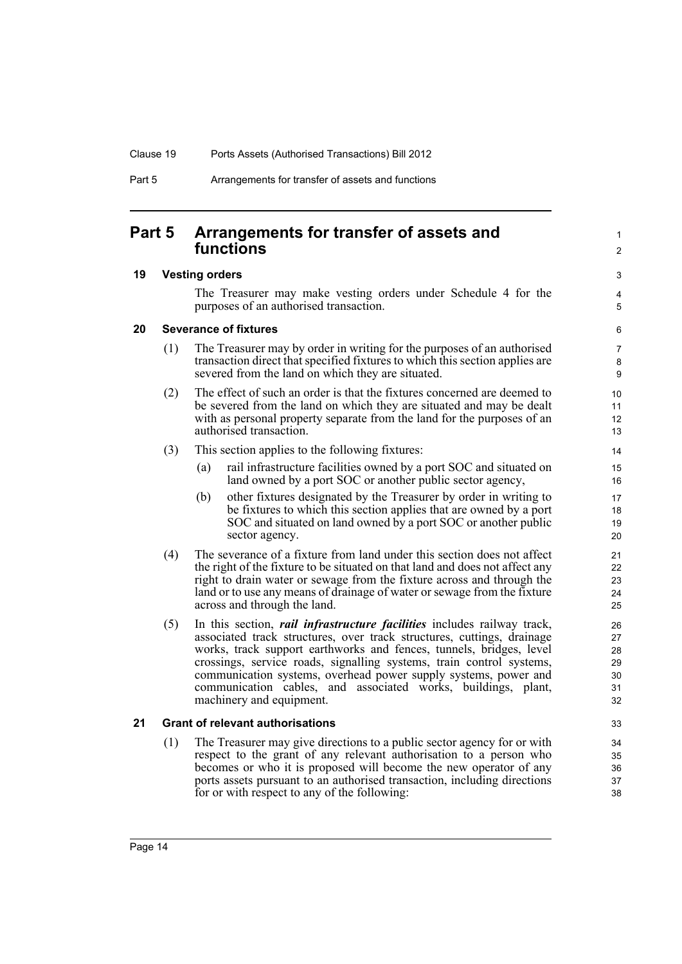### <span id="page-23-0"></span>**Part 5 Arrangements for transfer of assets and functions**

#### <span id="page-23-1"></span>**19 Vesting orders**

The Treasurer may make vesting orders under Schedule 4 for the purposes of an authorised transaction.

1  $\mathfrak{p}$ 

3 4 5

#### <span id="page-23-2"></span>**20 Severance of fixtures**

- (1) The Treasurer may by order in writing for the purposes of an authorised transaction direct that specified fixtures to which this section applies are severed from the land on which they are situated.
- (2) The effect of such an order is that the fixtures concerned are deemed to be severed from the land on which they are situated and may be dealt with as personal property separate from the land for the purposes of an authorised transaction.
- (3) This section applies to the following fixtures:
	- (a) rail infrastructure facilities owned by a port SOC and situated on land owned by a port SOC or another public sector agency,
	- (b) other fixtures designated by the Treasurer by order in writing to be fixtures to which this section applies that are owned by a port SOC and situated on land owned by a port SOC or another public sector agency.
- (4) The severance of a fixture from land under this section does not affect the right of the fixture to be situated on that land and does not affect any right to drain water or sewage from the fixture across and through the land or to use any means of drainage of water or sewage from the fixture across and through the land.
- (5) In this section, *rail infrastructure facilities* includes railway track, associated track structures, over track structures, cuttings, drainage works, track support earthworks and fences, tunnels, bridges, level crossings, service roads, signalling systems, train control systems, communication systems, overhead power supply systems, power and communication cables, and associated works, buildings, plant, machinery and equipment.

### <span id="page-23-3"></span>**21 Grant of relevant authorisations**

(1) The Treasurer may give directions to a public sector agency for or with respect to the grant of any relevant authorisation to a person who becomes or who it is proposed will become the new operator of any ports assets pursuant to an authorised transaction, including directions for or with respect to any of the following: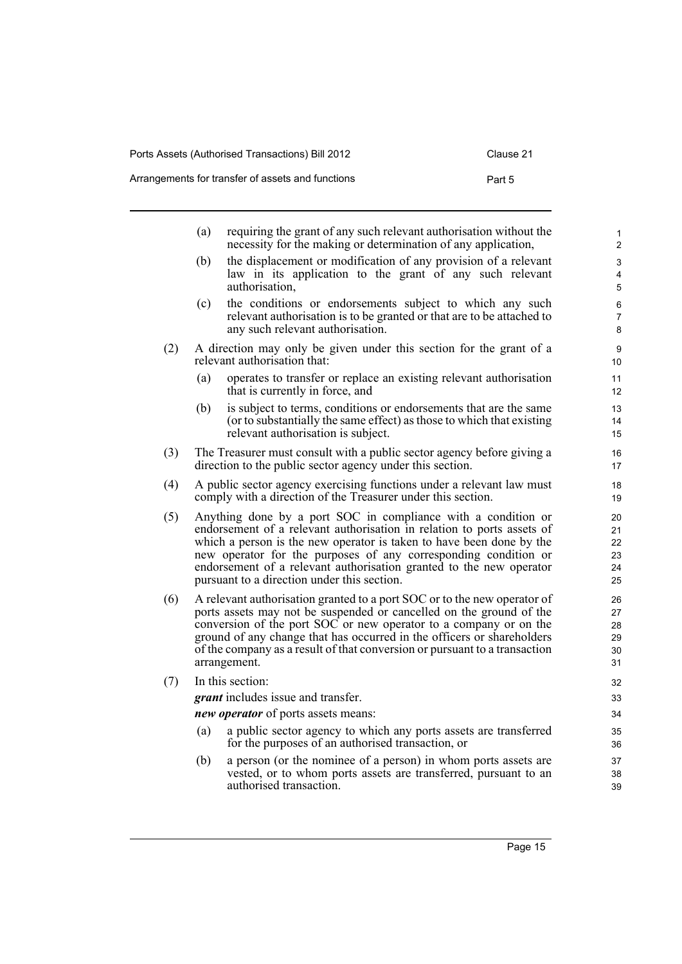### Arrangements for transfer of assets and functions extending the Part 5

|     | (a) | requiring the grant of any such relevant authorisation without the<br>necessity for the making or determination of any application,                                                                                                                                                                                                                                                                      | 1<br>2                           |
|-----|-----|----------------------------------------------------------------------------------------------------------------------------------------------------------------------------------------------------------------------------------------------------------------------------------------------------------------------------------------------------------------------------------------------------------|----------------------------------|
|     | (b) | the displacement or modification of any provision of a relevant<br>law in its application to the grant of any such relevant<br>authorisation,                                                                                                                                                                                                                                                            | 3<br>$\overline{4}$<br>5         |
|     | (c) | the conditions or endorsements subject to which any such<br>relevant authorisation is to be granted or that are to be attached to<br>any such relevant authorisation.                                                                                                                                                                                                                                    | 6<br>7<br>8                      |
| (2) |     | A direction may only be given under this section for the grant of a<br>relevant authorisation that:                                                                                                                                                                                                                                                                                                      | 9<br>10                          |
|     | (a) | operates to transfer or replace an existing relevant authorisation<br>that is currently in force, and                                                                                                                                                                                                                                                                                                    | 11<br>12                         |
|     | (b) | is subject to terms, conditions or endorsements that are the same<br>(or to substantially the same effect) as those to which that existing<br>relevant authorisation is subject.                                                                                                                                                                                                                         | 13<br>14<br>15                   |
| (3) |     | The Treasurer must consult with a public sector agency before giving a<br>direction to the public sector agency under this section.                                                                                                                                                                                                                                                                      | 16<br>17                         |
| (4) |     | A public sector agency exercising functions under a relevant law must<br>comply with a direction of the Treasurer under this section.                                                                                                                                                                                                                                                                    | 18<br>19                         |
| (5) |     | Anything done by a port SOC in compliance with a condition or<br>endorsement of a relevant authorisation in relation to ports assets of<br>which a person is the new operator is taken to have been done by the<br>new operator for the purposes of any corresponding condition or<br>endorsement of a relevant authorisation granted to the new operator<br>pursuant to a direction under this section. | 20<br>21<br>22<br>23<br>24<br>25 |
| (6) |     | A relevant authorisation granted to a port SOC or to the new operator of<br>ports assets may not be suspended or cancelled on the ground of the<br>conversion of the port SOC or new operator to a company or on the<br>ground of any change that has occurred in the officers or shareholders<br>of the company as a result of that conversion or pursuant to a transaction<br>arrangement.             | 26<br>27<br>28<br>29<br>30<br>31 |
| (7) |     | In this section:                                                                                                                                                                                                                                                                                                                                                                                         | 32                               |
|     |     | <i>grant</i> includes issue and transfer.                                                                                                                                                                                                                                                                                                                                                                | 33                               |
|     |     | <i>new operator</i> of ports assets means:                                                                                                                                                                                                                                                                                                                                                               | 34                               |
|     | (a) | a public sector agency to which any ports assets are transferred<br>for the purposes of an authorised transaction, or                                                                                                                                                                                                                                                                                    | 35<br>36                         |
|     | (b) | a person (or the nominee of a person) in whom ports assets are<br>vested, or to whom ports assets are transferred, pursuant to an<br>authorised transaction.                                                                                                                                                                                                                                             | 37<br>38<br>39                   |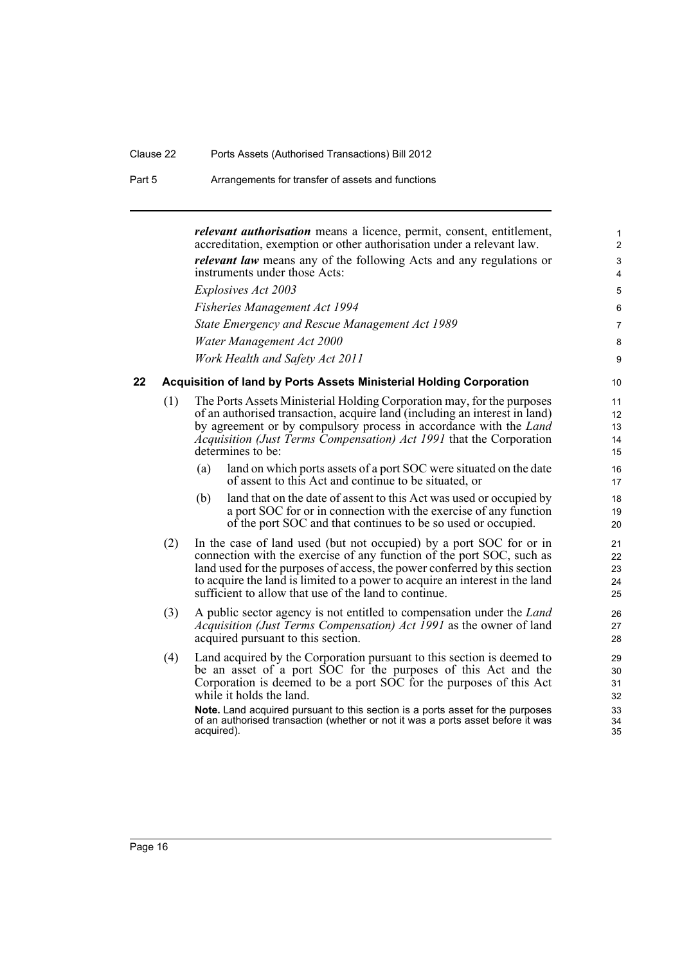<span id="page-25-0"></span>*relevant authorisation* means a licence, permit, consent, entitlement, accreditation, exemption or other authorisation under a relevant law. *relevant law* means any of the following Acts and any regulations or instruments under those Acts: *Explosives Act 2003 Fisheries Management Act 1994 State Emergency and Rescue Management Act 1989 Water Management Act 2000 Work Health and Safety Act 2011* **22 Acquisition of land by Ports Assets Ministerial Holding Corporation** (1) The Ports Assets Ministerial Holding Corporation may, for the purposes of an authorised transaction, acquire land (including an interest in land) by agreement or by compulsory process in accordance with the *Land Acquisition (Just Terms Compensation) Act 1991* that the Corporation determines to be: (a) land on which ports assets of a port SOC were situated on the date of assent to this Act and continue to be situated, or (b) land that on the date of assent to this Act was used or occupied by a port SOC for or in connection with the exercise of any function of the port SOC and that continues to be so used or occupied. (2) In the case of land used (but not occupied) by a port SOC for or in connection with the exercise of any function of the port SOC, such as land used for the purposes of access, the power conferred by this section to acquire the land is limited to a power to acquire an interest in the land sufficient to allow that use of the land to continue. (3) A public sector agency is not entitled to compensation under the *Land Acquisition (Just Terms Compensation) Act 1991* as the owner of land acquired pursuant to this section. (4) Land acquired by the Corporation pursuant to this section is deemed to be an asset of a port SOC for the purposes of this Act and the Corporation is deemed to be a port SOC for the purposes of this Act while it holds the land. **Note.** Land acquired pursuant to this section is a ports asset for the purposes of an authorised transaction (whether or not it was a ports asset before it was acquired). 1 2 3 4 5 6 7 8 9 10 11 12 13 14 15 16 17 18 19 20 21 22 23 24 25 26 27 28 29 30 31 32 33 34 35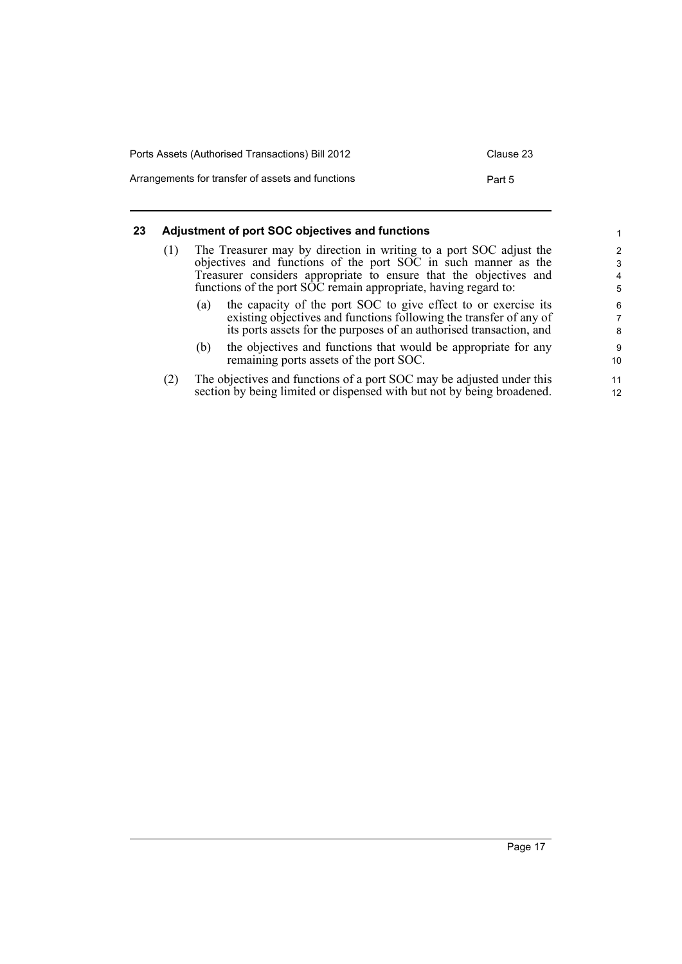| Ports Assets (Authorised Transactions) Bill 2012  | Clause 23 |
|---------------------------------------------------|-----------|
| Arrangements for transfer of assets and functions | Part 5    |

#### <span id="page-26-0"></span>**23 Adjustment of port SOC objectives and functions**

| (1) |     | The Treasurer may by direction in writing to a port SOC adjust the<br>objectives and functions of the port SOC in such manner as the<br>Treasurer considers appropriate to ensure that the objectives and<br>functions of the port SOC remain appropriate, having regard to: |
|-----|-----|------------------------------------------------------------------------------------------------------------------------------------------------------------------------------------------------------------------------------------------------------------------------------|
|     | (a) | the capacity of the port SOC to give effect to or exercise its<br>existing objectives and functions following the transfer of any of<br>its ports assets for the purposes of an authorised transaction, and                                                                  |

- (b) the objectives and functions that would be appropriate for any remaining ports assets of the port SOC.
- (2) The objectives and functions of a port SOC may be adjusted under this section by being limited or dispensed with but not by being broadened.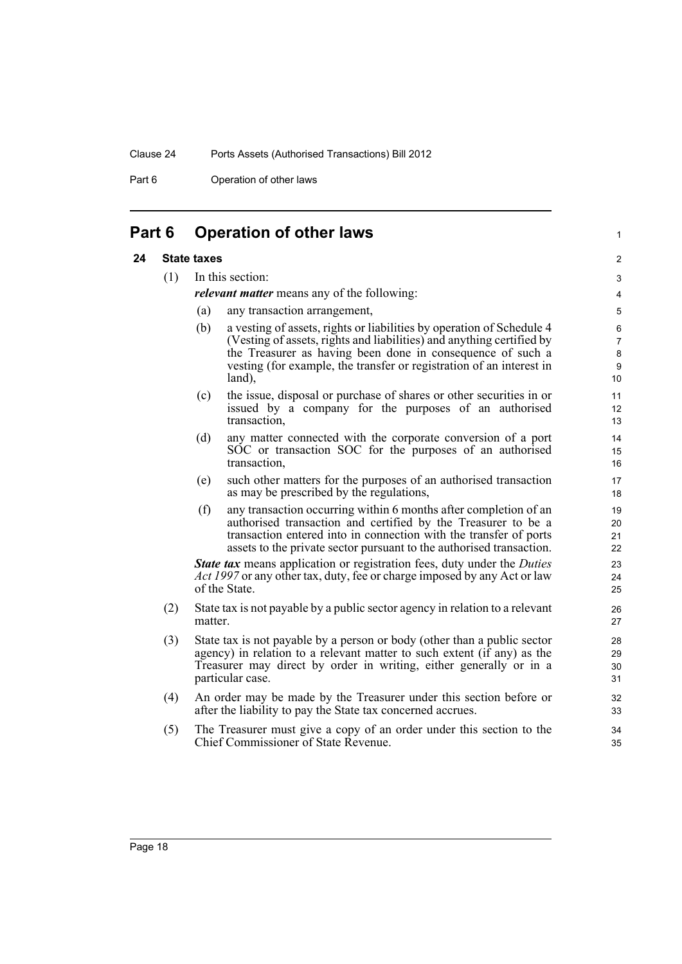Part 6 **Operation of other laws** 

### <span id="page-27-0"></span>**Part 6 Operation of other laws**

#### <span id="page-27-1"></span>**24 State taxes**

#### (1) In this section:

*relevant matter* means any of the following:

- (a) any transaction arrangement,
- (b) a vesting of assets, rights or liabilities by operation of Schedule 4 (Vesting of assets, rights and liabilities) and anything certified by the Treasurer as having been done in consequence of such a vesting (for example, the transfer or registration of an interest in land),

1

- (c) the issue, disposal or purchase of shares or other securities in or issued by a company for the purposes of an authorised transaction,
- (d) any matter connected with the corporate conversion of a port SOC or transaction SOC for the purposes of an authorised transaction,
- (e) such other matters for the purposes of an authorised transaction as may be prescribed by the regulations,
- (f) any transaction occurring within 6 months after completion of an authorised transaction and certified by the Treasurer to be a transaction entered into in connection with the transfer of ports assets to the private sector pursuant to the authorised transaction.

*State tax* means application or registration fees, duty under the *Duties Act 1997* or any other tax, duty, fee or charge imposed by any Act or law of the State.

- (2) State tax is not payable by a public sector agency in relation to a relevant matter.
- (3) State tax is not payable by a person or body (other than a public sector agency) in relation to a relevant matter to such extent (if any) as the Treasurer may direct by order in writing, either generally or in a particular case.
- (4) An order may be made by the Treasurer under this section before or after the liability to pay the State tax concerned accrues.
- (5) The Treasurer must give a copy of an order under this section to the Chief Commissioner of State Revenue.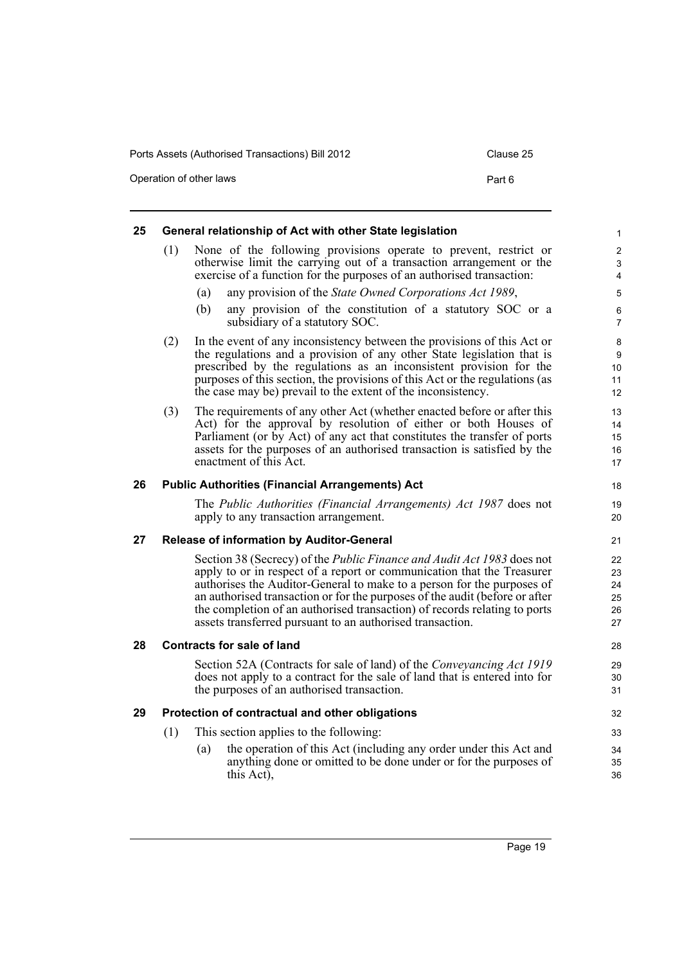Operation of other laws **Part 6** 

<span id="page-28-4"></span><span id="page-28-3"></span><span id="page-28-2"></span><span id="page-28-1"></span><span id="page-28-0"></span>

| (1) |                                   | None of the following provisions operate to prevent, restrict or                                                                                      | $\overline{c}$            |  |
|-----|-----------------------------------|-------------------------------------------------------------------------------------------------------------------------------------------------------|---------------------------|--|
|     |                                   | otherwise limit the carrying out of a transaction arrangement or the                                                                                  | 3                         |  |
|     |                                   | exercise of a function for the purposes of an authorised transaction:                                                                                 | $\overline{4}$            |  |
|     | (a)                               | any provision of the State Owned Corporations Act 1989,                                                                                               | $\mathbf 5$               |  |
|     | (b)                               | any provision of the constitution of a statutory SOC or a<br>subsidiary of a statutory SOC.                                                           | $\,6\,$<br>$\overline{7}$ |  |
| (2) |                                   | In the event of any inconsistency between the provisions of this Act or                                                                               | 8                         |  |
|     |                                   | the regulations and a provision of any other State legislation that is                                                                                | $\boldsymbol{9}$          |  |
|     |                                   | prescribed by the regulations as an inconsistent provision for the<br>purposes of this section, the provisions of this Act or the regulations (as     | 10<br>11                  |  |
|     |                                   | the case may be) prevail to the extent of the inconsistency.                                                                                          | 12                        |  |
| (3) |                                   | The requirements of any other Act (whether enacted before or after this                                                                               | 13                        |  |
|     |                                   | Act) for the approval by resolution of either or both Houses of                                                                                       | 14                        |  |
|     |                                   | Parliament (or by Act) of any act that constitutes the transfer of ports<br>assets for the purposes of an authorised transaction is satisfied by the  | 15<br>16                  |  |
|     |                                   | enactment of this Act.                                                                                                                                | 17                        |  |
|     |                                   | <b>Public Authorities (Financial Arrangements) Act</b>                                                                                                | 18                        |  |
|     |                                   | The Public Authorities (Financial Arrangements) Act 1987 does not                                                                                     | 19                        |  |
|     |                                   | apply to any transaction arrangement.                                                                                                                 | 20                        |  |
| 27  |                                   | <b>Release of information by Auditor-General</b>                                                                                                      | 21                        |  |
|     |                                   | Section 38 (Secrecy) of the <i>Public Finance and Audit Act 1983</i> does not                                                                         | 22                        |  |
|     |                                   | apply to or in respect of a report or communication that the Treasurer                                                                                | 23                        |  |
|     |                                   | authorises the Auditor-General to make to a person for the purposes of<br>an authorised transaction or for the purposes of the audit (before or after | 24<br>25                  |  |
|     |                                   | the completion of an authorised transaction) of records relating to ports                                                                             | 26                        |  |
|     |                                   | assets transferred pursuant to an authorised transaction.                                                                                             | 27                        |  |
|     | <b>Contracts for sale of land</b> |                                                                                                                                                       |                           |  |
|     |                                   | Section 52A (Contracts for sale of land) of the <i>Conveyancing Act 1919</i>                                                                          | 29                        |  |
|     |                                   | does not apply to a contract for the sale of land that is entered into for<br>the purposes of an authorised transaction.                              | 30<br>31                  |  |
|     |                                   | Protection of contractual and other obligations                                                                                                       | 32                        |  |
| (1) |                                   | This section applies to the following:                                                                                                                | 33                        |  |
|     | (a)                               | the operation of this Act (including any order under this Act and                                                                                     | 34                        |  |
|     |                                   | anything done or omitted to be done under or for the purposes of<br>this Act),                                                                        | 35<br>36                  |  |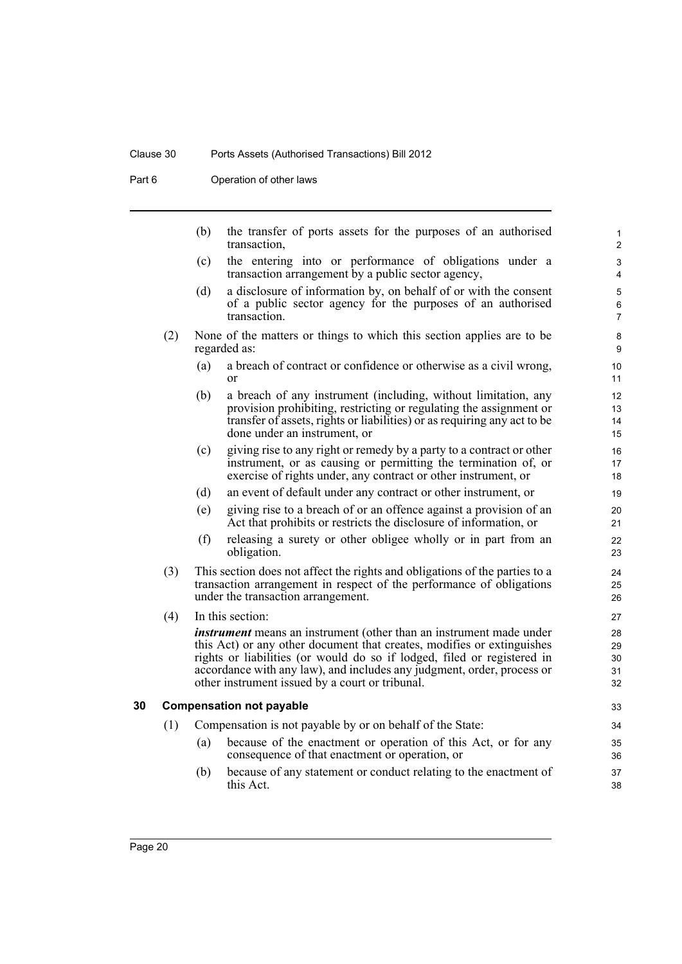### Clause 30 Ports Assets (Authorised Transactions) Bill 2012

Part 6 **Operation of other laws** 

<span id="page-29-0"></span>

|    |     | (b) | the transfer of ports assets for the purposes of an authorised<br>transaction,                                                                                                                                                                                                                                                                               | 1<br>$\overline{c}$                             |
|----|-----|-----|--------------------------------------------------------------------------------------------------------------------------------------------------------------------------------------------------------------------------------------------------------------------------------------------------------------------------------------------------------------|-------------------------------------------------|
|    |     | (c) | the entering into or performance of obligations under a<br>transaction arrangement by a public sector agency,                                                                                                                                                                                                                                                | 3<br>4                                          |
|    |     | (d) | a disclosure of information by, on behalf of or with the consent<br>of a public sector agency for the purposes of an authorised<br>transaction.                                                                                                                                                                                                              | 5<br>6<br>$\overline{7}$                        |
|    | (2) |     | None of the matters or things to which this section applies are to be<br>regarded as:                                                                                                                                                                                                                                                                        | 8<br>9                                          |
|    |     | (a) | a breach of contract or confidence or otherwise as a civil wrong,<br><sub>or</sub>                                                                                                                                                                                                                                                                           | 10 <sup>°</sup><br>11                           |
|    |     | (b) | a breach of any instrument (including, without limitation, any<br>provision prohibiting, restricting or regulating the assignment or<br>transfer of assets, rights or liabilities) or as requiring any act to be<br>done under an instrument, or                                                                                                             | 12 <sup>2</sup><br>13<br>14<br>15 <sup>15</sup> |
|    |     | (c) | giving rise to any right or remedy by a party to a contract or other<br>instrument, or as causing or permitting the termination of, or<br>exercise of rights under, any contract or other instrument, or                                                                                                                                                     | 16<br>17<br>18                                  |
|    |     | (d) | an event of default under any contract or other instrument, or                                                                                                                                                                                                                                                                                               | 19                                              |
|    |     | (e) | giving rise to a breach of or an offence against a provision of an<br>Act that prohibits or restricts the disclosure of information, or                                                                                                                                                                                                                      | 20<br>21                                        |
|    |     | (f) | releasing a surety or other obligee wholly or in part from an<br>obligation.                                                                                                                                                                                                                                                                                 | 22<br>23                                        |
|    | (3) |     | This section does not affect the rights and obligations of the parties to a<br>transaction arrangement in respect of the performance of obligations<br>under the transaction arrangement.                                                                                                                                                                    | 24<br>25<br>26                                  |
|    | (4) |     | In this section:                                                                                                                                                                                                                                                                                                                                             | 27                                              |
|    |     |     | <i>instrument</i> means an instrument (other than an instrument made under<br>this Act) or any other document that creates, modifies or extinguishes<br>rights or liabilities (or would do so if lodged, filed or registered in<br>accordance with any law), and includes any judgment, order, process or<br>other instrument issued by a court or tribunal. | 28<br>29<br>30<br>31<br>32                      |
| 30 |     |     | <b>Compensation not payable</b>                                                                                                                                                                                                                                                                                                                              | 33                                              |
|    | (1) |     | Compensation is not payable by or on behalf of the State:                                                                                                                                                                                                                                                                                                    | 34                                              |
|    |     | (a) | because of the enactment or operation of this Act, or for any<br>consequence of that enactment or operation, or                                                                                                                                                                                                                                              | 35<br>36                                        |
|    |     | (b) | because of any statement or conduct relating to the enactment of<br>this Act.                                                                                                                                                                                                                                                                                | 37<br>38                                        |
|    |     |     |                                                                                                                                                                                                                                                                                                                                                              |                                                 |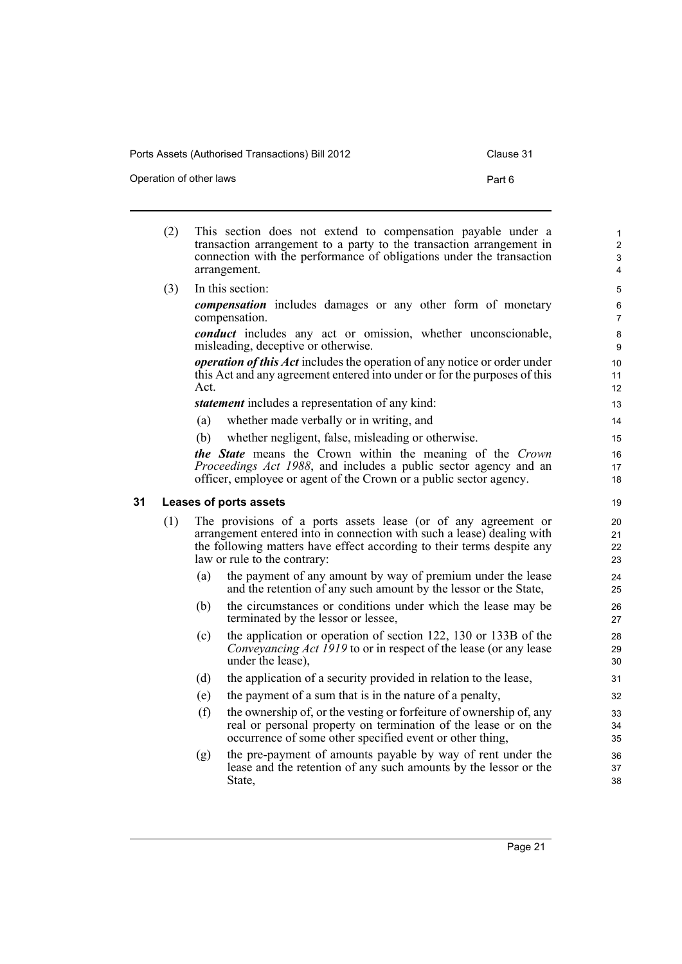Operation of other laws **Part 6** 

<span id="page-30-0"></span>(2) This section does not extend to compensation payable under a transaction arrangement to a party to the transaction arrangement in connection with the performance of obligations under the transaction arrangement. (3) In this section: *compensation* includes damages or any other form of monetary compensation. *conduct* includes any act or omission, whether unconscionable, misleading, deceptive or otherwise. *operation of this Act* includes the operation of any notice or order under this Act and any agreement entered into under or for the purposes of this Act. *statement* includes a representation of any kind: (a) whether made verbally or in writing, and (b) whether negligent, false, misleading or otherwise. *the State* means the Crown within the meaning of the *Crown Proceedings Act 1988*, and includes a public sector agency and an officer, employee or agent of the Crown or a public sector agency. **31 Leases of ports assets** (1) The provisions of a ports assets lease (or of any agreement or arrangement entered into in connection with such a lease) dealing with the following matters have effect according to their terms despite any law or rule to the contrary: (a) the payment of any amount by way of premium under the lease and the retention of any such amount by the lessor or the State, (b) the circumstances or conditions under which the lease may be terminated by the lessor or lessee, (c) the application or operation of section 122, 130 or 133B of the *Conveyancing Act 1919* to or in respect of the lease (or any lease under the lease), (d) the application of a security provided in relation to the lease, (e) the payment of a sum that is in the nature of a penalty, (f) the ownership of, or the vesting or forfeiture of ownership of, any real or personal property on termination of the lease or on the occurrence of some other specified event or other thing, (g) the pre-payment of amounts payable by way of rent under the lease and the retention of any such amounts by the lessor or the State, 1  $\overline{2}$ 3 4 5 6 7 8 9 10 11 12 13 14 15 16 17 18 19 20 21  $22$ 23 24 25 26 27 28 29 30 31 32 33 34 35 36 37 38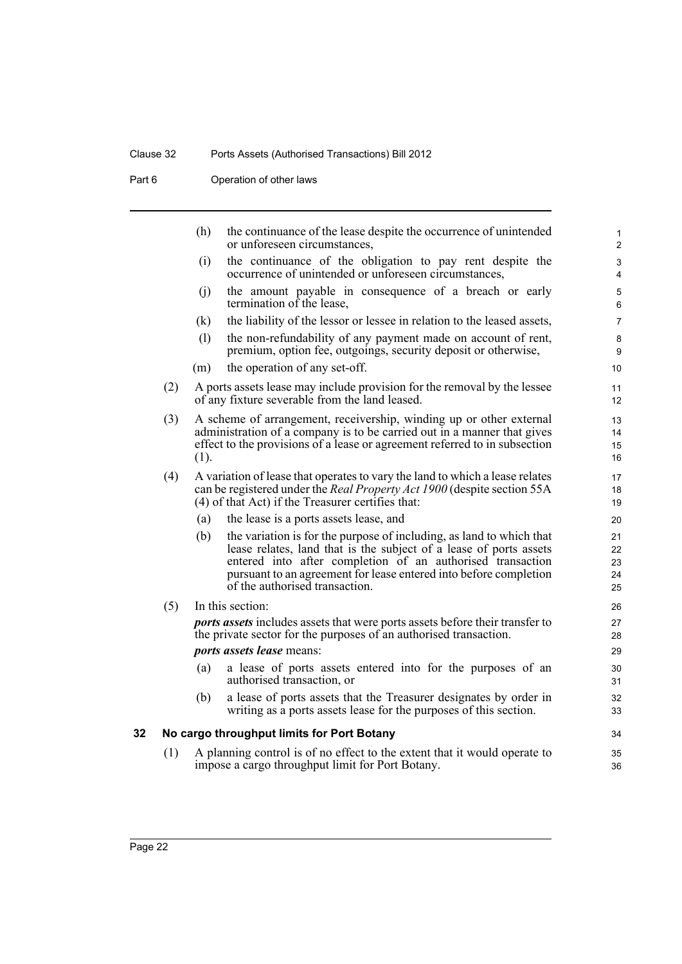### Clause 32 Ports Assets (Authorised Transactions) Bill 2012

Part 6 **Operation of other laws** 

<span id="page-31-0"></span>

|    |     | (h)  | the continuance of the lease despite the occurrence of unintended<br>or unforeseen circumstances,                                                                                                                                                                                                               | $\mathbf{1}$<br>2              |
|----|-----|------|-----------------------------------------------------------------------------------------------------------------------------------------------------------------------------------------------------------------------------------------------------------------------------------------------------------------|--------------------------------|
|    |     | (i)  | the continuance of the obligation to pay rent despite the<br>occurrence of unintended or unforeseen circumstances,                                                                                                                                                                                              | $\ensuremath{\mathsf{3}}$<br>4 |
|    |     | (i)  | the amount payable in consequence of a breach or early<br>termination of the lease,                                                                                                                                                                                                                             | $\mathbf 5$<br>6               |
|    |     | (k)  | the liability of the lessor or lessee in relation to the leased assets,                                                                                                                                                                                                                                         | $\overline{7}$                 |
|    |     | (1)  | the non-refundability of any payment made on account of rent,<br>premium, option fee, outgoings, security deposit or otherwise,                                                                                                                                                                                 | 8<br>9                         |
|    |     | (m)  | the operation of any set-off.                                                                                                                                                                                                                                                                                   | 10                             |
|    | (2) |      | A ports assets lease may include provision for the removal by the lessee<br>of any fixture severable from the land leased.                                                                                                                                                                                      | 11<br>12                       |
|    | (3) | (1). | A scheme of arrangement, receivership, winding up or other external<br>administration of a company is to be carried out in a manner that gives<br>effect to the provisions of a lease or agreement referred to in subsection                                                                                    | 13<br>14<br>15<br>16           |
|    | (4) |      | A variation of lease that operates to vary the land to which a lease relates<br>can be registered under the <i>Real Property Act 1900</i> (despite section 55A<br>(4) of that Act) if the Treasurer certifies that:                                                                                             | 17<br>18<br>19                 |
|    |     | (a)  | the lease is a ports assets lease, and                                                                                                                                                                                                                                                                          | 20                             |
|    |     | (b)  | the variation is for the purpose of including, as land to which that<br>lease relates, land that is the subject of a lease of ports assets<br>entered into after completion of an authorised transaction<br>pursuant to an agreement for lease entered into before completion<br>of the authorised transaction. | 21<br>22<br>23<br>24<br>25     |
|    | (5) |      | In this section:                                                                                                                                                                                                                                                                                                | 26                             |
|    |     |      | <i>ports assets</i> includes assets that were ports assets before their transfer to<br>the private sector for the purposes of an authorised transaction.                                                                                                                                                        | 27<br>28                       |
|    |     |      | <i>ports assets lease means:</i>                                                                                                                                                                                                                                                                                | 29                             |
|    |     | (a)  | a lease of ports assets entered into for the purposes of an<br>authorised transaction, or                                                                                                                                                                                                                       | 30<br>31                       |
|    |     | (b)  | a lease of ports assets that the Treasurer designates by order in<br>writing as a ports assets lease for the purposes of this section.                                                                                                                                                                          | 32<br>33                       |
| 32 |     |      | No cargo throughput limits for Port Botany                                                                                                                                                                                                                                                                      | 34                             |
|    | (1) |      | A planning control is of no effect to the extent that it would operate to<br>impose a cargo throughput limit for Port Botany.                                                                                                                                                                                   | 35<br>36                       |
|    |     |      |                                                                                                                                                                                                                                                                                                                 |                                |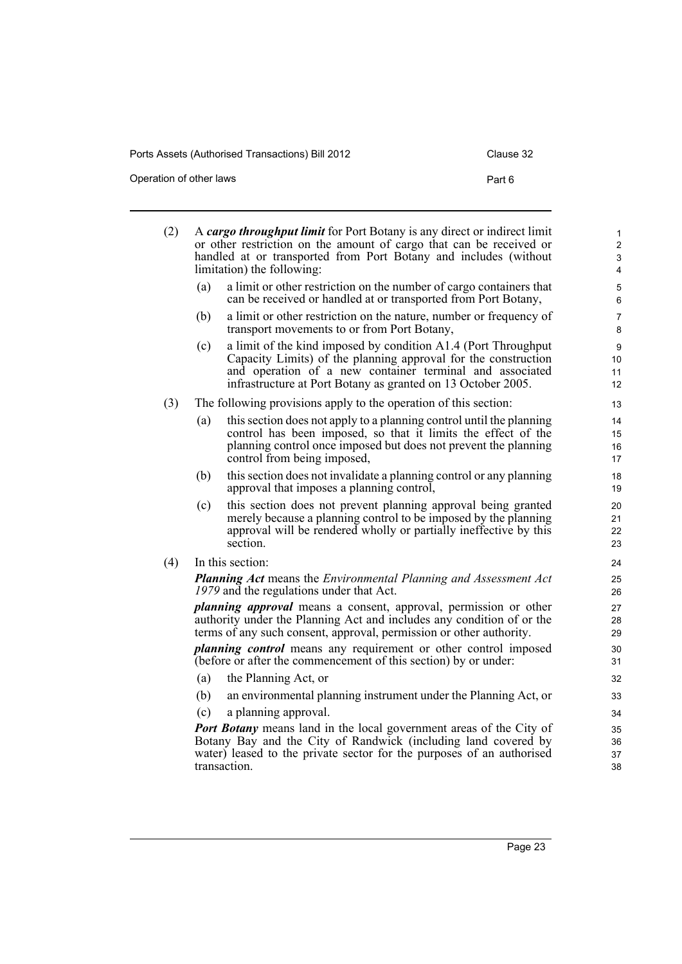Operation of other laws **Part 6** 

| (2) | A cargo throughput limit for Port Botany is any direct or indirect limit<br>or other restriction on the amount of cargo that can be received or<br>handled at or transported from Port Botany and includes (without<br>limitation) the following: |                                                                                                                                                                                                                                                              |                      |  |  |
|-----|---------------------------------------------------------------------------------------------------------------------------------------------------------------------------------------------------------------------------------------------------|--------------------------------------------------------------------------------------------------------------------------------------------------------------------------------------------------------------------------------------------------------------|----------------------|--|--|
|     | (a)                                                                                                                                                                                                                                               | a limit or other restriction on the number of cargo containers that<br>can be received or handled at or transported from Port Botany,                                                                                                                        | 5<br>6               |  |  |
|     | (b)                                                                                                                                                                                                                                               | a limit or other restriction on the nature, number or frequency of<br>transport movements to or from Port Botany,                                                                                                                                            | 7<br>8               |  |  |
|     | (c)                                                                                                                                                                                                                                               | a limit of the kind imposed by condition A1.4 (Port Throughput<br>Capacity Limits) of the planning approval for the construction<br>and operation of a new container terminal and associated<br>infrastructure at Port Botany as granted on 13 October 2005. | 9<br>10<br>11<br>12  |  |  |
| (3) | The following provisions apply to the operation of this section:                                                                                                                                                                                  |                                                                                                                                                                                                                                                              |                      |  |  |
|     | (a)                                                                                                                                                                                                                                               | this section does not apply to a planning control until the planning<br>control has been imposed, so that it limits the effect of the<br>planning control once imposed but does not prevent the planning<br>control from being imposed,                      | 14<br>15<br>16<br>17 |  |  |
|     | (b)                                                                                                                                                                                                                                               | this section does not invalidate a planning control or any planning<br>approval that imposes a planning control,                                                                                                                                             | 18<br>19             |  |  |
|     | (c)                                                                                                                                                                                                                                               | this section does not prevent planning approval being granted<br>merely because a planning control to be imposed by the planning<br>approval will be rendered wholly or partially ineffective by this<br>section.                                            | 20<br>21<br>22<br>23 |  |  |
| (4) |                                                                                                                                                                                                                                                   | In this section:                                                                                                                                                                                                                                             | 24                   |  |  |
|     | <b>Planning Act means the Environmental Planning and Assessment Act</b><br>1979 and the regulations under that Act.                                                                                                                               |                                                                                                                                                                                                                                                              |                      |  |  |
|     | <i>planning approval</i> means a consent, approval, permission or other<br>authority under the Planning Act and includes any condition of or the<br>terms of any such consent, approval, permission or other authority.                           |                                                                                                                                                                                                                                                              |                      |  |  |
|     |                                                                                                                                                                                                                                                   | <i>planning control</i> means any requirement or other control imposed<br>(before or after the commencement of this section) by or under:                                                                                                                    | 30<br>31             |  |  |
|     | (a)                                                                                                                                                                                                                                               | the Planning Act, or                                                                                                                                                                                                                                         | 32                   |  |  |
|     | (b)                                                                                                                                                                                                                                               | an environmental planning instrument under the Planning Act, or                                                                                                                                                                                              | 33                   |  |  |
|     | (c)                                                                                                                                                                                                                                               | a planning approval.                                                                                                                                                                                                                                         | 34                   |  |  |
|     | Port Botany means land in the local government areas of the City of<br>Botany Bay and the City of Randwick (including land covered by<br>water) leased to the private sector for the purposes of an authorised<br>transaction.                    |                                                                                                                                                                                                                                                              |                      |  |  |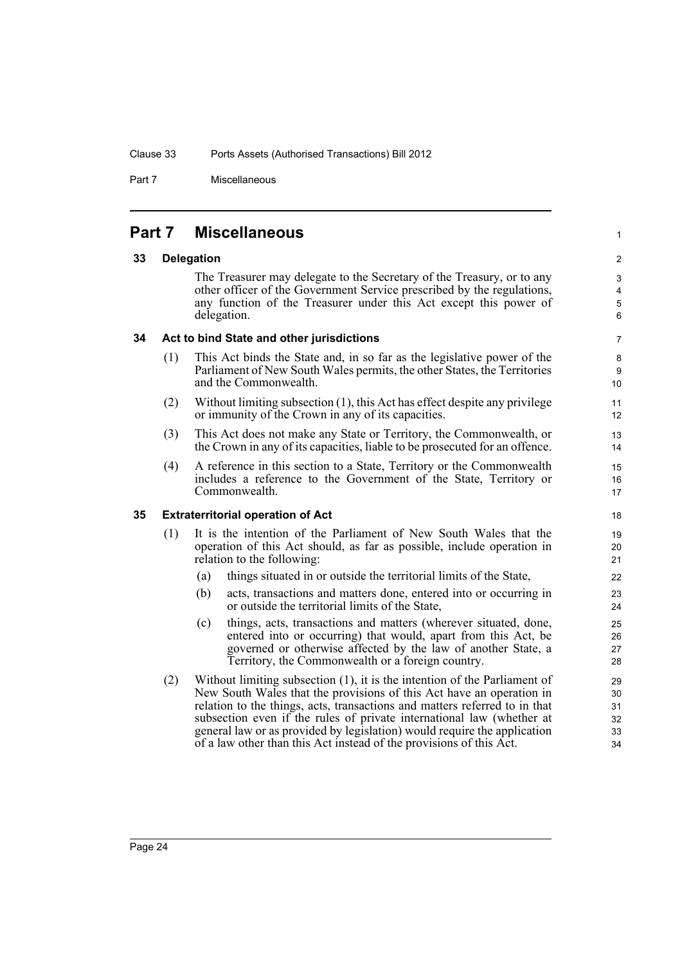Part 7 Miscellaneous

### <span id="page-33-0"></span>**Part 7 Miscellaneous**

### <span id="page-33-1"></span>**33 Delegation**

The Treasurer may delegate to the Secretary of the Treasury, or to any other officer of the Government Service prescribed by the regulations, any function of the Treasurer under this Act except this power of delegation.

1

### <span id="page-33-2"></span>**34 Act to bind State and other jurisdictions**

- (1) This Act binds the State and, in so far as the legislative power of the Parliament of New South Wales permits, the other States, the Territories and the Commonwealth.
- (2) Without limiting subsection (1), this Act has effect despite any privilege or immunity of the Crown in any of its capacities.
- (3) This Act does not make any State or Territory, the Commonwealth, or the Crown in any of its capacities, liable to be prosecuted for an offence.
- (4) A reference in this section to a State, Territory or the Commonwealth includes a reference to the Government of the State, Territory or Commonwealth.

### <span id="page-33-3"></span>**35 Extraterritorial operation of Act**

- (1) It is the intention of the Parliament of New South Wales that the operation of this Act should, as far as possible, include operation in relation to the following:
	- (a) things situated in or outside the territorial limits of the State,
	- (b) acts, transactions and matters done, entered into or occurring in or outside the territorial limits of the State,
	- (c) things, acts, transactions and matters (wherever situated, done, entered into or occurring) that would, apart from this Act, be governed or otherwise affected by the law of another State, a Territory, the Commonwealth or a foreign country.
- (2) Without limiting subsection (1), it is the intention of the Parliament of New South Wales that the provisions of this Act have an operation in relation to the things, acts, transactions and matters referred to in that subsection even if the rules of private international law (whether at general law or as provided by legislation) would require the application of a law other than this Act instead of the provisions of this Act.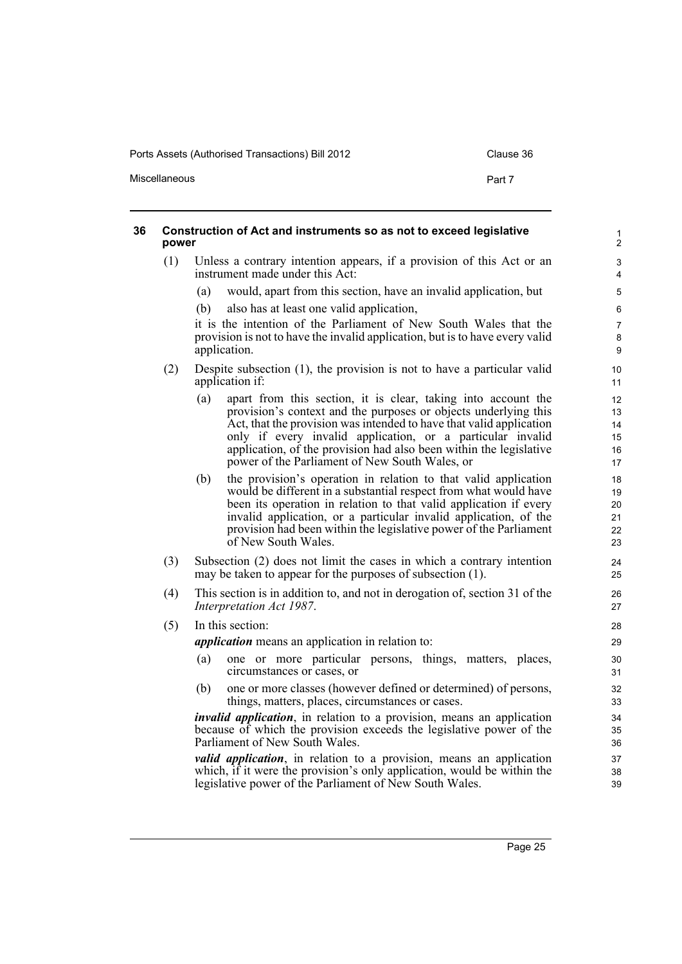Miscellaneous **Part 7** 

<span id="page-34-0"></span>

| power | Construction of Act and instruments so as not to exceed legislative                                                                                                                                                                                                                                                                                                                                  | $\mathbf{1}$<br>$\mathbf{2}$     |
|-------|------------------------------------------------------------------------------------------------------------------------------------------------------------------------------------------------------------------------------------------------------------------------------------------------------------------------------------------------------------------------------------------------------|----------------------------------|
| (1)   | Unless a contrary intention appears, if a provision of this Act or an<br>instrument made under this Act:                                                                                                                                                                                                                                                                                             | 3<br>4                           |
|       | would, apart from this section, have an invalid application, but<br>(a)                                                                                                                                                                                                                                                                                                                              | 5                                |
|       | also has at least one valid application,<br>(b)                                                                                                                                                                                                                                                                                                                                                      | 6                                |
|       | it is the intention of the Parliament of New South Wales that the<br>provision is not to have the invalid application, but is to have every valid<br>application.                                                                                                                                                                                                                                    | $\overline{7}$<br>$\bf 8$<br>9   |
| (2)   | Despite subsection $(1)$ , the provision is not to have a particular valid<br>application if:                                                                                                                                                                                                                                                                                                        | 10<br>11                         |
|       | apart from this section, it is clear, taking into account the<br>(a)<br>provision's context and the purposes or objects underlying this<br>Act, that the provision was intended to have that valid application<br>only if every invalid application, or a particular invalid<br>application, of the provision had also been within the legislative<br>power of the Parliament of New South Wales, or | 12<br>13<br>14<br>15<br>16<br>17 |
|       | the provision's operation in relation to that valid application<br>(b)<br>would be different in a substantial respect from what would have<br>been its operation in relation to that valid application if every<br>invalid application, or a particular invalid application, of the<br>provision had been within the legislative power of the Parliament<br>of New South Wales.                      | 18<br>19<br>20<br>21<br>22<br>23 |
| (3)   | Subsection (2) does not limit the cases in which a contrary intention<br>may be taken to appear for the purposes of subsection (1).                                                                                                                                                                                                                                                                  | 24<br>25                         |
| (4)   | This section is in addition to, and not in derogation of, section 31 of the<br>Interpretation Act 1987.                                                                                                                                                                                                                                                                                              | 26<br>27                         |
| (5)   | In this section:                                                                                                                                                                                                                                                                                                                                                                                     | 28                               |
|       | <i>application</i> means an application in relation to:                                                                                                                                                                                                                                                                                                                                              | 29                               |
|       | one or more particular persons, things, matters, places,<br>(a)<br>circumstances or cases, or                                                                                                                                                                                                                                                                                                        | 30<br>31                         |
|       | one or more classes (however defined or determined) of persons,<br>(b)<br>things, matters, places, circumstances or cases.                                                                                                                                                                                                                                                                           | 32<br>33                         |
|       | <i>invalid application</i> , in relation to a provision, means an application<br>because of which the provision exceeds the legislative power of the<br>Parliament of New South Wales.                                                                                                                                                                                                               | 34<br>35<br>36                   |
|       | <i>valid application</i> , in relation to a provision, means an application<br>which, if it were the provision's only application, would be within the<br>legislative power of the Parliament of New South Wales.                                                                                                                                                                                    | 37<br>38<br>39                   |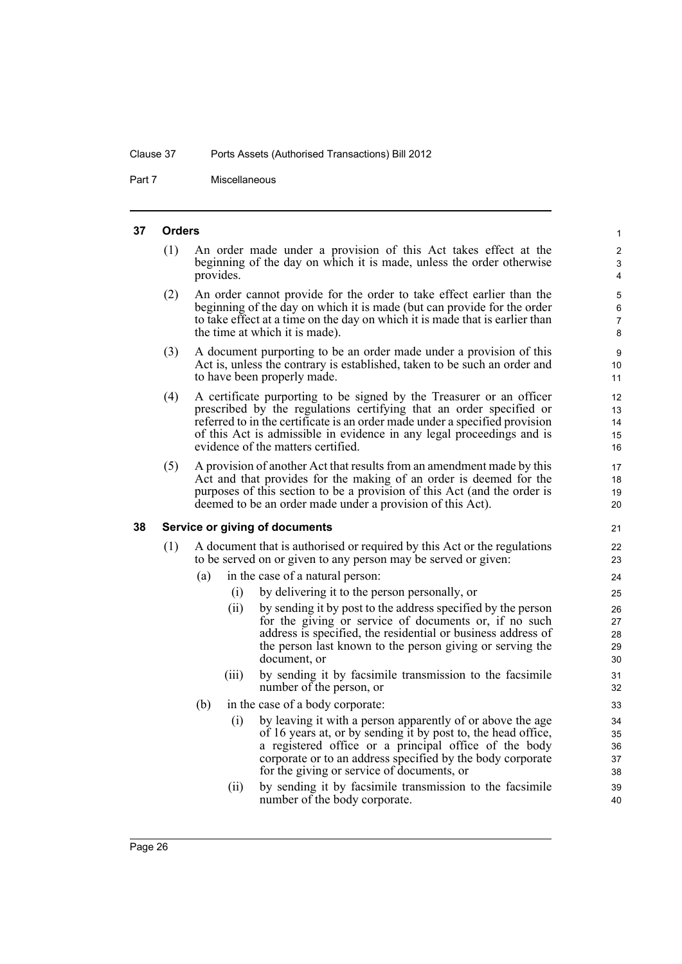Part 7 Miscellaneous

#### <span id="page-35-0"></span>**37 Orders**

(1) An order made under a provision of this Act takes effect at the beginning of the day on which it is made, unless the order otherwise provides.

- (2) An order cannot provide for the order to take effect earlier than the beginning of the day on which it is made (but can provide for the order to take effect at a time on the day on which it is made that is earlier than the time at which it is made).
- (3) A document purporting to be an order made under a provision of this Act is, unless the contrary is established, taken to be such an order and to have been properly made.
- (4) A certificate purporting to be signed by the Treasurer or an officer prescribed by the regulations certifying that an order specified or referred to in the certificate is an order made under a specified provision of this Act is admissible in evidence in any legal proceedings and is evidence of the matters certified.
- (5) A provision of another Act that results from an amendment made by this Act and that provides for the making of an order is deemed for the purposes of this section to be a provision of this Act (and the order is deemed to be an order made under a provision of this Act).

#### <span id="page-35-1"></span>**38 Service or giving of documents**

- (1) A document that is authorised or required by this Act or the regulations to be served on or given to any person may be served or given:
	- (a) in the case of a natural person:
		- (i) by delivering it to the person personally, or
		- (ii) by sending it by post to the address specified by the person for the giving or service of documents or, if no such address is specified, the residential or business address of the person last known to the person giving or serving the document, or
		- (iii) by sending it by facsimile transmission to the facsimile number of the person, or
	- (b) in the case of a body corporate:
		- (i) by leaving it with a person apparently of or above the age of 16 years at, or by sending it by post to, the head office, a registered office or a principal office of the body corporate or to an address specified by the body corporate for the giving or service of documents, or
		- (ii) by sending it by facsimile transmission to the facsimile number of the body corporate.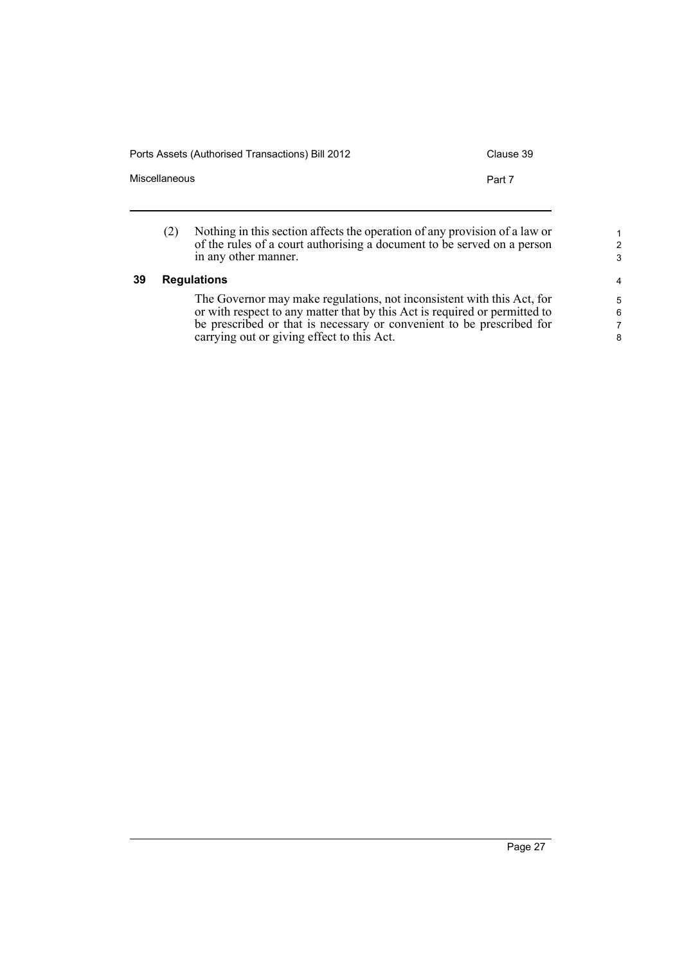Ports Assets (Authorised Transactions) Bill 2012 Clause 39

| Miscellaneous |                                                                                                                                                                               | Part 7 |
|---------------|-------------------------------------------------------------------------------------------------------------------------------------------------------------------------------|--------|
| (2)           | Nothing in this section affects the operation of any provision of a law or<br>of the rules of a court authorising a document to be served on a person<br>in any other manner. |        |

### **39 Regulations**

The Governor may make regulations, not inconsistent with this Act, for or with respect to any matter that by this Act is required or permitted to be prescribed or that is necessary or convenient to be prescribed for carrying out or giving effect to this Act.

1 2 3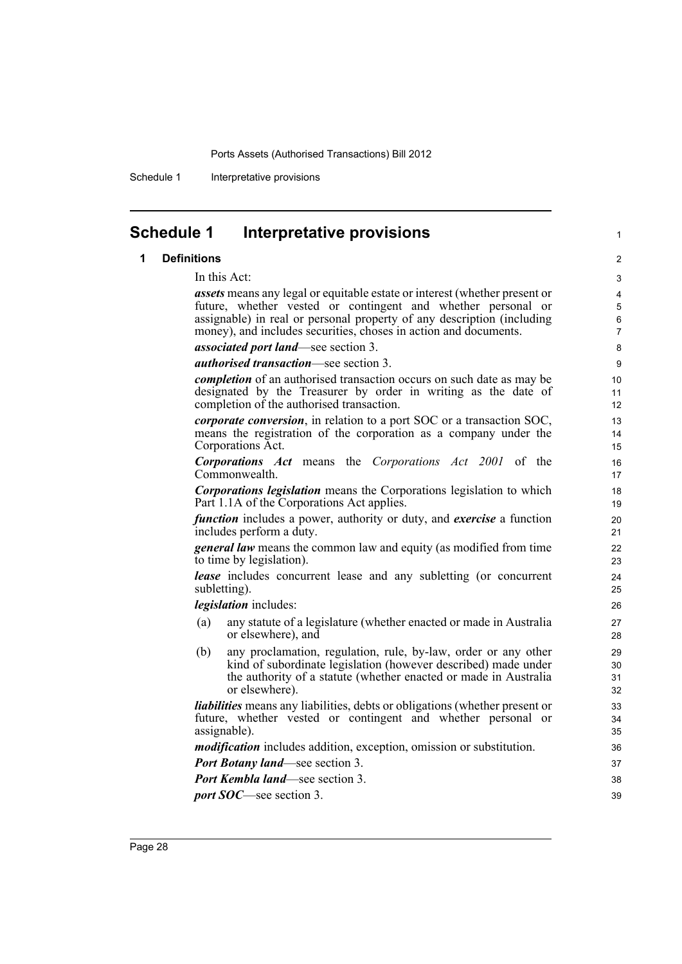Schedule 1 Interpretative provisions

### **Schedule 1 Interpretative provisions**

### **1 Definitions**

In this Act:

*assets* means any legal or equitable estate or interest (whether present or future, whether vested or contingent and whether personal or assignable) in real or personal property of any description (including money), and includes securities, choses in action and documents.

1

*associated port land*—see section 3.

*authorised transaction*—see section 3.

*completion* of an authorised transaction occurs on such date as may be designated by the Treasurer by order in writing as the date of completion of the authorised transaction.

*corporate conversion*, in relation to a port SOC or a transaction SOC, means the registration of the corporation as a company under the Corporations Act.

*Corporations Act* means the *Corporations Act 2001* of the Commonwealth.

*Corporations legislation* means the Corporations legislation to which Part 1.1A of the Corporations Act applies.

*function* includes a power, authority or duty, and *exercise* a function includes perform a duty.

*general law* means the common law and equity (as modified from time to time by legislation).

*lease* includes concurrent lease and any subletting (or concurrent subletting).

*legislation* includes:

- (a) any statute of a legislature (whether enacted or made in Australia or elsewhere), and
- (b) any proclamation, regulation, rule, by-law, order or any other kind of subordinate legislation (however described) made under the authority of a statute (whether enacted or made in Australia or elsewhere).

*liabilities* means any liabilities, debts or obligations (whether present or future, whether vested or contingent and whether personal or assignable).

*modification* includes addition, exception, omission or substitution.

*Port Botany land*—see section 3.

*Port Kembla land*—see section 3.

*port SOC*—see section 3.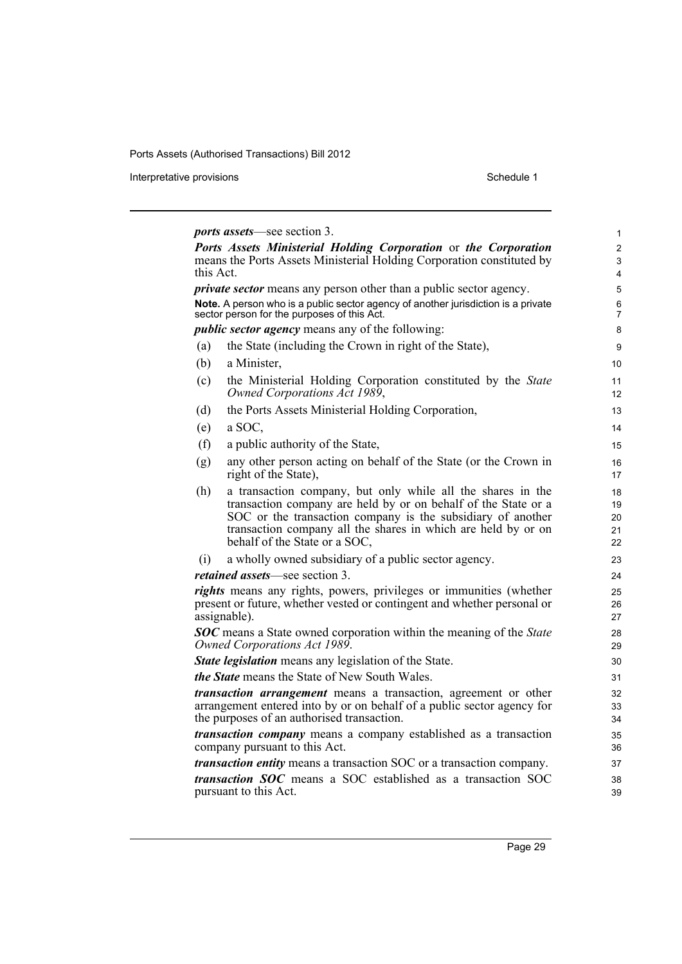Interpretative provisions and the state of the state of the Schedule 1 state of the Schedule 1

|           | <i>ports assets</i> —see section 3.                                                                                                                                                                                                                                                            |  |
|-----------|------------------------------------------------------------------------------------------------------------------------------------------------------------------------------------------------------------------------------------------------------------------------------------------------|--|
|           | Ports Assets Ministerial Holding Corporation or the Corporation                                                                                                                                                                                                                                |  |
| this Act. | means the Ports Assets Ministerial Holding Corporation constituted by                                                                                                                                                                                                                          |  |
|           | <i>private sector</i> means any person other than a public sector agency.                                                                                                                                                                                                                      |  |
|           | Note. A person who is a public sector agency of another jurisdiction is a private                                                                                                                                                                                                              |  |
|           | sector person for the purposes of this Act.                                                                                                                                                                                                                                                    |  |
|           | <i>public sector agency</i> means any of the following:                                                                                                                                                                                                                                        |  |
| (a)       | the State (including the Crown in right of the State),                                                                                                                                                                                                                                         |  |
| (b)       | a Minister,                                                                                                                                                                                                                                                                                    |  |
| (c)       | the Ministerial Holding Corporation constituted by the State<br>Owned Corporations Act 1989,                                                                                                                                                                                                   |  |
| (d)       | the Ports Assets Ministerial Holding Corporation,                                                                                                                                                                                                                                              |  |
| (e)       | a SOC,                                                                                                                                                                                                                                                                                         |  |
| (f)       | a public authority of the State,                                                                                                                                                                                                                                                               |  |
| (g)       | any other person acting on behalf of the State (or the Crown in<br>right of the State),                                                                                                                                                                                                        |  |
| (h)       | a transaction company, but only while all the shares in the<br>transaction company are held by or on behalf of the State or a<br>SOC or the transaction company is the subsidiary of another<br>transaction company all the shares in which are held by or on<br>behalf of the State or a SOC, |  |
| (1)       | a wholly owned subsidiary of a public sector agency.                                                                                                                                                                                                                                           |  |
|           | <i>retained assets</i> —see section 3.                                                                                                                                                                                                                                                         |  |
|           | rights means any rights, powers, privileges or immunities (whether<br>present or future, whether vested or contingent and whether personal or<br>assignable).                                                                                                                                  |  |
|           | <b>SOC</b> means a State owned corporation within the meaning of the State<br>Owned Corporations Act 1989.                                                                                                                                                                                     |  |
|           | <b>State legislation</b> means any legislation of the State.                                                                                                                                                                                                                                   |  |
|           | <i>the State</i> means the State of New South Wales.                                                                                                                                                                                                                                           |  |
|           | <i>transaction arrangement</i> means a transaction, agreement or other<br>arrangement entered into by or on behalf of a public sector agency for<br>the purposes of an authorised transaction.                                                                                                 |  |
|           | <i>transaction company</i> means a company established as a transaction<br>company pursuant to this Act.                                                                                                                                                                                       |  |
|           | <i>transaction entity</i> means a transaction SOC or a transaction company.                                                                                                                                                                                                                    |  |
|           | <i>transaction SOC</i> means a SOC established as a transaction SOC                                                                                                                                                                                                                            |  |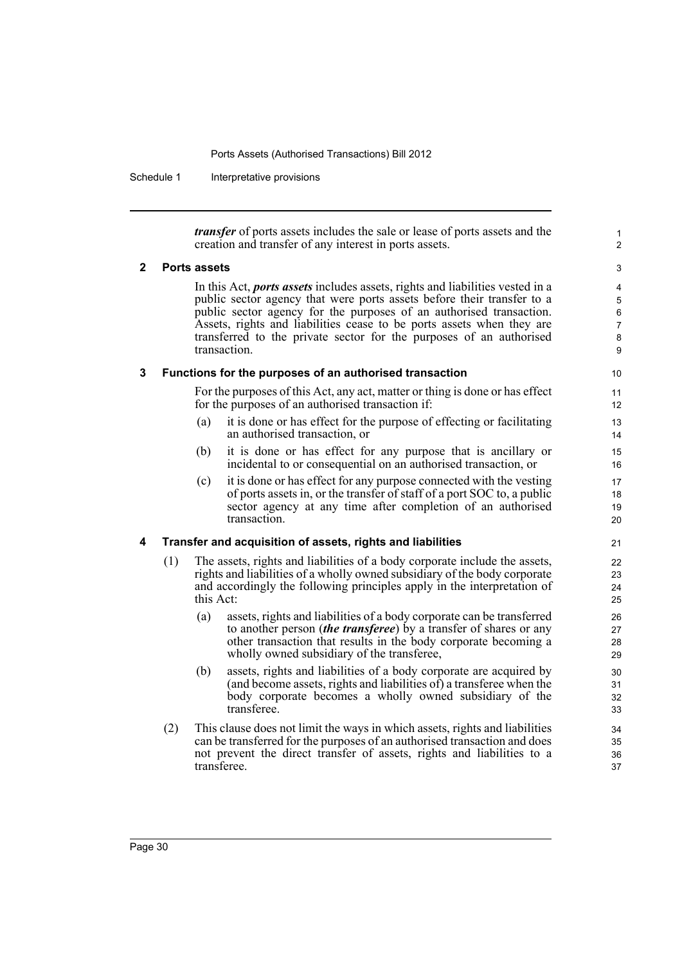Schedule 1 Interpretative provisions

*transfer* of ports assets includes the sale or lease of ports assets and the creation and transfer of any interest in ports assets.

1  $\overline{2}$ 

### **2 Ports assets**

In this Act, *ports assets* includes assets, rights and liabilities vested in a public sector agency that were ports assets before their transfer to a public sector agency for the purposes of an authorised transaction. Assets, rights and liabilities cease to be ports assets when they are transferred to the private sector for the purposes of an authorised transaction.

### **3 Functions for the purposes of an authorised transaction**

For the purposes of this Act, any act, matter or thing is done or has effect for the purposes of an authorised transaction if:

- (a) it is done or has effect for the purpose of effecting or facilitating an authorised transaction, or
- (b) it is done or has effect for any purpose that is ancillary or incidental to or consequential on an authorised transaction, or
- (c) it is done or has effect for any purpose connected with the vesting of ports assets in, or the transfer of staff of a port SOC to, a public sector agency at any time after completion of an authorised transaction.

### **4 Transfer and acquisition of assets, rights and liabilities**

- (1) The assets, rights and liabilities of a body corporate include the assets, rights and liabilities of a wholly owned subsidiary of the body corporate and accordingly the following principles apply in the interpretation of this Act:
	- (a) assets, rights and liabilities of a body corporate can be transferred to another person (*the transferee*) by a transfer of shares or any other transaction that results in the body corporate becoming a wholly owned subsidiary of the transferee,
	- (b) assets, rights and liabilities of a body corporate are acquired by (and become assets, rights and liabilities of) a transferee when the body corporate becomes a wholly owned subsidiary of the transferee.
- (2) This clause does not limit the ways in which assets, rights and liabilities can be transferred for the purposes of an authorised transaction and does not prevent the direct transfer of assets, rights and liabilities to a transferee.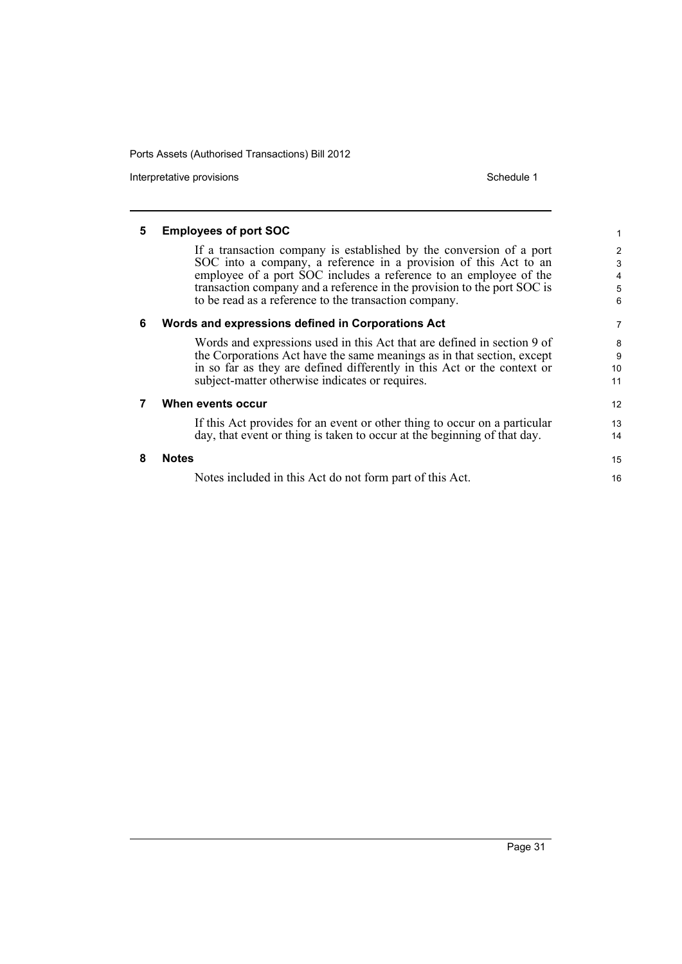Interpretative provisions and the state of the state of the Schedule 1 state of the Schedule 1

| 5 | <b>Employees of port SOC</b>                                                                                                                                                                                                                                                                                                                     |                       |
|---|--------------------------------------------------------------------------------------------------------------------------------------------------------------------------------------------------------------------------------------------------------------------------------------------------------------------------------------------------|-----------------------|
|   | If a transaction company is established by the conversion of a port<br>SOC into a company, a reference in a provision of this Act to an<br>employee of a port SOC includes a reference to an employee of the<br>transaction company and a reference in the provision to the port SOC is<br>to be read as a reference to the transaction company. | 2<br>3<br>4<br>5<br>6 |
| 6 | Words and expressions defined in Corporations Act                                                                                                                                                                                                                                                                                                | 7                     |
|   | Words and expressions used in this Act that are defined in section 9 of<br>the Corporations Act have the same meanings as in that section, except<br>in so far as they are defined differently in this Act or the context or<br>subject-matter otherwise indicates or requires.                                                                  | 8<br>9<br>10<br>11    |
|   | When events occur                                                                                                                                                                                                                                                                                                                                | 12 <sup>2</sup>       |
|   | If this Act provides for an event or other thing to occur on a particular<br>day, that event or thing is taken to occur at the beginning of that day.                                                                                                                                                                                            | 13<br>14              |
| 8 | <b>Notes</b>                                                                                                                                                                                                                                                                                                                                     | 15                    |
|   | Notes included in this Act do not form part of this Act.                                                                                                                                                                                                                                                                                         | 16                    |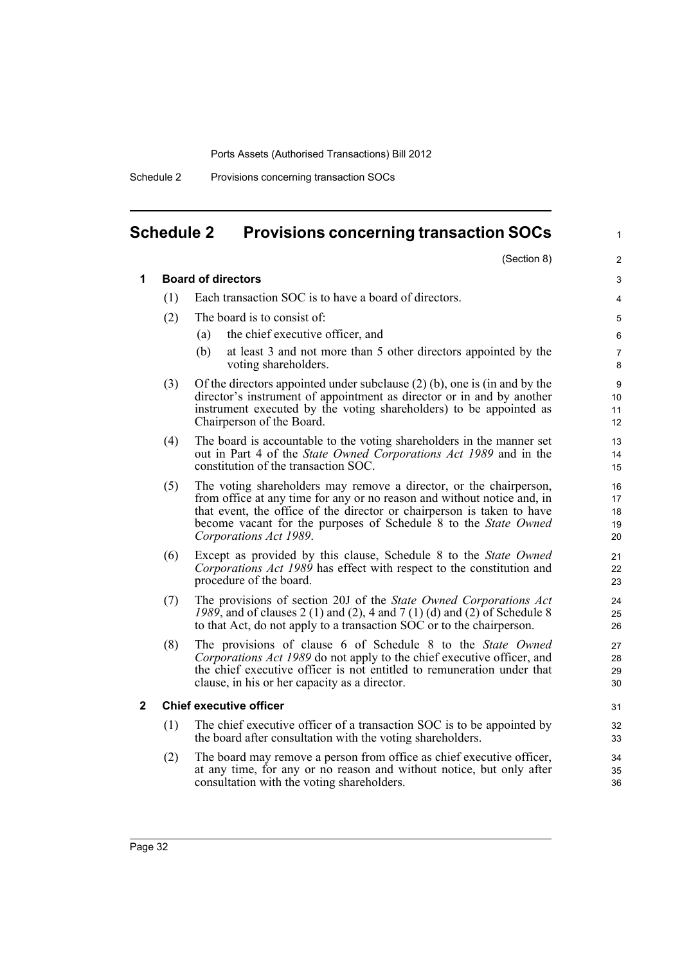Schedule 2 Provisions concerning transaction SOCs

# **Schedule 2 Provisions concerning transaction SOCs**

1

|     | (Section 8)                                                                                                                                                                                                                                                                                                          | $\overline{2}$             |
|-----|----------------------------------------------------------------------------------------------------------------------------------------------------------------------------------------------------------------------------------------------------------------------------------------------------------------------|----------------------------|
|     | <b>Board of directors</b>                                                                                                                                                                                                                                                                                            | 3                          |
| (1) | Each transaction SOC is to have a board of directors.                                                                                                                                                                                                                                                                | 4                          |
| (2) | The board is to consist of:                                                                                                                                                                                                                                                                                          | 5                          |
|     | the chief executive officer, and<br>(a)                                                                                                                                                                                                                                                                              | 6                          |
|     | at least 3 and not more than 5 other directors appointed by the<br>(b)<br>voting shareholders.                                                                                                                                                                                                                       | $\overline{7}$<br>8        |
| (3) | Of the directors appointed under subclause $(2)$ (b), one is (in and by the<br>director's instrument of appointment as director or in and by another<br>instrument executed by the voting shareholders) to be appointed as<br>Chairperson of the Board.                                                              | 9<br>10<br>11<br>12        |
| (4) | The board is accountable to the voting shareholders in the manner set<br>out in Part 4 of the State Owned Corporations Act 1989 and in the<br>constitution of the transaction SOC.                                                                                                                                   | 13<br>14<br>15             |
| (5) | The voting shareholders may remove a director, or the chairperson,<br>from office at any time for any or no reason and without notice and, in<br>that event, the office of the director or chairperson is taken to have<br>become vacant for the purposes of Schedule 8 to the State Owned<br>Corporations Act 1989. | 16<br>17<br>18<br>19<br>20 |
| (6) | Except as provided by this clause, Schedule 8 to the State Owned<br>Corporations Act 1989 has effect with respect to the constitution and<br>procedure of the board.                                                                                                                                                 | 21<br>22<br>23             |
| (7) | The provisions of section 20J of the State Owned Corporations Act<br>1989, and of clauses 2 (1) and (2), 4 and 7 (1) (d) and (2) of Schedule 8<br>to that Act, do not apply to a transaction SOC or to the chairperson.                                                                                              | 24<br>25<br>26             |
| (8) | The provisions of clause 6 of Schedule 8 to the State Owned<br>Corporations Act 1989 do not apply to the chief executive officer, and<br>the chief executive officer is not entitled to remuneration under that<br>clause, in his or her capacity as a director.                                                     | 27<br>28<br>29<br>30       |
|     | <b>Chief executive officer</b>                                                                                                                                                                                                                                                                                       | 31                         |
| (1) | The chief executive officer of a transaction SOC is to be appointed by<br>the board after consultation with the voting shareholders.                                                                                                                                                                                 | 32<br>33                   |
| (2) | The board may remove a person from office as chief executive officer,<br>at any time, for any or no reason and without notice, but only after<br>consultation with the voting shareholders.                                                                                                                          | 34<br>35<br>36             |
|     |                                                                                                                                                                                                                                                                                                                      |                            |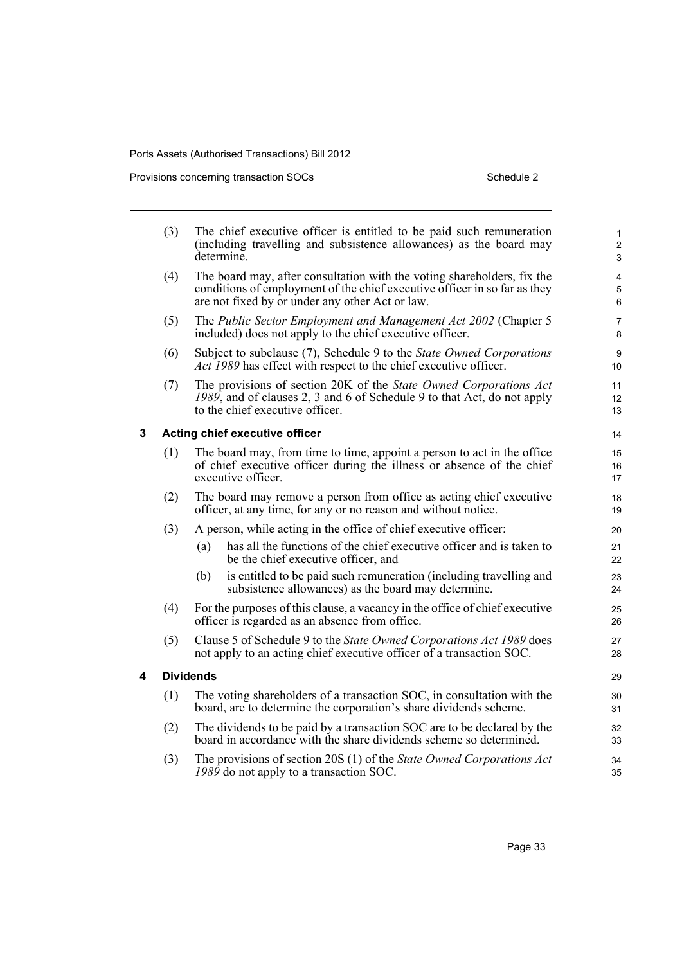Provisions concerning transaction SOCs Schedule 2

|   | (3) | The chief executive officer is entitled to be paid such remuneration<br>(including travelling and subsistence allowances) as the board may<br>determine.                                                | $\mathbf{1}$<br>$\overline{2}$<br>3 |
|---|-----|---------------------------------------------------------------------------------------------------------------------------------------------------------------------------------------------------------|-------------------------------------|
|   | (4) | The board may, after consultation with the voting shareholders, fix the<br>conditions of employment of the chief executive officer in so far as they<br>are not fixed by or under any other Act or law. | 4<br>5<br>6                         |
|   | (5) | The Public Sector Employment and Management Act 2002 (Chapter 5<br>included) does not apply to the chief executive officer.                                                                             | 7<br>8                              |
|   | (6) | Subject to subclause (7), Schedule 9 to the State Owned Corporations<br>Act 1989 has effect with respect to the chief executive officer.                                                                | 9<br>10                             |
|   | (7) | The provisions of section 20K of the State Owned Corporations Act<br>1989, and of clauses 2, 3 and 6 of Schedule 9 to that Act, do not apply<br>to the chief executive officer.                         | 11<br>12<br>13                      |
| 3 |     | Acting chief executive officer                                                                                                                                                                          | 14                                  |
|   | (1) | The board may, from time to time, appoint a person to act in the office<br>of chief executive officer during the illness or absence of the chief<br>executive officer.                                  | 15<br>16<br>17                      |
|   | (2) | The board may remove a person from office as acting chief executive<br>officer, at any time, for any or no reason and without notice.                                                                   | 18<br>19                            |
|   | (3) | A person, while acting in the office of chief executive officer:                                                                                                                                        | 20                                  |
|   |     | has all the functions of the chief executive officer and is taken to<br>(a)<br>be the chief executive officer, and                                                                                      | 21<br>22                            |
|   |     | is entitled to be paid such remuneration (including travelling and<br>(b)<br>subsistence allowances) as the board may determine.                                                                        | 23<br>24                            |
|   | (4) | For the purposes of this clause, a vacancy in the office of chief executive<br>officer is regarded as an absence from office.                                                                           | 25<br>26                            |
|   | (5) | Clause 5 of Schedule 9 to the State Owned Corporations Act 1989 does<br>not apply to an acting chief executive officer of a transaction SOC.                                                            | 27<br>28                            |
| 4 |     | <b>Dividends</b>                                                                                                                                                                                        | 29                                  |
|   | (1) | The voting shareholders of a transaction SOC, in consultation with the<br>board, are to determine the corporation's share dividends scheme.                                                             | 30<br>31                            |
|   | (2) | The dividends to be paid by a transaction SOC are to be declared by the<br>board in accordance with the share dividends scheme so determined.                                                           | 32<br>33                            |
|   | (3) | The provisions of section 20S (1) of the State Owned Corporations Act<br>1989 do not apply to a transaction SOC.                                                                                        | 34<br>35                            |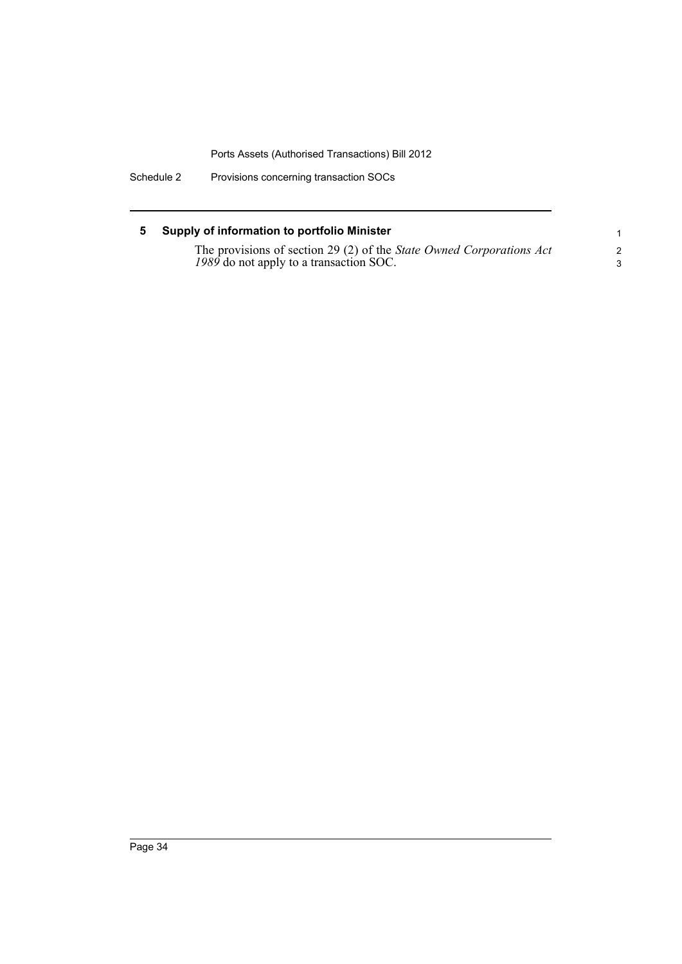Schedule 2 Provisions concerning transaction SOCs

### **5 Supply of information to portfolio Minister**

| The provisions of section 29 (2) of the State Owned Corporations Act |  |
|----------------------------------------------------------------------|--|
| 1989 do not apply to a transaction SOC.                              |  |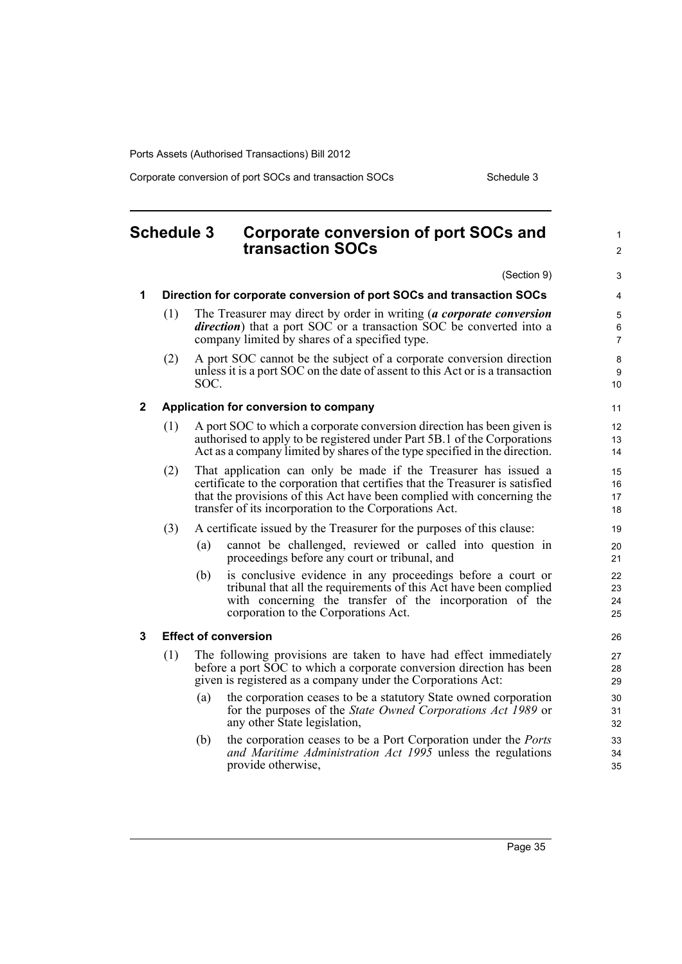Corporate conversion of port SOCs and transaction SOCs Schedule 3

### **Schedule 3 Corporate conversion of port SOCs and transaction SOCs** (Section 9) **1 Direction for corporate conversion of port SOCs and transaction SOCs** (1) The Treasurer may direct by order in writing (*a corporate conversion direction*) that a port SOC or a transaction SOC be converted into a company limited by shares of a specified type. (2) A port SOC cannot be the subject of a corporate conversion direction unless it is a port SOC on the date of assent to this Act or is a transaction SOC. **2 Application for conversion to company** (1) A port SOC to which a corporate conversion direction has been given is authorised to apply to be registered under Part 5B.1 of the Corporations Act as a company limited by shares of the type specified in the direction. (2) That application can only be made if the Treasurer has issued a certificate to the corporation that certifies that the Treasurer is satisfied that the provisions of this Act have been complied with concerning the transfer of its incorporation to the Corporations Act. (3) A certificate issued by the Treasurer for the purposes of this clause: (a) cannot be challenged, reviewed or called into question in proceedings before any court or tribunal, and (b) is conclusive evidence in any proceedings before a court or tribunal that all the requirements of this Act have been complied with concerning the transfer of the incorporation of the corporation to the Corporations Act. **3 Effect of conversion** (1) The following provisions are taken to have had effect immediately before a port  $\overline{SOC}$  to which a corporate conversion direction has been given is registered as a company under the Corporations Act: (a) the corporation ceases to be a statutory State owned corporation for the purposes of the *State Owned Corporations Act 1989* or any other State legislation, (b) the corporation ceases to be a Port Corporation under the *Ports and Maritime Administration Act 1995* unless the regulations provide otherwise, 1  $\mathfrak{p}$ 3 4 5 6 7 8 9 10 11 12 13 14 15 16 17 18 19 20 21 22 23 24 25 26 27 28 29 30 31 32 33 34 35

Page 35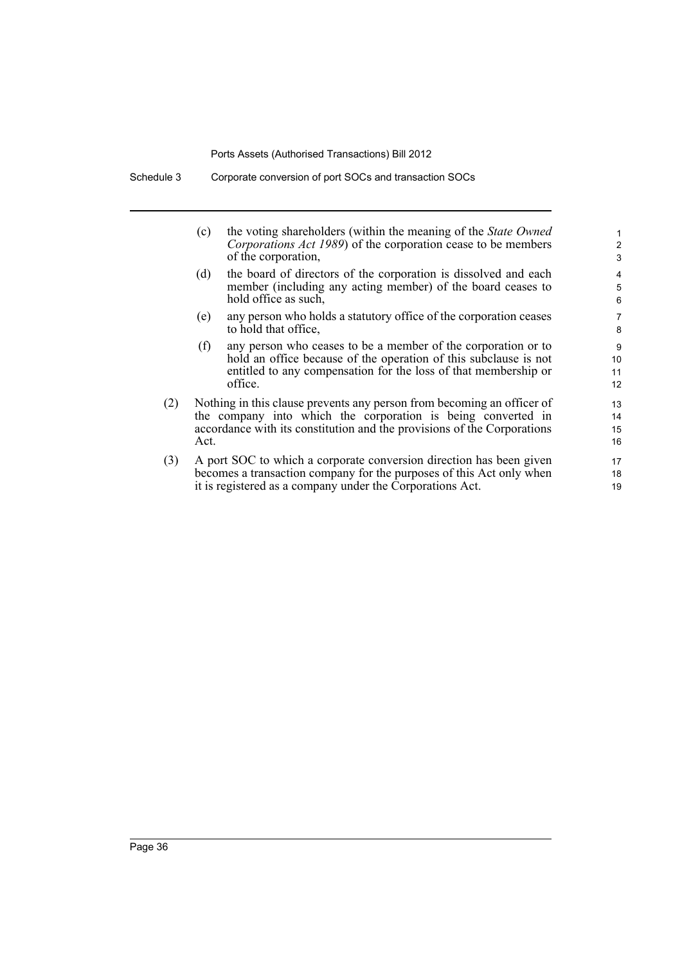|     | (c)  | the voting shareholders (within the meaning of the <i>State Owned</i><br>Corporations Act 1989) of the corporation cease to be members<br>of the corporation,                                                     | 2<br>3               |
|-----|------|-------------------------------------------------------------------------------------------------------------------------------------------------------------------------------------------------------------------|----------------------|
|     | (d)  | the board of directors of the corporation is dissolved and each<br>member (including any acting member) of the board ceases to<br>hold office as such,                                                            | 4<br>5<br>6          |
|     | (e)  | any person who holds a statutory office of the corporation ceases<br>to hold that office,                                                                                                                         | $\overline{7}$<br>8  |
|     | (f)  | any person who ceases to be a member of the corporation or to<br>hold an office because of the operation of this subclause is not<br>entitled to any compensation for the loss of that membership or<br>office.   | 9<br>10<br>11<br>12  |
| (2) | Act. | Nothing in this clause prevents any person from becoming an officer of<br>the company into which the corporation is being converted in<br>accordance with its constitution and the provisions of the Corporations | 13<br>14<br>15<br>16 |
| (3) |      | A port SOC to which a corporate conversion direction has been given<br>becomes a transaction company for the purposes of this Act only when<br>it is registered as a company under the Corporations Act.          | 17<br>18<br>19       |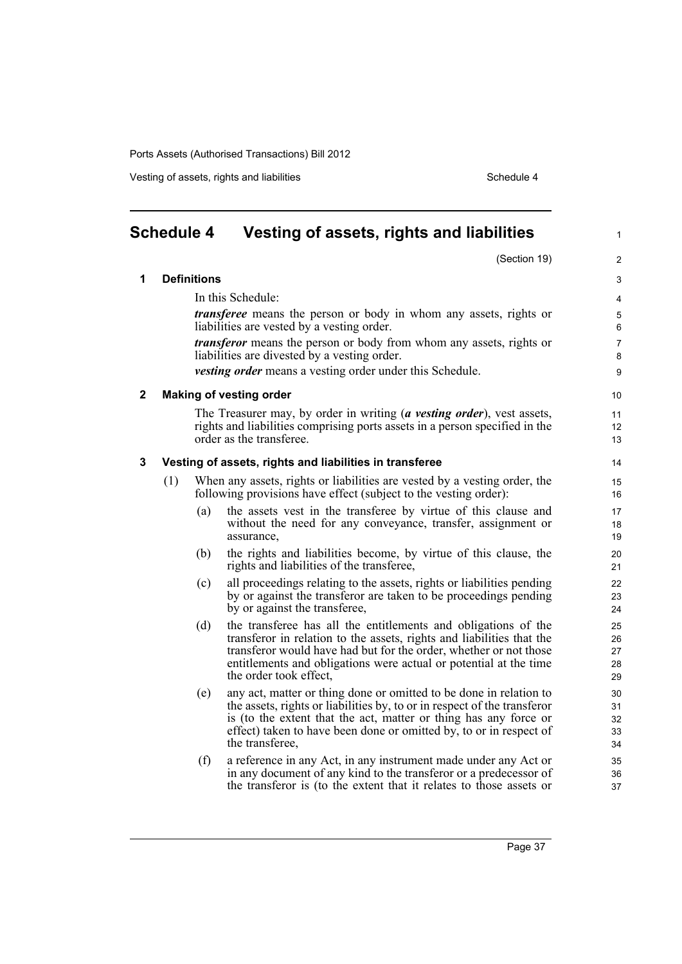Vesting of assets, rights and liabilities **Schedule 4** Schedule 4

|              | <b>Schedule 4</b> |                    | Vesting of assets, rights and liabilities                                                                                                                                                                                                                                                                   | $\mathbf{1}$               |
|--------------|-------------------|--------------------|-------------------------------------------------------------------------------------------------------------------------------------------------------------------------------------------------------------------------------------------------------------------------------------------------------------|----------------------------|
|              |                   |                    | (Section 19)                                                                                                                                                                                                                                                                                                | $\overline{2}$             |
| 1            |                   | <b>Definitions</b> |                                                                                                                                                                                                                                                                                                             | 3                          |
|              |                   |                    | In this Schedule:                                                                                                                                                                                                                                                                                           | 4                          |
|              |                   |                    | <i>transferee</i> means the person or body in whom any assets, rights or<br>liabilities are vested by a vesting order.                                                                                                                                                                                      | 5<br>6                     |
|              |                   |                    | <i>transferor</i> means the person or body from whom any assets, rights or<br>liabilities are divested by a vesting order.                                                                                                                                                                                  | $\overline{7}$<br>8        |
|              |                   |                    | <i>vesting order</i> means a vesting order under this Schedule.                                                                                                                                                                                                                                             | 9                          |
| $\mathbf{2}$ |                   |                    | <b>Making of vesting order</b>                                                                                                                                                                                                                                                                              | 10                         |
|              |                   |                    | The Treasurer may, by order in writing (a vesting order), vest assets,<br>rights and liabilities comprising ports assets in a person specified in the<br>order as the transferee.                                                                                                                           | 11<br>12<br>13             |
| 3            |                   |                    | Vesting of assets, rights and liabilities in transferee                                                                                                                                                                                                                                                     | 14                         |
|              | (1)               |                    | When any assets, rights or liabilities are vested by a vesting order, the<br>following provisions have effect (subject to the vesting order):                                                                                                                                                               | 15<br>16                   |
|              |                   | (a)                | the assets vest in the transferee by virtue of this clause and<br>without the need for any conveyance, transfer, assignment or<br>assurance,                                                                                                                                                                | 17<br>18<br>19             |
|              |                   | (b)                | the rights and liabilities become, by virtue of this clause, the<br>rights and liabilities of the transferee,                                                                                                                                                                                               | 20<br>21                   |
|              |                   | (c)                | all proceedings relating to the assets, rights or liabilities pending<br>by or against the transferor are taken to be proceedings pending<br>by or against the transferee,                                                                                                                                  | 22<br>23<br>24             |
|              |                   | (d)                | the transferee has all the entitlements and obligations of the<br>transferor in relation to the assets, rights and liabilities that the<br>transferor would have had but for the order, whether or not those<br>entitlements and obligations were actual or potential at the time<br>the order took effect. | 25<br>26<br>27<br>28<br>29 |
|              |                   | (e)                | any act, matter or thing done or omitted to be done in relation to<br>the assets, rights or liabilities by, to or in respect of the transferor<br>is (to the extent that the act, matter or thing has any force or<br>effect) taken to have been done or omitted by, to or in respect of<br>the transferee, | 30<br>31<br>32<br>33<br>34 |
|              |                   | (f)                | a reference in any Act, in any instrument made under any Act or<br>in any document of any kind to the transferor or a predecessor of<br>the transferor is (to the extent that it relates to those assets or                                                                                                 | 35<br>36<br>37             |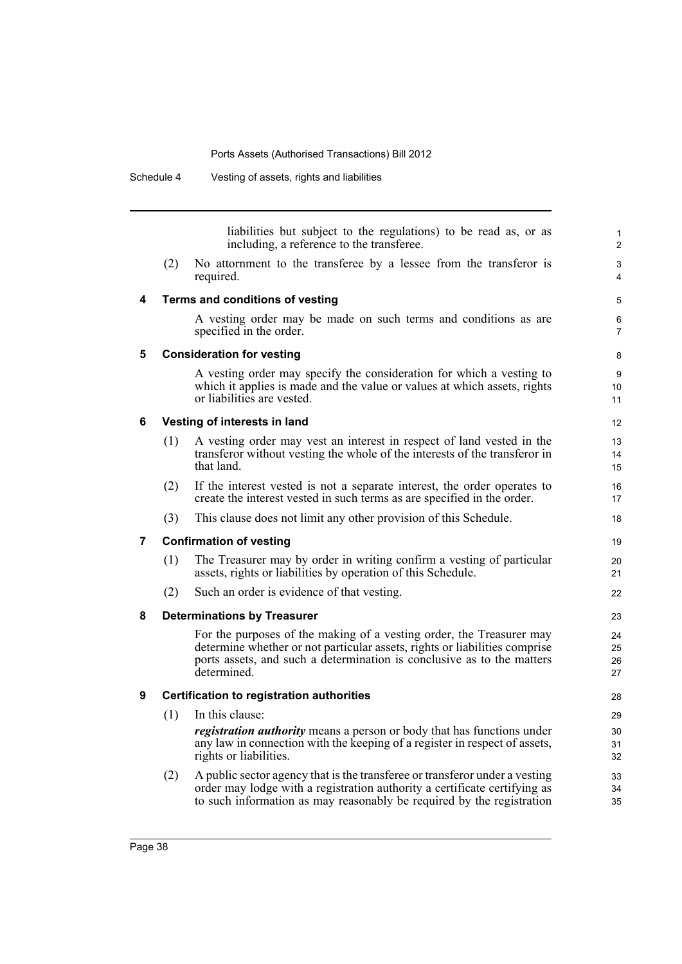liabilities but subject to the regulations) to be read as, or as including, a reference to the transferee. (2) No attornment to the transferee by a lessee from the transferor is required. **4 Terms and conditions of vesting** A vesting order may be made on such terms and conditions as are specified in the order. **5 Consideration for vesting** A vesting order may specify the consideration for which a vesting to which it applies is made and the value or values at which assets, rights or liabilities are vested. **6 Vesting of interests in land** (1) A vesting order may vest an interest in respect of land vested in the transferor without vesting the whole of the interests of the transferor in that land. (2) If the interest vested is not a separate interest, the order operates to create the interest vested in such terms as are specified in the order. (3) This clause does not limit any other provision of this Schedule. **7 Confirmation of vesting** (1) The Treasurer may by order in writing confirm a vesting of particular assets, rights or liabilities by operation of this Schedule. (2) Such an order is evidence of that vesting. **8 Determinations by Treasurer** For the purposes of the making of a vesting order, the Treasurer may determine whether or not particular assets, rights or liabilities comprise ports assets, and such a determination is conclusive as to the matters determined. **9 Certification to registration authorities** (1) In this clause: *registration authority* means a person or body that has functions under any law in connection with the keeping of a register in respect of assets, 1  $\overline{2}$ 3 4 5 6 7 8  $\overline{Q}$  $10$ 11 12 13 14 15 16 17 18 19  $20$ 21 22 23 24 25 26 27  $28$ 29 30 31

(2) A public sector agency that is the transferee or transferor under a vesting order may lodge with a registration authority a certificate certifying as to such information as may reasonably be required by the registration

rights or liabilities.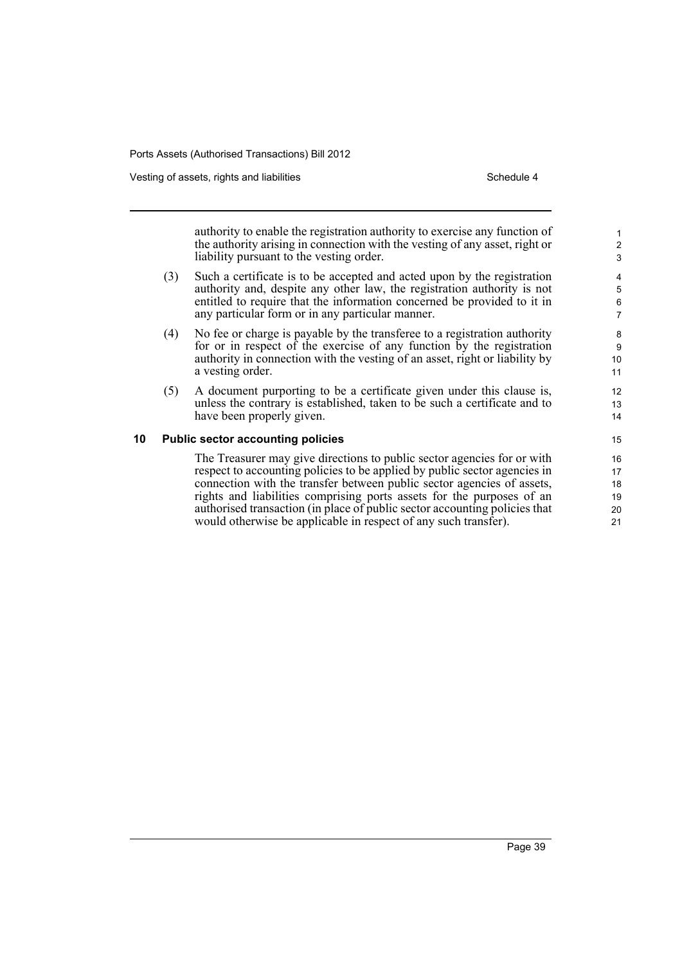Vesting of assets, rights and liabilities **Schedule 4** Schedule 4

authority to enable the registration authority to exercise any function of the authority arising in connection with the vesting of any asset, right or liability pursuant to the vesting order.

- (3) Such a certificate is to be accepted and acted upon by the registration authority and, despite any other law, the registration authority is not entitled to require that the information concerned be provided to it in any particular form or in any particular manner.
- (4) No fee or charge is payable by the transferee to a registration authority for or in respect of the exercise of any function by the registration authority in connection with the vesting of an asset, right or liability by a vesting order.
- (5) A document purporting to be a certificate given under this clause is, unless the contrary is established, taken to be such a certificate and to have been properly given.

### **10 Public sector accounting policies**

The Treasurer may give directions to public sector agencies for or with respect to accounting policies to be applied by public sector agencies in connection with the transfer between public sector agencies of assets, rights and liabilities comprising ports assets for the purposes of an authorised transaction (in place of public sector accounting policies that would otherwise be applicable in respect of any such transfer).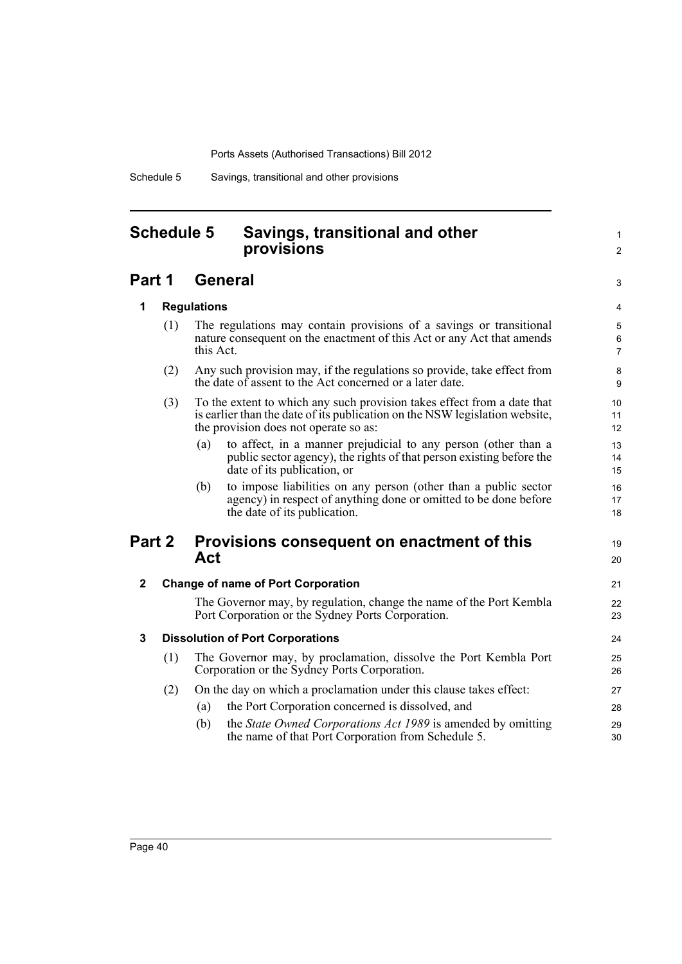Schedule 5 Savings, transitional and other provisions

### **Schedule 5 Savings, transitional and other provisions**

### **Part 1 General**

3 4

19 20

21 22 23

1  $\mathfrak{p}$ 

### **1 Regulations**

- (1) The regulations may contain provisions of a savings or transitional nature consequent on the enactment of this Act or any Act that amends this Act.
- (2) Any such provision may, if the regulations so provide, take effect from the date of assent to the Act concerned or a later date.
- (3) To the extent to which any such provision takes effect from a date that is earlier than the date of its publication on the NSW legislation website, the provision does not operate so as:
	- (a) to affect, in a manner prejudicial to any person (other than a public sector agency), the rights of that person existing before the date of its publication, or
	- (b) to impose liabilities on any person (other than a public sector agency) in respect of anything done or omitted to be done before the date of its publication.

### **Part 2 Provisions consequent on enactment of this Act**

### **2 Change of name of Port Corporation**

The Governor may, by regulation, change the name of the Port Kembla Port Corporation or the Sydney Ports Corporation.

### **3 Dissolution of Port Corporations**

- (1) The Governor may, by proclamation, dissolve the Port Kembla Port Corporation or the Sydney Ports Corporation. (2) On the day on which a proclamation under this clause takes effect:
	- (a) the Port Corporation concerned is dissolved, and
	- (b) the *State Owned Corporations Act 1989* is amended by omitting the name of that Port Corporation from Schedule 5.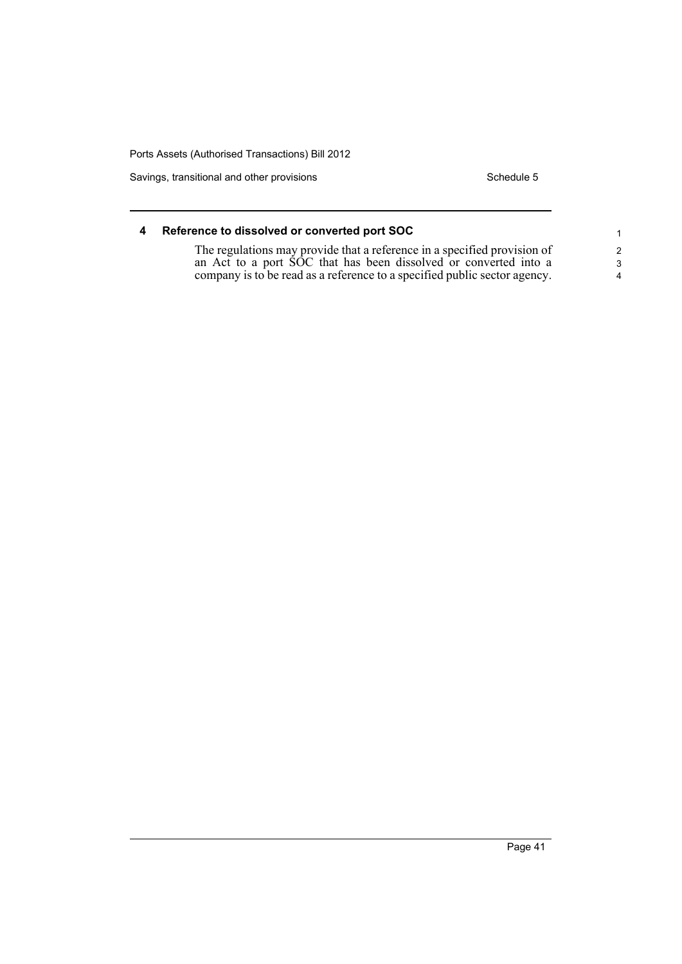Savings, transitional and other provisions Schedule 5 Schedule 5

| Reference to dissolved or converted port SOC                              |                         |
|---------------------------------------------------------------------------|-------------------------|
| The regulations may provide that a reference in a specified provision of  | 2                       |
| an Act to a port SOC that has been dissolved or converted into a          | -3                      |
| company is to be read as a reference to a specified public sector agency. | $\overline{\mathbf{4}}$ |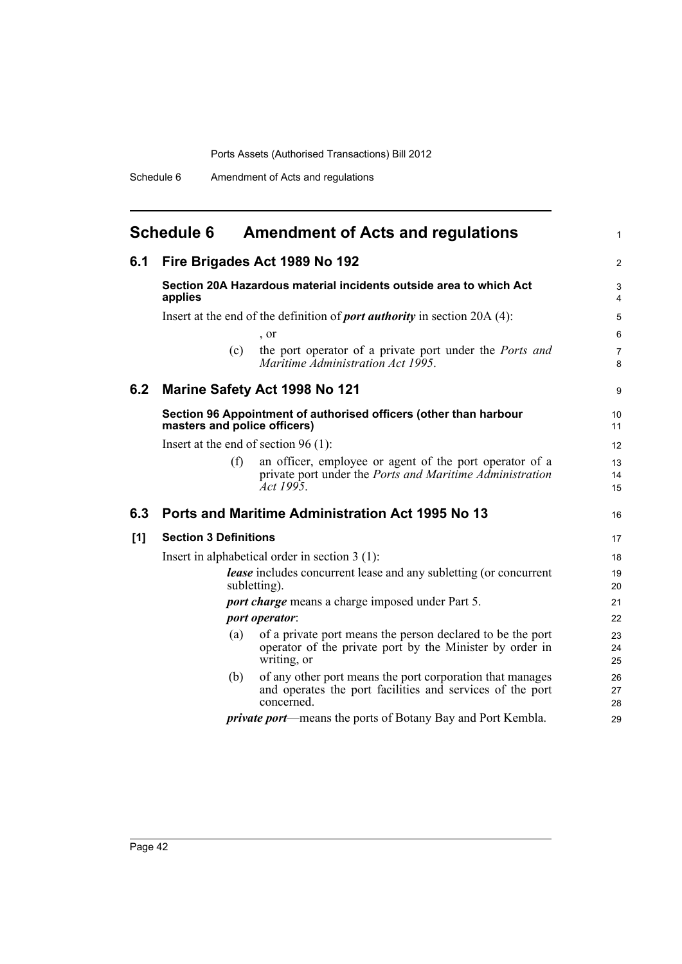|     | <b>Schedule 6</b>            | <b>Amendment of Acts and regulations</b>                                                                                                | 1                   |
|-----|------------------------------|-----------------------------------------------------------------------------------------------------------------------------------------|---------------------|
| 6.1 |                              | Fire Brigades Act 1989 No 192                                                                                                           | $\overline{2}$      |
|     | applies                      | Section 20A Hazardous material incidents outside area to which Act                                                                      | 3<br>4              |
|     |                              | Insert at the end of the definition of <i>port authority</i> in section 20A (4):                                                        | 5                   |
|     |                              | , or                                                                                                                                    | $\,6$               |
|     | (c)                          | the port operator of a private port under the <i>Ports and</i><br>Maritime Administration Act 1995.                                     | $\overline{7}$<br>8 |
| 6.2 |                              | <b>Marine Safety Act 1998 No 121</b>                                                                                                    | 9                   |
|     | masters and police officers) | Section 96 Appointment of authorised officers (other than harbour                                                                       | 10<br>11            |
|     |                              | Insert at the end of section $96(1)$ :                                                                                                  | 12                  |
|     | (f)                          | an officer, employee or agent of the port operator of a<br>private port under the <i>Ports and Maritime Administration</i><br>Act 1995. | 13<br>14<br>15      |
| 6.3 |                              | Ports and Maritime Administration Act 1995 No 13                                                                                        | 16                  |
| [1] | <b>Section 3 Definitions</b> |                                                                                                                                         | 17                  |
|     |                              | Insert in alphabetical order in section $3(1)$ :                                                                                        | 18                  |
|     |                              | <i>lease</i> includes concurrent lease and any subletting (or concurrent<br>subletting).                                                | 19<br>20            |
|     |                              | <i>port charge</i> means a charge imposed under Part 5.                                                                                 | 21                  |
|     |                              | port operator:                                                                                                                          | 22                  |
|     | (a)                          | of a private port means the person declared to be the port<br>operator of the private port by the Minister by order in<br>writing, or   | 23<br>24<br>25      |
|     | (b)                          | of any other port means the port corporation that manages<br>and operates the port facilities and services of the port<br>concerned.    | 26<br>27<br>28      |
|     |                              | <i>private port</i> —means the ports of Botany Bay and Port Kembla.                                                                     | 29                  |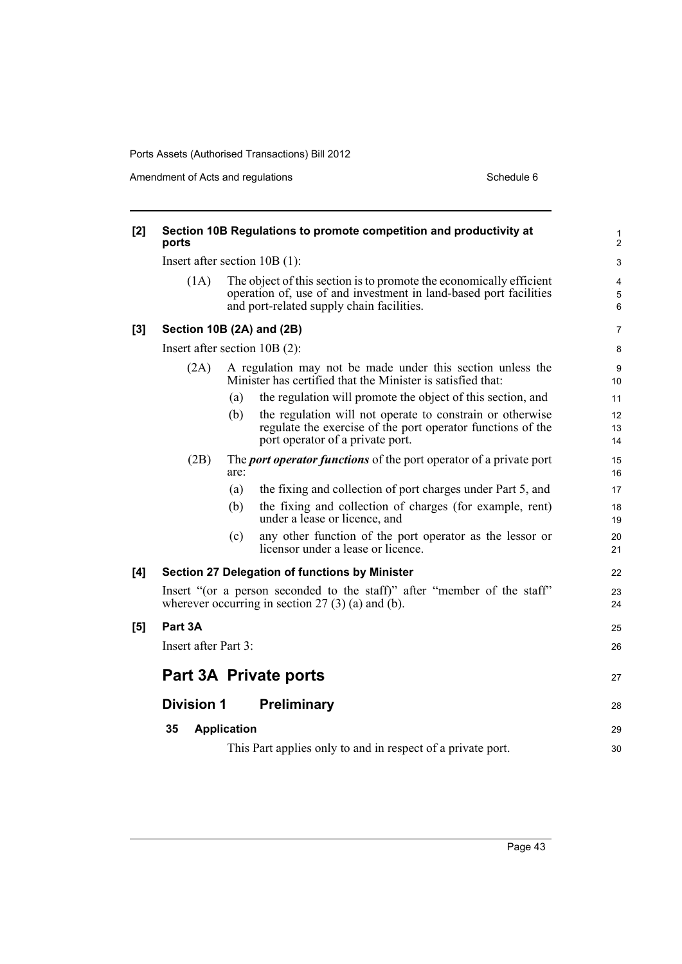Amendment of Acts and regulations Schedule 6

| [2] | ports                           |                    | Section 10B Regulations to promote competition and productivity at                                                                                                                    | 1<br>2                            |
|-----|---------------------------------|--------------------|---------------------------------------------------------------------------------------------------------------------------------------------------------------------------------------|-----------------------------------|
|     | Insert after section $10B(1)$ : |                    |                                                                                                                                                                                       | 3                                 |
|     | (1A)                            |                    | The object of this section is to promote the economically efficient<br>operation of, use of and investment in land-based port facilities<br>and port-related supply chain facilities. | $\overline{4}$<br>$\sqrt{5}$<br>6 |
| [3] | Section 10B (2A) and (2B)       |                    |                                                                                                                                                                                       | $\overline{7}$                    |
|     | Insert after section $10B(2)$ : |                    |                                                                                                                                                                                       | 8                                 |
|     | (2A)                            |                    | A regulation may not be made under this section unless the<br>Minister has certified that the Minister is satisfied that:                                                             | 9<br>10                           |
|     |                                 | (a)                | the regulation will promote the object of this section, and                                                                                                                           | 11                                |
|     |                                 | (b)                | the regulation will not operate to constrain or otherwise<br>regulate the exercise of the port operator functions of the<br>port operator of a private port.                          | 12<br>13<br>14                    |
|     | (2B)                            | are:               | The <i>port operator functions</i> of the port operator of a private port                                                                                                             | 15<br>16                          |
|     |                                 | (a)                | the fixing and collection of port charges under Part 5, and                                                                                                                           | 17                                |
|     |                                 | (b)                | the fixing and collection of charges (for example, rent)<br>under a lease or licence, and                                                                                             | 18<br>19                          |
|     |                                 | (c)                | any other function of the port operator as the lessor or<br>licensor under a lease or licence.                                                                                        | 20<br>21                          |
| [4] |                                 |                    | Section 27 Delegation of functions by Minister                                                                                                                                        | 22                                |
|     |                                 |                    | Insert "(or a person seconded to the staff)" after "member of the staff"<br>wherever occurring in section $27(3)(a)$ and $(b)$ .                                                      | 23<br>24                          |
| [5] | Part 3A                         |                    |                                                                                                                                                                                       | 25                                |
|     | Insert after Part 3:            |                    |                                                                                                                                                                                       | 26                                |
|     |                                 |                    | Part 3A Private ports                                                                                                                                                                 | 27                                |
|     | <b>Division 1</b>               |                    | <b>Preliminary</b>                                                                                                                                                                    | 28                                |
|     | 35                              | <b>Application</b> |                                                                                                                                                                                       | 29                                |
|     |                                 |                    | This Part applies only to and in respect of a private port.                                                                                                                           | 30                                |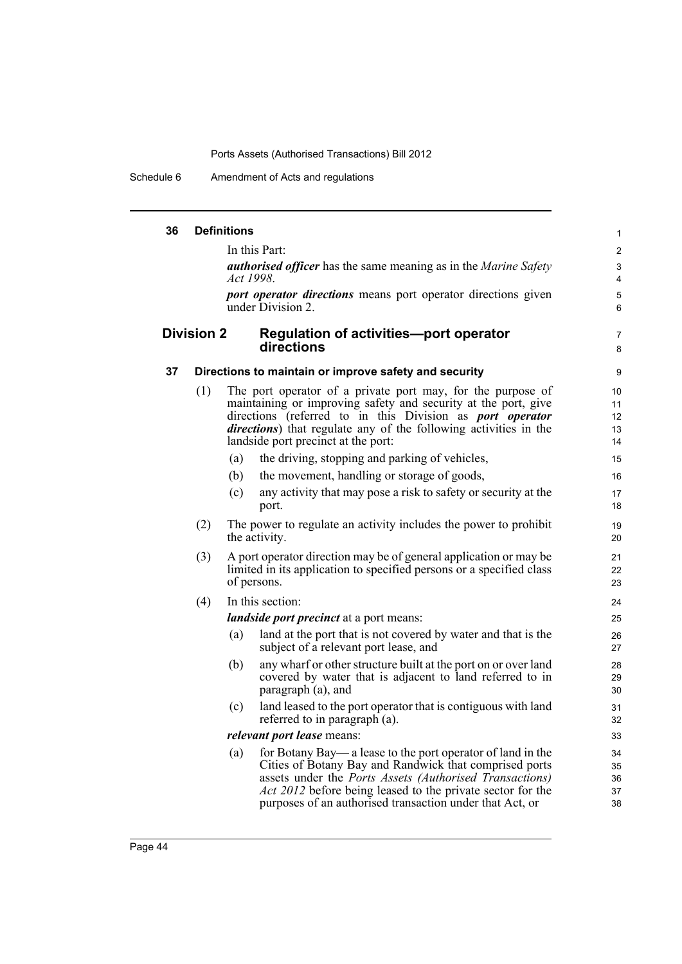Schedule 6 Amendment of Acts and regulations

| 36 |                   | <b>Definitions</b> |                                                                                                                                                                                                                                                                                                                          | $\mathbf{1}$               |
|----|-------------------|--------------------|--------------------------------------------------------------------------------------------------------------------------------------------------------------------------------------------------------------------------------------------------------------------------------------------------------------------------|----------------------------|
|    |                   |                    | In this Part:                                                                                                                                                                                                                                                                                                            | $\mathbf{2}$               |
|    |                   |                    | <b><i>authorised officer</i></b> has the same meaning as in the <i>Marine Safety</i><br>Act 1998.                                                                                                                                                                                                                        | 3<br>$\overline{4}$        |
|    |                   |                    | port operator directions means port operator directions given<br>under Division 2.                                                                                                                                                                                                                                       | $\mathbf 5$<br>6           |
|    | <b>Division 2</b> |                    | <b>Regulation of activities-port operator</b><br>directions                                                                                                                                                                                                                                                              | 7<br>8                     |
| 37 |                   |                    | Directions to maintain or improve safety and security                                                                                                                                                                                                                                                                    | 9                          |
|    | (1)               |                    | The port operator of a private port may, for the purpose of<br>maintaining or improving safety and security at the port, give<br>directions (referred to in this Division as <i>port operator</i><br>directions) that regulate any of the following activities in the<br>landside port precinct at the port:             | 10<br>11<br>12<br>13<br>14 |
|    |                   | (a)                | the driving, stopping and parking of vehicles,                                                                                                                                                                                                                                                                           | 15                         |
|    |                   | (b)                | the movement, handling or storage of goods,                                                                                                                                                                                                                                                                              | 16                         |
|    |                   | (c)                | any activity that may pose a risk to safety or security at the<br>port.                                                                                                                                                                                                                                                  | 17<br>18                   |
|    | (2)               |                    | The power to regulate an activity includes the power to prohibit<br>the activity.                                                                                                                                                                                                                                        | 19<br>20                   |
|    | (3)               |                    | A port operator direction may be of general application or may be<br>limited in its application to specified persons or a specified class<br>of persons.                                                                                                                                                                 | 21<br>22<br>23             |
|    | (4)               |                    | In this section:                                                                                                                                                                                                                                                                                                         | 24                         |
|    |                   |                    | <i>landside port precinct</i> at a port means:                                                                                                                                                                                                                                                                           | 25                         |
|    |                   | (a)                | land at the port that is not covered by water and that is the<br>subject of a relevant port lease, and                                                                                                                                                                                                                   | 26<br>27                   |
|    |                   | (b)                | any wharf or other structure built at the port on or over land<br>covered by water that is adjacent to land referred to in<br>paragraph (a), and                                                                                                                                                                         | 28<br>29<br>30             |
|    |                   | (c)                | land leased to the port operator that is contiguous with land<br>referred to in paragraph (a).                                                                                                                                                                                                                           | 31<br>32                   |
|    |                   |                    | <i>relevant port lease</i> means:                                                                                                                                                                                                                                                                                        | 33                         |
|    |                   | (a)                | for Botany Bay— a lease to the port operator of land in the<br>Cities of Botany Bay and Randwick that comprised ports<br>assets under the <i>Ports Assets (Authorised Transactions)</i><br><i>Act 2012</i> before being leased to the private sector for the<br>purposes of an authorised transaction under that Act, or | 34<br>35<br>36<br>37<br>38 |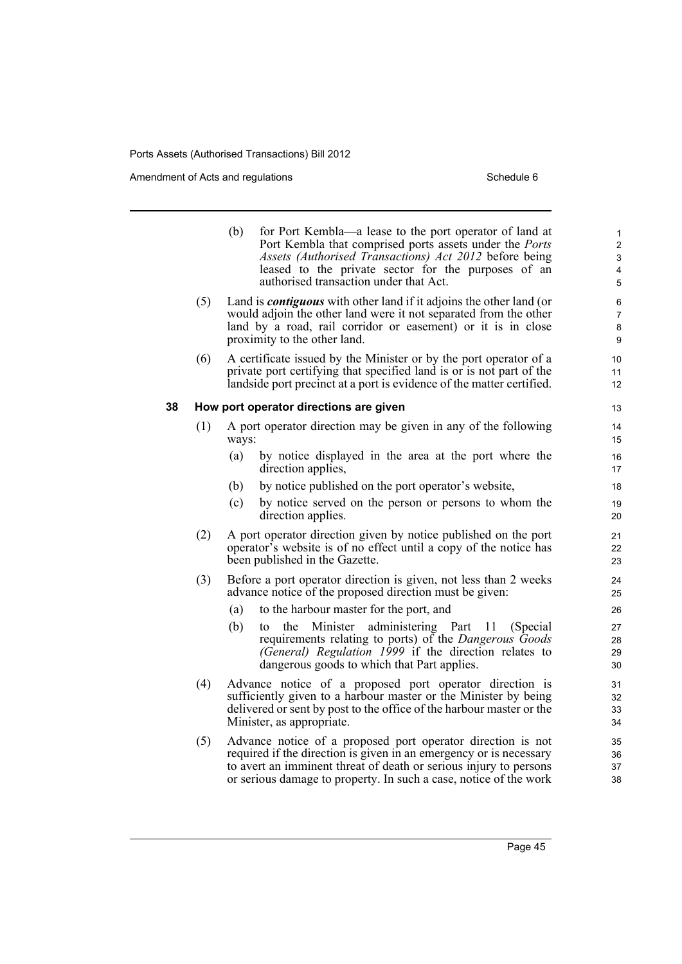Amendment of Acts and regulations Schedule 6

|    |     | (b)   | for Port Kembla—a lease to the port operator of land at<br>Port Kembla that comprised ports assets under the <i>Ports</i><br>Assets (Authorised Transactions) Act 2012 before being<br>leased to the private sector for the purposes of an<br>authorised transaction under that Act. | 1<br>$\overline{c}$<br>$\ensuremath{\mathsf{3}}$<br>4<br>5 |
|----|-----|-------|--------------------------------------------------------------------------------------------------------------------------------------------------------------------------------------------------------------------------------------------------------------------------------------|------------------------------------------------------------|
|    | (5) |       | Land is <i>contiguous</i> with other land if it adjoins the other land (or<br>would adjoin the other land were it not separated from the other<br>land by a road, rail corridor or easement) or it is in close<br>proximity to the other land.                                       | 6<br>7<br>$\bf 8$<br>9                                     |
|    | (6) |       | A certificate issued by the Minister or by the port operator of a<br>private port certifying that specified land is or is not part of the<br>landside port precinct at a port is evidence of the matter certified.                                                                   | 10<br>11<br>12                                             |
| 38 |     |       | How port operator directions are given                                                                                                                                                                                                                                               | 13                                                         |
|    | (1) | ways: | A port operator direction may be given in any of the following                                                                                                                                                                                                                       | 14<br>15                                                   |
|    |     | (a)   | by notice displayed in the area at the port where the<br>direction applies,                                                                                                                                                                                                          | 16<br>17                                                   |
|    |     | (b)   | by notice published on the port operator's website,                                                                                                                                                                                                                                  | 18                                                         |
|    |     | (c)   | by notice served on the person or persons to whom the<br>direction applies.                                                                                                                                                                                                          | 19<br>20                                                   |
|    | (2) |       | A port operator direction given by notice published on the port<br>operator's website is of no effect until a copy of the notice has<br>been published in the Gazette.                                                                                                               | 21<br>22<br>23                                             |
|    | (3) |       | Before a port operator direction is given, not less than 2 weeks<br>advance notice of the proposed direction must be given:                                                                                                                                                          | 24<br>25                                                   |
|    |     | (a)   | to the harbour master for the port, and                                                                                                                                                                                                                                              | 26                                                         |
|    |     | (b)   | Minister administering Part<br>11<br>the<br>(Special)<br>to<br>requirements relating to ports) of the Dangerous Goods<br>(General) Regulation 1999 if the direction relates to<br>dangerous goods to which that Part applies.                                                        | 27<br>28<br>29<br>30                                       |
|    | (4) |       | Advance notice of a proposed port operator direction is<br>sufficiently given to a harbour master or the Minister by being<br>delivered or sent by post to the office of the harbour master or the<br>Minister, as appropriate.                                                      | 31<br>32<br>33<br>34                                       |
|    | (5) |       | Advance notice of a proposed port operator direction is not<br>required if the direction is given in an emergency or is necessary<br>to avert an imminent threat of death or serious injury to persons                                                                               | 35<br>36<br>37                                             |

or serious damage to property. In such a case, notice of the work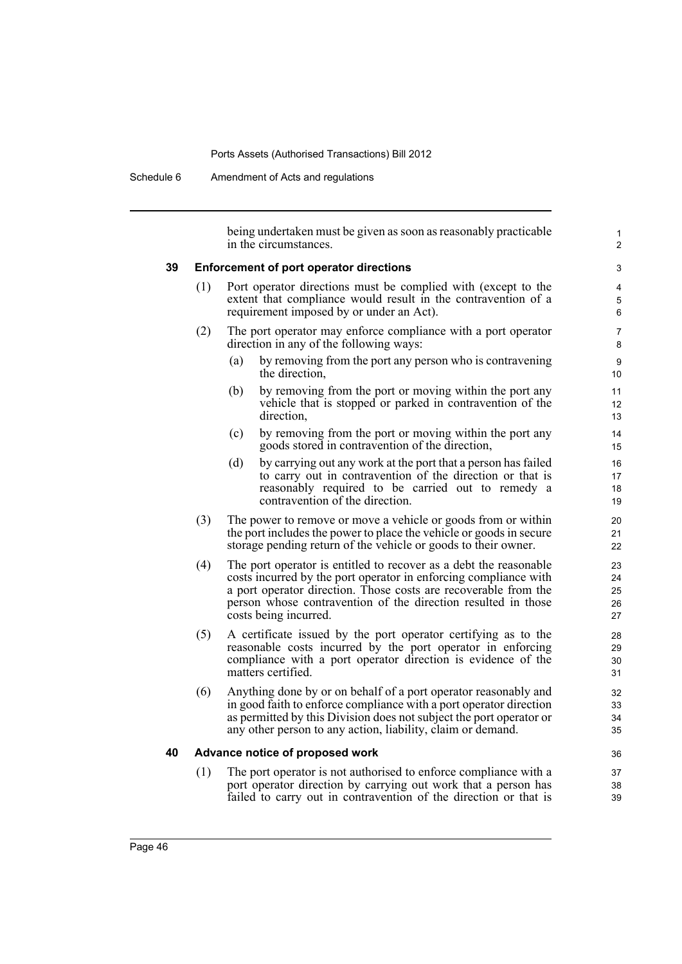Schedule 6 Amendment of Acts and regulations

being undertaken must be given as soon as reasonably practicable in the circumstances. **39 Enforcement of port operator directions** (1) Port operator directions must be complied with (except to the extent that compliance would result in the contravention of a requirement imposed by or under an Act). (2) The port operator may enforce compliance with a port operator direction in any of the following ways: (a) by removing from the port any person who is contravening the direction, (b) by removing from the port or moving within the port any vehicle that is stopped or parked in contravention of the direction, (c) by removing from the port or moving within the port any goods stored in contravention of the direction, (d) by carrying out any work at the port that a person has failed to carry out in contravention of the direction or that is reasonably required to be carried out to remedy a contravention of the direction. (3) The power to remove or move a vehicle or goods from or within the port includes the power to place the vehicle or goods in secure storage pending return of the vehicle or goods to their owner. (4) The port operator is entitled to recover as a debt the reasonable costs incurred by the port operator in enforcing compliance with a port operator direction. Those costs are recoverable from the person whose contravention of the direction resulted in those costs being incurred. (5) A certificate issued by the port operator certifying as to the reasonable costs incurred by the port operator in enforcing compliance with a port operator direction is evidence of the matters certified. (6) Anything done by or on behalf of a port operator reasonably and in good faith to enforce compliance with a port operator direction as permitted by this Division does not subject the port operator or any other person to any action, liability, claim or demand. **40 Advance notice of proposed work** (1) The port operator is not authorised to enforce compliance with a port operator direction by carrying out work that a person has 1  $\overline{2}$ 3 4 5 6 7 8  $\alpha$ 10 11 12 13 14 15 16 17 18 19  $20$ 21 22 23 24 25 26 27 28 29 30 31 32 33 34 35 36 37 38

failed to carry out in contravention of the direction or that is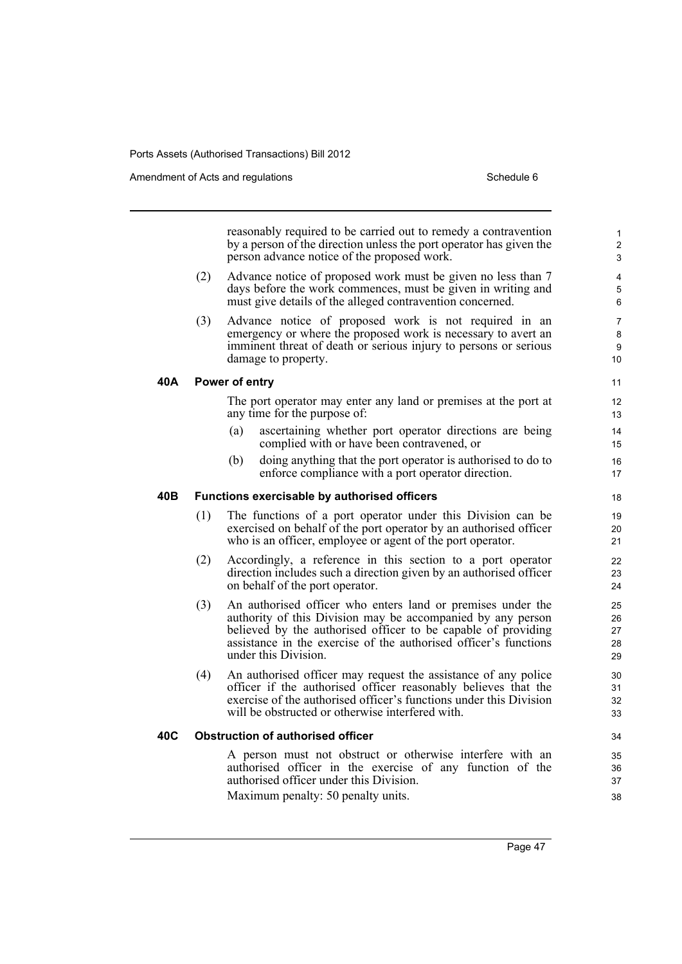Amendment of Acts and regulations Schedule 6

|     |     | reasonably required to be carried out to remedy a contravention<br>by a person of the direction unless the port operator has given the<br>person advance notice of the proposed work.                                                                                                   | 1<br>2<br>3                |
|-----|-----|-----------------------------------------------------------------------------------------------------------------------------------------------------------------------------------------------------------------------------------------------------------------------------------------|----------------------------|
|     | (2) | Advance notice of proposed work must be given no less than 7<br>days before the work commences, must be given in writing and<br>must give details of the alleged contravention concerned.                                                                                               | 4<br>5<br>6                |
|     | (3) | Advance notice of proposed work is not required in an<br>emergency or where the proposed work is necessary to avert an<br>imminent threat of death or serious injury to persons or serious<br>damage to property.                                                                       | 7<br>8<br>9<br>10          |
| 40A |     | Power of entry                                                                                                                                                                                                                                                                          | 11                         |
|     |     | The port operator may enter any land or premises at the port at<br>any time for the purpose of:                                                                                                                                                                                         | 12<br>13                   |
|     |     | ascertaining whether port operator directions are being<br>(a)<br>complied with or have been contravened, or                                                                                                                                                                            | 14<br>15                   |
|     |     | doing anything that the port operator is authorised to do to<br>(b)<br>enforce compliance with a port operator direction.                                                                                                                                                               | 16<br>17                   |
| 40B |     | Functions exercisable by authorised officers                                                                                                                                                                                                                                            | 18                         |
|     | (1) | The functions of a port operator under this Division can be<br>exercised on behalf of the port operator by an authorised officer<br>who is an officer, employee or agent of the port operator.                                                                                          | 19<br>20<br>21             |
|     | (2) | Accordingly, a reference in this section to a port operator<br>direction includes such a direction given by an authorised officer<br>on behalf of the port operator.                                                                                                                    | 22<br>23<br>24             |
|     | (3) | An authorised officer who enters land or premises under the<br>authority of this Division may be accompanied by any person<br>believed by the authorised officer to be capable of providing<br>assistance in the exercise of the authorised officer's functions<br>under this Division. | 25<br>26<br>27<br>28<br>29 |
|     | (4) | An authorised officer may request the assistance of any police<br>officer if the authorised officer reasonably believes that the<br>exercise of the authorised officer's functions under this Division<br>will be obstructed or otherwise interfered with.                              | 30<br>31<br>32<br>33       |
| 40C |     | <b>Obstruction of authorised officer</b>                                                                                                                                                                                                                                                | 34                         |
|     |     | A person must not obstruct or otherwise interfere with an<br>authorised officer in the exercise of any function of the<br>authorised officer under this Division.<br>Maximum penalty: 50 penalty units.                                                                                 | 35<br>36<br>37<br>38       |
|     |     |                                                                                                                                                                                                                                                                                         |                            |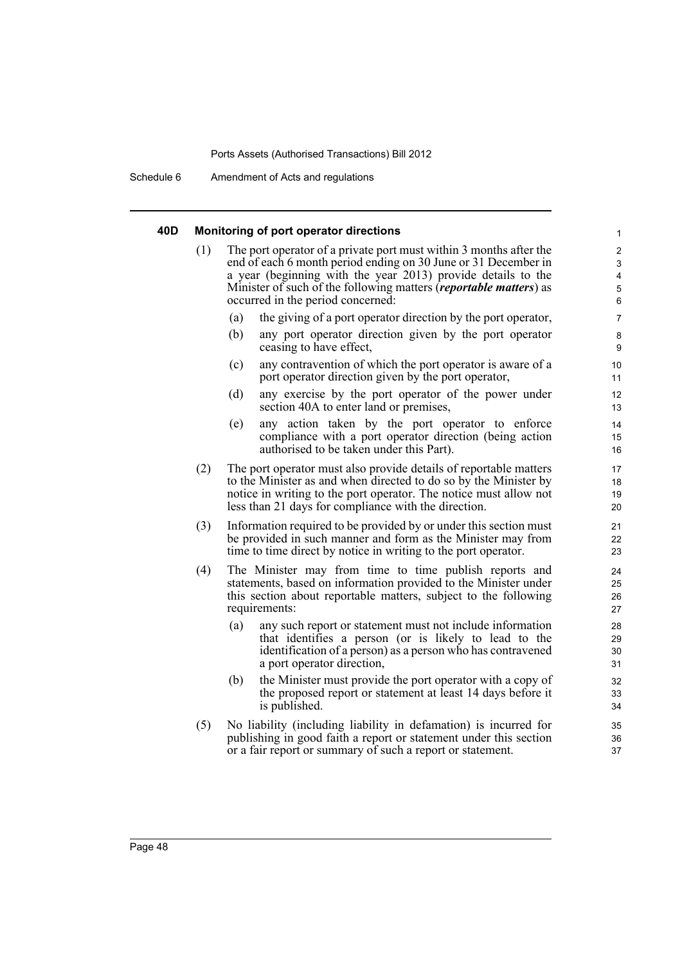Schedule 6 Amendment of Acts and regulations

### **40D Monitoring of port operator directions**

| (1) | occurred in the period concerned: | The port operator of a private port must within 3 months after the<br>end of each 6 month period ending on 30 June or 31 December in<br>a year (beginning with the year 2013) provide details to the<br>Minister of such of the following matters ( <i>reportable matters</i> ) as | $\overline{c}$<br>3<br>4<br>5<br>6 |
|-----|-----------------------------------|------------------------------------------------------------------------------------------------------------------------------------------------------------------------------------------------------------------------------------------------------------------------------------|------------------------------------|
|     | (a)                               | the giving of a port operator direction by the port operator,                                                                                                                                                                                                                      | 7                                  |
|     | (b)<br>ceasing to have effect,    | any port operator direction given by the port operator                                                                                                                                                                                                                             | 8<br>9                             |
|     | (c)                               | any contravention of which the port operator is aware of a<br>port operator direction given by the port operator,                                                                                                                                                                  | 10<br>11                           |
|     | (d)                               | any exercise by the port operator of the power under<br>section 40A to enter land or premises,                                                                                                                                                                                     | 12<br>13                           |
|     | (e)                               | any action taken by the port operator to enforce<br>compliance with a port operator direction (being action<br>authorised to be taken under this Part).                                                                                                                            | 14<br>15<br>16                     |
| (2) |                                   | The port operator must also provide details of reportable matters<br>to the Minister as and when directed to do so by the Minister by<br>notice in writing to the port operator. The notice must allow not<br>less than 21 days for compliance with the direction.                 | 17<br>18<br>19<br>20               |
| (3) |                                   | Information required to be provided by or under this section must<br>be provided in such manner and form as the Minister may from<br>time to time direct by notice in writing to the port operator.                                                                                | 21<br>22<br>23                     |
| (4) | requirements:                     | The Minister may from time to time publish reports and<br>statements, based on information provided to the Minister under<br>this section about reportable matters, subject to the following                                                                                       | 24<br>25<br>26<br>27               |
|     | (a)<br>a port operator direction, | any such report or statement must not include information<br>that identifies a person (or is likely to lead to the<br>identification of a person) as a person who has contravened                                                                                                  | 28<br>29<br>30<br>31               |
|     | (b)                               | the Minister must provide the port operator with a copy of<br>the proposed report or statement at least 14 days before it                                                                                                                                                          | 32<br>33                           |

1

(5) No liability (including liability in defamation) is incurred for publishing in good faith a report or statement under this section or a fair report or summary of such a report or statement.

is published.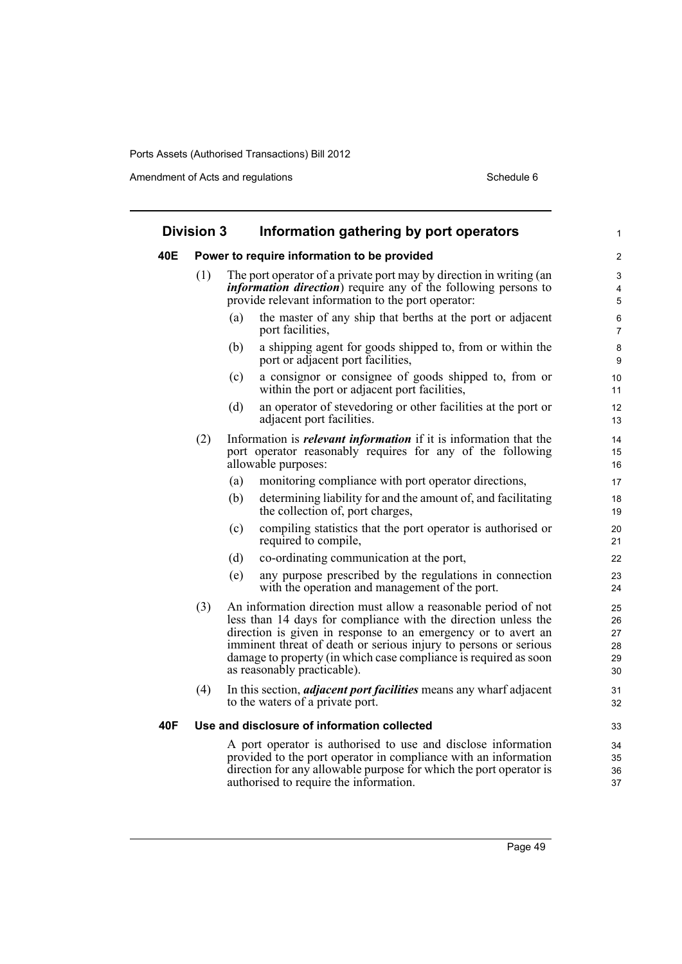Amendment of Acts and regulations Schedule 6

| <b>Division 3</b> |     |     | Information gathering by port operators                                                                                                                                                                                                                                                                                                                                  | 1                                |
|-------------------|-----|-----|--------------------------------------------------------------------------------------------------------------------------------------------------------------------------------------------------------------------------------------------------------------------------------------------------------------------------------------------------------------------------|----------------------------------|
| 40E               |     |     | Power to require information to be provided                                                                                                                                                                                                                                                                                                                              | $\overline{2}$                   |
|                   | (1) |     | The port operator of a private port may by direction in writing (an<br><i>information direction</i> ) require any of the following persons to<br>provide relevant information to the port operator:                                                                                                                                                                      | 3<br>4<br>5                      |
|                   |     | (a) | the master of any ship that berths at the port or adjacent<br>port facilities,                                                                                                                                                                                                                                                                                           | 6<br>$\overline{7}$              |
|                   |     | (b) | a shipping agent for goods shipped to, from or within the<br>port or adjacent port facilities,                                                                                                                                                                                                                                                                           | 8<br>9                           |
|                   |     | (c) | a consignor or consignee of goods shipped to, from or<br>within the port or adjacent port facilities,                                                                                                                                                                                                                                                                    | 10<br>11                         |
|                   |     | (d) | an operator of stevedoring or other facilities at the port or<br>adjacent port facilities.                                                                                                                                                                                                                                                                               | 12<br>13                         |
|                   | (2) |     | Information is <i>relevant information</i> if it is information that the<br>port operator reasonably requires for any of the following<br>allowable purposes:                                                                                                                                                                                                            | 14<br>15<br>16                   |
|                   |     | (a) | monitoring compliance with port operator directions,                                                                                                                                                                                                                                                                                                                     | 17                               |
|                   |     | (b) | determining liability for and the amount of, and facilitating<br>the collection of, port charges,                                                                                                                                                                                                                                                                        | 18<br>19                         |
|                   |     | (c) | compiling statistics that the port operator is authorised or<br>required to compile,                                                                                                                                                                                                                                                                                     | 20<br>21                         |
|                   |     | (d) | co-ordinating communication at the port,                                                                                                                                                                                                                                                                                                                                 | 22                               |
|                   |     | (e) | any purpose prescribed by the regulations in connection<br>with the operation and management of the port.                                                                                                                                                                                                                                                                | 23<br>24                         |
|                   | (3) |     | An information direction must allow a reasonable period of not<br>less than 14 days for compliance with the direction unless the<br>direction is given in response to an emergency or to avert an<br>imminent threat of death or serious injury to persons or serious<br>damage to property (in which case compliance is required as soon<br>as reasonably practicable). | 25<br>26<br>27<br>28<br>29<br>30 |
|                   | (4) |     | In this section, <i>adjacent port facilities</i> means any wharf adjacent<br>to the waters of a private port.                                                                                                                                                                                                                                                            | 31<br>32                         |
| 40F               |     |     | Use and disclosure of information collected                                                                                                                                                                                                                                                                                                                              | 33                               |
|                   |     |     | A port operator is authorised to use and disclose information<br>provided to the port operator in compliance with an information<br>direction for any allowable purpose for which the port operator is<br>authorised to require the information.                                                                                                                         | 34<br>35<br>36<br>37             |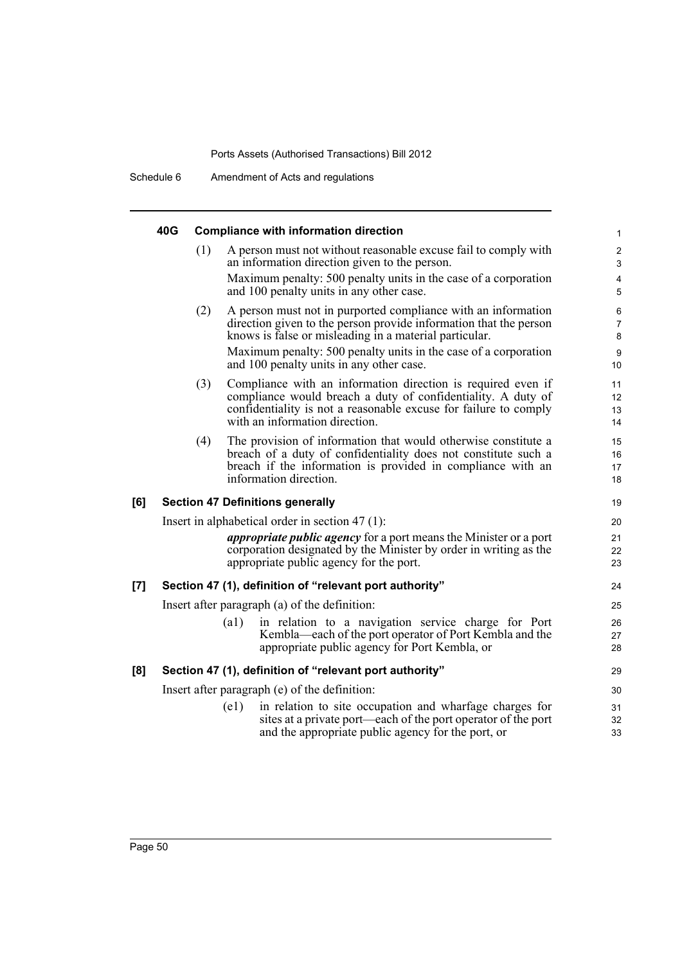Schedule 6 Amendment of Acts and regulations

|     | 40G |     |                    | <b>Compliance with information direction</b>                                                                                                                                                                                       | 1                              |
|-----|-----|-----|--------------------|------------------------------------------------------------------------------------------------------------------------------------------------------------------------------------------------------------------------------------|--------------------------------|
|     |     | (1) |                    | A person must not without reasonable excuse fail to comply with<br>an information direction given to the person.                                                                                                                   | 2<br>$\mathfrak{S}$            |
|     |     |     |                    | Maximum penalty: 500 penalty units in the case of a corporation<br>and 100 penalty units in any other case.                                                                                                                        | $\overline{\mathbf{4}}$<br>5   |
|     |     | (2) |                    | A person must not in purported compliance with an information<br>direction given to the person provide information that the person<br>knows is false or misleading in a material particular.                                       | $\,6\,$<br>$\overline{7}$<br>8 |
|     |     |     |                    | Maximum penalty: 500 penalty units in the case of a corporation<br>and 100 penalty units in any other case.                                                                                                                        | 9<br>10                        |
|     |     | (3) |                    | Compliance with an information direction is required even if<br>compliance would breach a duty of confidentiality. A duty of<br>confidentiality is not a reasonable excuse for failure to comply<br>with an information direction. | 11<br>12<br>13<br>14           |
|     |     | (4) |                    | The provision of information that would otherwise constitute a<br>breach of a duty of confidentiality does not constitute such a<br>breach if the information is provided in compliance with an<br>information direction.          | 15<br>16<br>17<br>18           |
| [6] |     |     |                    | <b>Section 47 Definitions generally</b>                                                                                                                                                                                            | 19                             |
|     |     |     |                    | Insert in alphabetical order in section $47(1)$ :                                                                                                                                                                                  | 20                             |
|     |     |     |                    | <i>appropriate public agency</i> for a port means the Minister or a port<br>corporation designated by the Minister by order in writing as the<br>appropriate public agency for the port.                                           | 21<br>22<br>23                 |
| [7] |     |     |                    | Section 47 (1), definition of "relevant port authority"                                                                                                                                                                            | 24                             |
|     |     |     |                    | Insert after paragraph (a) of the definition:                                                                                                                                                                                      | 25                             |
|     |     |     | $\left( a1\right)$ | in relation to a navigation service charge for Port<br>Kembla—each of the port operator of Port Kembla and the<br>appropriate public agency for Port Kembla, or                                                                    | 26<br>27<br>28                 |
| [8] |     |     |                    | Section 47 (1), definition of "relevant port authority"                                                                                                                                                                            | 29                             |
|     |     |     |                    | Insert after paragraph (e) of the definition:                                                                                                                                                                                      | 30                             |
|     |     |     | (e1)               | in relation to site occupation and wharfage charges for<br>sites at a private port—each of the port operator of the port<br>and the appropriate public agency for the port, or                                                     | 31<br>32<br>33                 |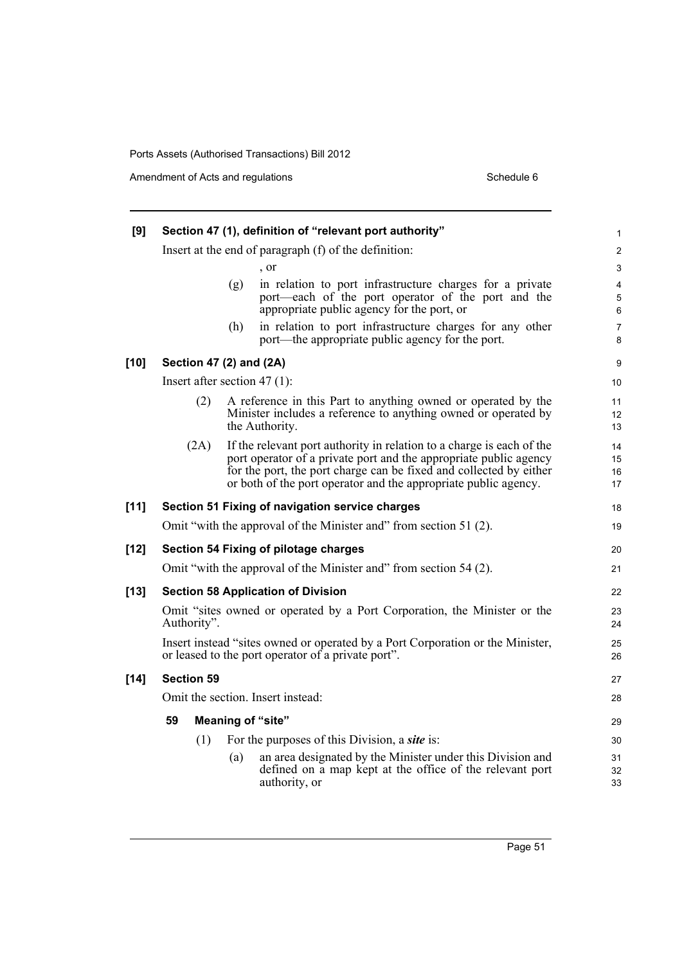Amendment of Acts and regulations Schedule 6

|      |                                                                                                                                                                                                                                                                                     | 1                                                                                                                                                                                                                                                                                                                                                                                                                                                                                                                                                                                                                                                                                                                                                                                                                                                                                                                                                    |
|------|-------------------------------------------------------------------------------------------------------------------------------------------------------------------------------------------------------------------------------------------------------------------------------------|------------------------------------------------------------------------------------------------------------------------------------------------------------------------------------------------------------------------------------------------------------------------------------------------------------------------------------------------------------------------------------------------------------------------------------------------------------------------------------------------------------------------------------------------------------------------------------------------------------------------------------------------------------------------------------------------------------------------------------------------------------------------------------------------------------------------------------------------------------------------------------------------------------------------------------------------------|
|      |                                                                                                                                                                                                                                                                                     | $\overline{\mathbf{c}}$                                                                                                                                                                                                                                                                                                                                                                                                                                                                                                                                                                                                                                                                                                                                                                                                                                                                                                                              |
|      | $\cdot$ or                                                                                                                                                                                                                                                                          | 3                                                                                                                                                                                                                                                                                                                                                                                                                                                                                                                                                                                                                                                                                                                                                                                                                                                                                                                                                    |
|      | (g)<br>port—each of the port operator of the port and the                                                                                                                                                                                                                           | $\overline{\mathbf{4}}$<br>5<br>6                                                                                                                                                                                                                                                                                                                                                                                                                                                                                                                                                                                                                                                                                                                                                                                                                                                                                                                    |
|      | in relation to port infrastructure charges for any other<br>(h)<br>port—the appropriate public agency for the port.                                                                                                                                                                 | $\overline{7}$<br>8                                                                                                                                                                                                                                                                                                                                                                                                                                                                                                                                                                                                                                                                                                                                                                                                                                                                                                                                  |
|      |                                                                                                                                                                                                                                                                                     | 9                                                                                                                                                                                                                                                                                                                                                                                                                                                                                                                                                                                                                                                                                                                                                                                                                                                                                                                                                    |
|      |                                                                                                                                                                                                                                                                                     | 10                                                                                                                                                                                                                                                                                                                                                                                                                                                                                                                                                                                                                                                                                                                                                                                                                                                                                                                                                   |
| (2)  | A reference in this Part to anything owned or operated by the<br>Minister includes a reference to anything owned or operated by<br>the Authority.                                                                                                                                   | 11<br>12<br>13                                                                                                                                                                                                                                                                                                                                                                                                                                                                                                                                                                                                                                                                                                                                                                                                                                                                                                                                       |
| (2A) | If the relevant port authority in relation to a charge is each of the<br>port operator of a private port and the appropriate public agency<br>for the port, the port charge can be fixed and collected by either<br>or both of the port operator and the appropriate public agency. | 14<br>15<br>16<br>17                                                                                                                                                                                                                                                                                                                                                                                                                                                                                                                                                                                                                                                                                                                                                                                                                                                                                                                                 |
|      |                                                                                                                                                                                                                                                                                     | 18                                                                                                                                                                                                                                                                                                                                                                                                                                                                                                                                                                                                                                                                                                                                                                                                                                                                                                                                                   |
|      |                                                                                                                                                                                                                                                                                     | 19                                                                                                                                                                                                                                                                                                                                                                                                                                                                                                                                                                                                                                                                                                                                                                                                                                                                                                                                                   |
|      |                                                                                                                                                                                                                                                                                     | 20                                                                                                                                                                                                                                                                                                                                                                                                                                                                                                                                                                                                                                                                                                                                                                                                                                                                                                                                                   |
|      |                                                                                                                                                                                                                                                                                     | 21                                                                                                                                                                                                                                                                                                                                                                                                                                                                                                                                                                                                                                                                                                                                                                                                                                                                                                                                                   |
|      |                                                                                                                                                                                                                                                                                     | 22                                                                                                                                                                                                                                                                                                                                                                                                                                                                                                                                                                                                                                                                                                                                                                                                                                                                                                                                                   |
|      |                                                                                                                                                                                                                                                                                     | 23<br>24                                                                                                                                                                                                                                                                                                                                                                                                                                                                                                                                                                                                                                                                                                                                                                                                                                                                                                                                             |
|      |                                                                                                                                                                                                                                                                                     | 25<br>26                                                                                                                                                                                                                                                                                                                                                                                                                                                                                                                                                                                                                                                                                                                                                                                                                                                                                                                                             |
|      |                                                                                                                                                                                                                                                                                     | 27                                                                                                                                                                                                                                                                                                                                                                                                                                                                                                                                                                                                                                                                                                                                                                                                                                                                                                                                                   |
|      |                                                                                                                                                                                                                                                                                     | 28                                                                                                                                                                                                                                                                                                                                                                                                                                                                                                                                                                                                                                                                                                                                                                                                                                                                                                                                                   |
| 59   |                                                                                                                                                                                                                                                                                     | 29                                                                                                                                                                                                                                                                                                                                                                                                                                                                                                                                                                                                                                                                                                                                                                                                                                                                                                                                                   |
|      |                                                                                                                                                                                                                                                                                     | 30                                                                                                                                                                                                                                                                                                                                                                                                                                                                                                                                                                                                                                                                                                                                                                                                                                                                                                                                                   |
|      | an area designated by the Minister under this Division and<br>(a)<br>defined on a map kept at the office of the relevant port<br>authority, or                                                                                                                                      | 31<br>32<br>33                                                                                                                                                                                                                                                                                                                                                                                                                                                                                                                                                                                                                                                                                                                                                                                                                                                                                                                                       |
|      | (1)                                                                                                                                                                                                                                                                                 | Section 47 (1), definition of "relevant port authority"<br>Insert at the end of paragraph (f) of the definition:<br>in relation to port infrastructure charges for a private<br>appropriate public agency for the port, or<br>Section 47 (2) and (2A)<br>Insert after section $47(1)$ :<br>Section 51 Fixing of navigation service charges<br>Omit "with the approval of the Minister and" from section 51 (2).<br>Section 54 Fixing of pilotage charges<br>Omit "with the approval of the Minister and" from section 54 (2).<br><b>Section 58 Application of Division</b><br>Omit "sites owned or operated by a Port Corporation, the Minister or the<br>Authority".<br>Insert instead "sites owned or operated by a Port Corporation or the Minister,<br>or leased to the port operator of a private port".<br><b>Section 59</b><br>Omit the section. Insert instead:<br><b>Meaning of "site"</b><br>For the purposes of this Division, a site is: |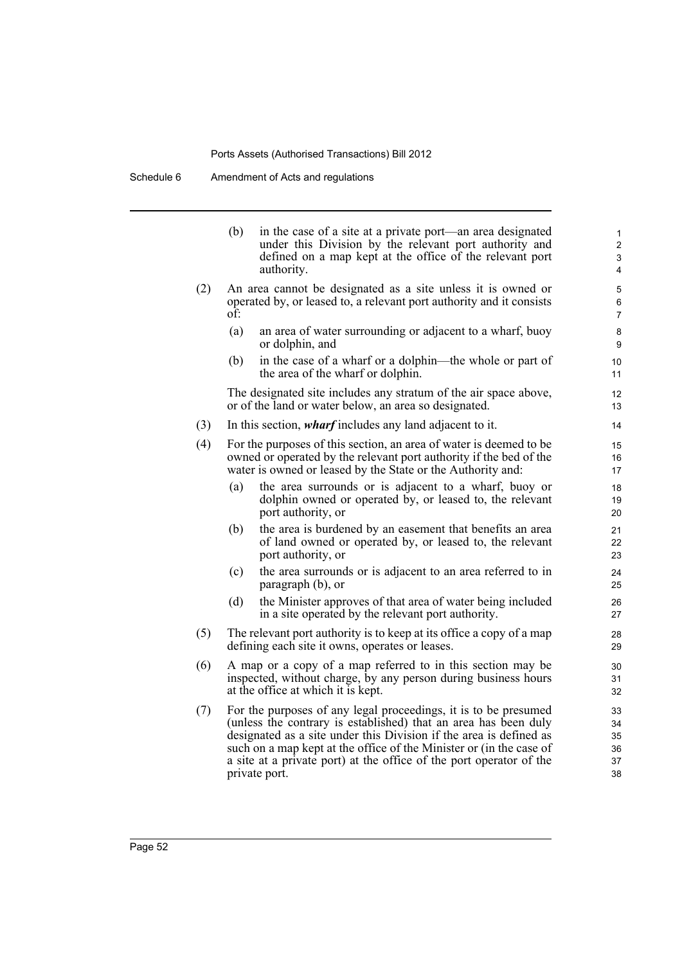Schedule 6 Amendment of Acts and regulations

|     | (b) | in the case of a site at a private port—an area designated<br>under this Division by the relevant port authority and<br>defined on a map kept at the office of the relevant port<br>authority.                                                                                                                                                                          | 1<br>$\overline{2}$<br>3<br>4    |
|-----|-----|-------------------------------------------------------------------------------------------------------------------------------------------------------------------------------------------------------------------------------------------------------------------------------------------------------------------------------------------------------------------------|----------------------------------|
| (2) | of: | An area cannot be designated as a site unless it is owned or<br>operated by, or leased to, a relevant port authority and it consists                                                                                                                                                                                                                                    | 5<br>6<br>$\overline{7}$         |
|     | (a) | an area of water surrounding or adjacent to a wharf, buoy<br>or dolphin, and                                                                                                                                                                                                                                                                                            | 8<br>9                           |
|     | (b) | in the case of a wharf or a dolphin—the whole or part of<br>the area of the wharf or dolphin.                                                                                                                                                                                                                                                                           | 10<br>11                         |
|     |     | The designated site includes any stratum of the air space above,<br>or of the land or water below, an area so designated.                                                                                                                                                                                                                                               | 12<br>13                         |
| (3) |     | In this section, <i>wharf</i> includes any land adjacent to it.                                                                                                                                                                                                                                                                                                         | 14                               |
| (4) |     | For the purposes of this section, an area of water is deemed to be<br>owned or operated by the relevant port authority if the bed of the<br>water is owned or leased by the State or the Authority and:                                                                                                                                                                 | 15<br>16<br>17                   |
|     | (a) | the area surrounds or is adjacent to a wharf, buoy or<br>dolphin owned or operated by, or leased to, the relevant<br>port authority, or                                                                                                                                                                                                                                 | 18<br>19<br>20                   |
|     | (b) | the area is burdened by an easement that benefits an area<br>of land owned or operated by, or leased to, the relevant<br>port authority, or                                                                                                                                                                                                                             | 21<br>22<br>23                   |
|     | (c) | the area surrounds or is adjacent to an area referred to in<br>paragraph (b), or                                                                                                                                                                                                                                                                                        | 24<br>25                         |
|     | (d) | the Minister approves of that area of water being included<br>in a site operated by the relevant port authority.                                                                                                                                                                                                                                                        | 26<br>27                         |
| (5) |     | The relevant port authority is to keep at its office a copy of a map<br>defining each site it owns, operates or leases.                                                                                                                                                                                                                                                 | 28<br>29                         |
| (6) |     | A map or a copy of a map referred to in this section may be<br>inspected, without charge, by any person during business hours<br>at the office at which it is kept.                                                                                                                                                                                                     | 30<br>31<br>32                   |
| (7) |     | For the purposes of any legal proceedings, it is to be presumed<br>(unless the contrary is established) that an area has been duly<br>designated as a site under this Division if the area is defined as<br>such on a map kept at the office of the Minister or (in the case of<br>a site at a private port) at the office of the port operator of the<br>private port. | 33<br>34<br>35<br>36<br>37<br>38 |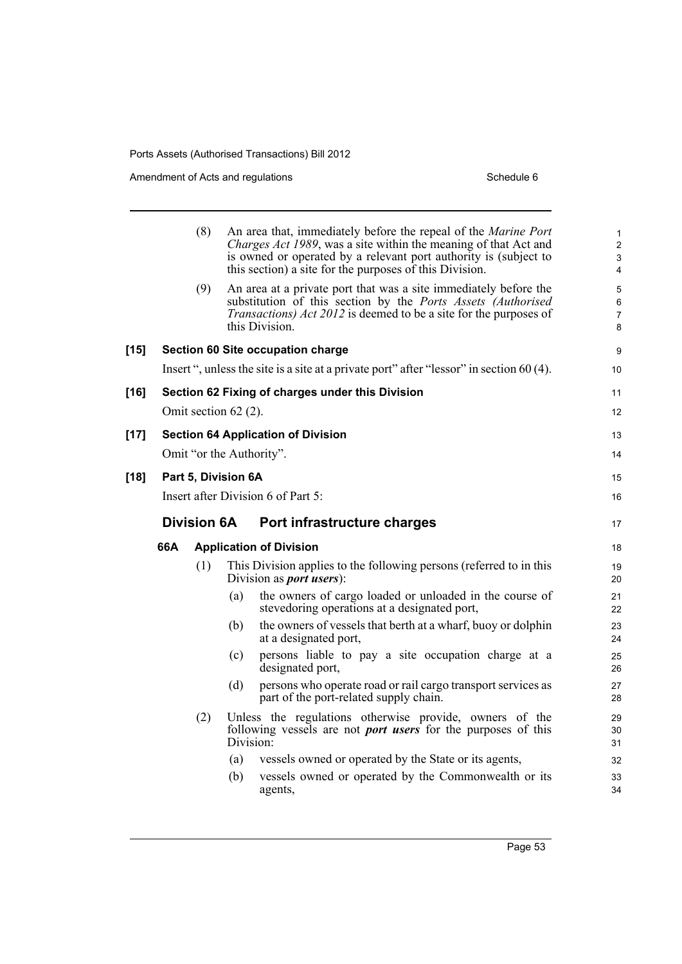Amendment of Acts and regulations Schedule 6

|        |     | (8)                |                      | An area that, immediately before the repeal of the Marine Port<br>Charges Act 1989, was a site within the meaning of that Act and<br>is owned or operated by a relevant port authority is (subject to<br>this section) a site for the purposes of this Division. | 1<br>$\overline{\mathbf{c}}$<br>3<br>4 |
|--------|-----|--------------------|----------------------|------------------------------------------------------------------------------------------------------------------------------------------------------------------------------------------------------------------------------------------------------------------|----------------------------------------|
|        |     | (9)                |                      | An area at a private port that was a site immediately before the<br>substitution of this section by the Ports Assets (Authorised<br><i>Transactions) Act 2012</i> is deemed to be a site for the purposes of<br>this Division.                                   | 5<br>6<br>7<br>8                       |
| $[15]$ |     |                    |                      | Section 60 Site occupation charge                                                                                                                                                                                                                                | 9                                      |
|        |     |                    |                      | Insert ", unless the site is a site at a private port" after "lessor" in section 60 (4).                                                                                                                                                                         | 10                                     |
| [16]   |     |                    |                      | Section 62 Fixing of charges under this Division                                                                                                                                                                                                                 | 11                                     |
|        |     |                    | Omit section 62 (2). |                                                                                                                                                                                                                                                                  | 12                                     |
| $[17]$ |     |                    |                      | <b>Section 64 Application of Division</b>                                                                                                                                                                                                                        | 13                                     |
|        |     |                    |                      | Omit "or the Authority".                                                                                                                                                                                                                                         | 14                                     |
| [18]   |     |                    | Part 5, Division 6A  |                                                                                                                                                                                                                                                                  | 15                                     |
|        |     |                    |                      | Insert after Division 6 of Part 5:                                                                                                                                                                                                                               | 16                                     |
|        |     | <b>Division 6A</b> |                      | Port infrastructure charges                                                                                                                                                                                                                                      | 17                                     |
|        | 66A |                    |                      | <b>Application of Division</b>                                                                                                                                                                                                                                   | 18                                     |
|        |     | (1)                |                      | This Division applies to the following persons (referred to in this<br>Division as <i>port</i> users):                                                                                                                                                           | 19<br>20                               |
|        |     |                    | (a)                  | the owners of cargo loaded or unloaded in the course of<br>stevedoring operations at a designated port,                                                                                                                                                          | 21<br>22                               |
|        |     |                    | (b)                  | the owners of vessels that berth at a wharf, buoy or dolphin<br>at a designated port,                                                                                                                                                                            | 23<br>24                               |
|        |     |                    | (c)                  | persons liable to pay a site occupation charge at a<br>designated port,                                                                                                                                                                                          | 25<br>26                               |
|        |     |                    | (d)                  | persons who operate road or rail cargo transport services as<br>part of the port-related supply chain.                                                                                                                                                           | 27<br>28                               |
|        |     | (2)                | Division:            | Unless the regulations otherwise provide, owners of the<br>following vessels are not <i>port users</i> for the purposes of this                                                                                                                                  | 29<br>30<br>31                         |
|        |     |                    | (a)                  | vessels owned or operated by the State or its agents,                                                                                                                                                                                                            | 32                                     |
|        |     |                    | (b)                  | vessels owned or operated by the Commonwealth or its<br>agents,                                                                                                                                                                                                  | 33<br>34                               |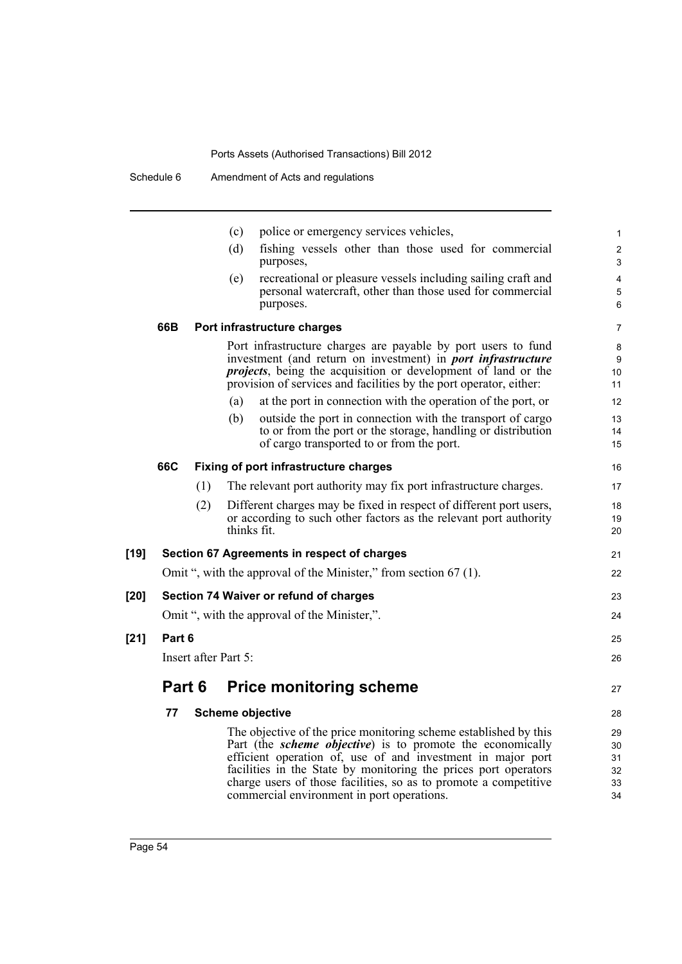|        |        |     | (c)                  | police or emergency services vehicles,                                                                                                                                                                                                                                                                                                                                                     | 1                                |
|--------|--------|-----|----------------------|--------------------------------------------------------------------------------------------------------------------------------------------------------------------------------------------------------------------------------------------------------------------------------------------------------------------------------------------------------------------------------------------|----------------------------------|
|        |        |     | (d)                  | fishing vessels other than those used for commercial<br>purposes,                                                                                                                                                                                                                                                                                                                          | $\overline{\mathbf{c}}$<br>3     |
|        |        |     | (e)                  | recreational or pleasure vessels including sailing craft and<br>personal watercraft, other than those used for commercial<br>purposes.                                                                                                                                                                                                                                                     | 4<br>5<br>6                      |
|        | 66B    |     |                      | Port infrastructure charges                                                                                                                                                                                                                                                                                                                                                                | 7                                |
|        |        |     |                      | Port infrastructure charges are payable by port users to fund<br>investment (and return on investment) in <i>port infrastructure</i><br><i>projects</i> , being the acquisition or development of land or the<br>provision of services and facilities by the port operator, either:                                                                                                        | 8<br>9<br>10<br>11               |
|        |        |     | (a)                  | at the port in connection with the operation of the port, or                                                                                                                                                                                                                                                                                                                               | 12                               |
|        |        |     | (b)                  | outside the port in connection with the transport of cargo<br>to or from the port or the storage, handling or distribution<br>of cargo transported to or from the port.                                                                                                                                                                                                                    | 13<br>14<br>15                   |
|        | 66C    |     |                      | Fixing of port infrastructure charges                                                                                                                                                                                                                                                                                                                                                      | 16                               |
|        |        | (1) |                      | The relevant port authority may fix port infrastructure charges.                                                                                                                                                                                                                                                                                                                           | 17                               |
|        |        | (2) | thinks fit.          | Different charges may be fixed in respect of different port users,<br>or according to such other factors as the relevant port authority                                                                                                                                                                                                                                                    | 18<br>19<br>20                   |
| $[19]$ |        |     |                      | Section 67 Agreements in respect of charges                                                                                                                                                                                                                                                                                                                                                | 21                               |
|        |        |     |                      | Omit ", with the approval of the Minister," from section 67 (1).                                                                                                                                                                                                                                                                                                                           | 22                               |
| $[20]$ |        |     |                      | Section 74 Waiver or refund of charges                                                                                                                                                                                                                                                                                                                                                     | 23                               |
|        |        |     |                      | Omit ", with the approval of the Minister,".                                                                                                                                                                                                                                                                                                                                               | 24                               |
| $[21]$ | Part 6 |     |                      |                                                                                                                                                                                                                                                                                                                                                                                            | 25                               |
|        |        |     | Insert after Part 5: |                                                                                                                                                                                                                                                                                                                                                                                            | 26                               |
|        | Part 6 |     |                      | <b>Price monitoring scheme</b>                                                                                                                                                                                                                                                                                                                                                             | 27                               |
|        | 77     |     |                      | <b>Scheme objective</b>                                                                                                                                                                                                                                                                                                                                                                    | 28                               |
|        |        |     |                      | The objective of the price monitoring scheme established by this<br>Part (the <i>scheme objective</i> ) is to promote the economically<br>efficient operation of, use of and investment in major port<br>facilities in the State by monitoring the prices port operators<br>charge users of those facilities, so as to promote a competitive<br>commercial environment in port operations. | 29<br>30<br>31<br>32<br>33<br>34 |
|        |        |     |                      |                                                                                                                                                                                                                                                                                                                                                                                            |                                  |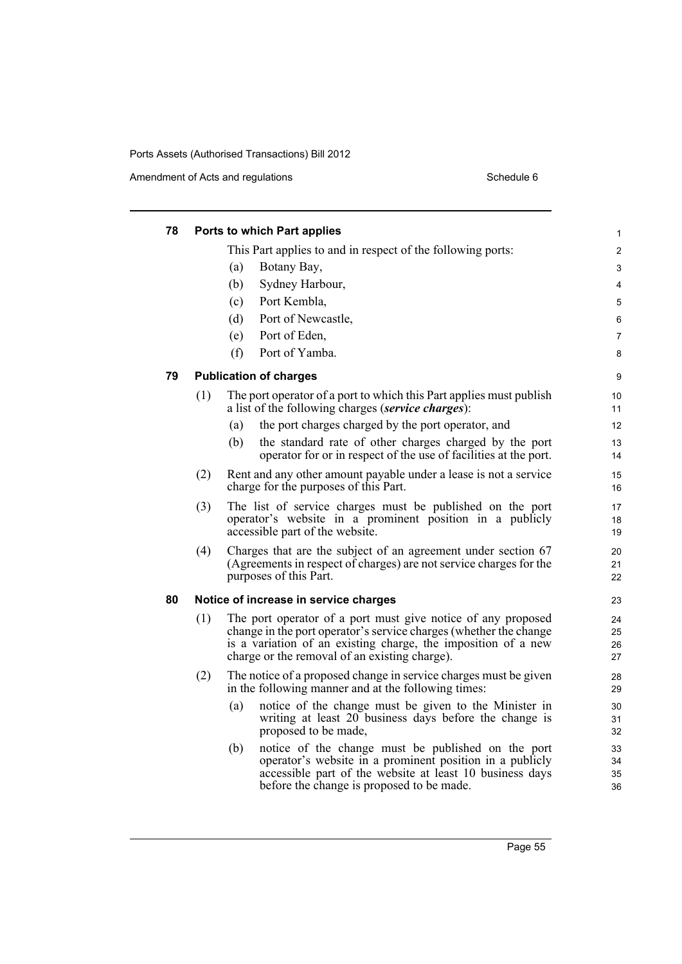Amendment of Acts and regulations Schedule 6

| 78 |     | Ports to which Part applies                                                                                                                                                                                                                         | $\mathbf{1}$         |
|----|-----|-----------------------------------------------------------------------------------------------------------------------------------------------------------------------------------------------------------------------------------------------------|----------------------|
|    |     | This Part applies to and in respect of the following ports:                                                                                                                                                                                         | $\overline{2}$       |
|    |     | (a)<br>Botany Bay,                                                                                                                                                                                                                                  | 3                    |
|    |     | (b)<br>Sydney Harbour,                                                                                                                                                                                                                              | 4                    |
|    |     | Port Kembla,<br>(c)                                                                                                                                                                                                                                 | 5                    |
|    |     | (d)<br>Port of Newcastle,                                                                                                                                                                                                                           | 6                    |
|    |     | Port of Eden,<br>(e)                                                                                                                                                                                                                                | 7                    |
|    |     | (f)<br>Port of Yamba.                                                                                                                                                                                                                               | 8                    |
| 79 |     | <b>Publication of charges</b>                                                                                                                                                                                                                       | 9                    |
|    | (1) | The port operator of a port to which this Part applies must publish<br>a list of the following charges (service charges):                                                                                                                           | 10<br>11             |
|    |     | the port charges charged by the port operator, and<br>(a)                                                                                                                                                                                           | 12                   |
|    |     | (b)<br>the standard rate of other charges charged by the port<br>operator for or in respect of the use of facilities at the port.                                                                                                                   | 13<br>14             |
|    | (2) | Rent and any other amount payable under a lease is not a service<br>charge for the purposes of this Part.                                                                                                                                           | 15<br>16             |
|    | (3) | The list of service charges must be published on the port<br>operator's website in a prominent position in a publicly<br>accessible part of the website.                                                                                            | 17<br>18<br>19       |
|    | (4) | Charges that are the subject of an agreement under section 67<br>(Agreements in respect of charges) are not service charges for the<br>purposes of this Part.                                                                                       | 20<br>21<br>22       |
| 80 |     | Notice of increase in service charges                                                                                                                                                                                                               | 23                   |
|    | (1) | The port operator of a port must give notice of any proposed<br>change in the port operator's service charges (whether the change<br>is a variation of an existing charge, the imposition of a new<br>charge or the removal of an existing charge). | 24<br>25<br>26<br>27 |
|    | (2) | The notice of a proposed change in service charges must be given<br>in the following manner and at the following times:                                                                                                                             | 28<br>29             |
|    |     | notice of the change must be given to the Minister in<br>(a)<br>writing at least 20 business days before the change is<br>proposed to be made,                                                                                                      | 30<br>31<br>32       |
|    |     | notice of the change must be published on the port<br>(b)<br>operator's website in a prominent position in a publicly<br>accessible part of the website at least 10 business days<br>before the change is proposed to be made.                      | 33<br>34<br>35<br>36 |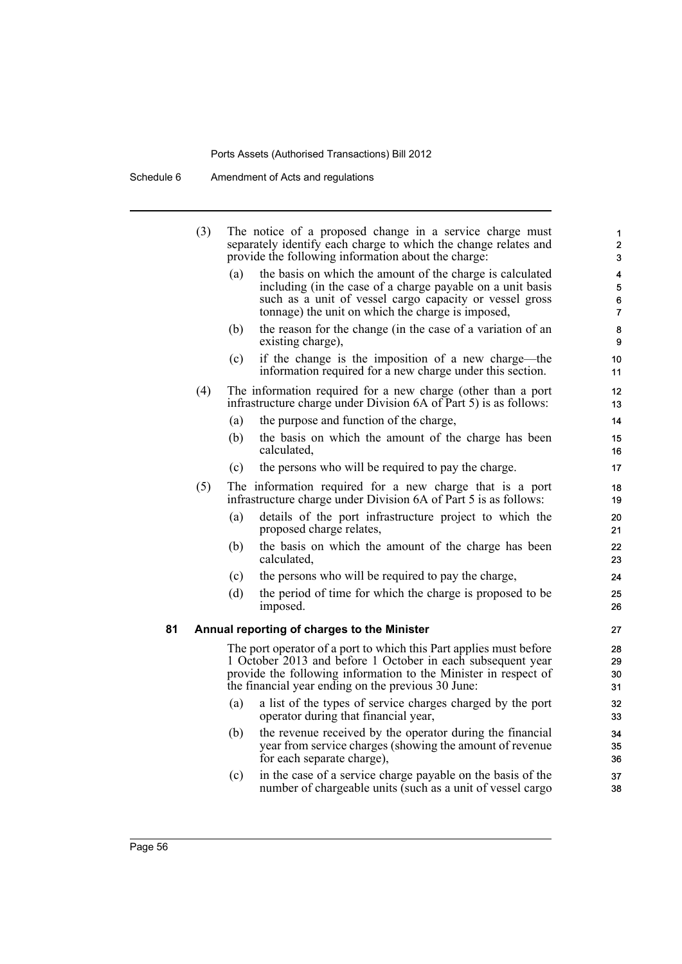Schedule 6 Amendment of Acts and regulations

|    | (3) |     | The notice of a proposed change in a service charge must<br>separately identify each charge to which the change relates and<br>provide the following information about the charge:                                                                         | 1<br>$\overline{2}$<br>3      |
|----|-----|-----|------------------------------------------------------------------------------------------------------------------------------------------------------------------------------------------------------------------------------------------------------------|-------------------------------|
|    |     | (a) | the basis on which the amount of the charge is calculated<br>including (in the case of a charge payable on a unit basis<br>such as a unit of vessel cargo capacity or vessel gross<br>tonnage) the unit on which the charge is imposed,                    | 4<br>5<br>6<br>$\overline{7}$ |
|    |     | (b) | the reason for the change (in the case of a variation of an<br>existing charge),                                                                                                                                                                           | 8<br>9                        |
|    |     | (c) | if the change is the imposition of a new charge—the<br>information required for a new charge under this section.                                                                                                                                           | 10 <sup>1</sup><br>11         |
|    | (4) |     | The information required for a new charge (other than a port<br>infrastructure charge under Division 6A of Part 5) is as follows:                                                                                                                          | 12<br>13                      |
|    |     | (a) | the purpose and function of the charge,                                                                                                                                                                                                                    | 14                            |
|    |     | (b) | the basis on which the amount of the charge has been<br>calculated,                                                                                                                                                                                        | 15<br>16                      |
|    |     | (c) | the persons who will be required to pay the charge.                                                                                                                                                                                                        | 17                            |
|    | (5) |     | The information required for a new charge that is a port<br>infrastructure charge under Division 6A of Part 5 is as follows:                                                                                                                               | 18<br>19                      |
|    |     | (a) | details of the port infrastructure project to which the<br>proposed charge relates,                                                                                                                                                                        | 20<br>21                      |
|    |     | (b) | the basis on which the amount of the charge has been<br>calculated,                                                                                                                                                                                        | 22<br>23                      |
|    |     | (c) | the persons who will be required to pay the charge,                                                                                                                                                                                                        | 24                            |
|    |     | (d) | the period of time for which the charge is proposed to be<br>imposed.                                                                                                                                                                                      | 25<br>26                      |
| 81 |     |     | Annual reporting of charges to the Minister                                                                                                                                                                                                                | 27                            |
|    |     |     | The port operator of a port to which this Part applies must before<br>1 October 2013 and before 1 October in each subsequent year<br>provide the following information to the Minister in respect of<br>the financial year ending on the previous 30 June: | 28<br>29<br>30<br>31          |
|    |     | (a) | a list of the types of service charges charged by the port<br>operator during that financial year,                                                                                                                                                         | 32<br>33                      |
|    |     | (b) | the revenue received by the operator during the financial<br>year from service charges (showing the amount of revenue<br>for each separate charge),                                                                                                        | 34<br>35<br>36                |
|    |     | (c) | in the case of a service charge payable on the basis of the<br>number of chargeable units (such as a unit of vessel cargo                                                                                                                                  | 37<br>38                      |
|    |     |     |                                                                                                                                                                                                                                                            |                               |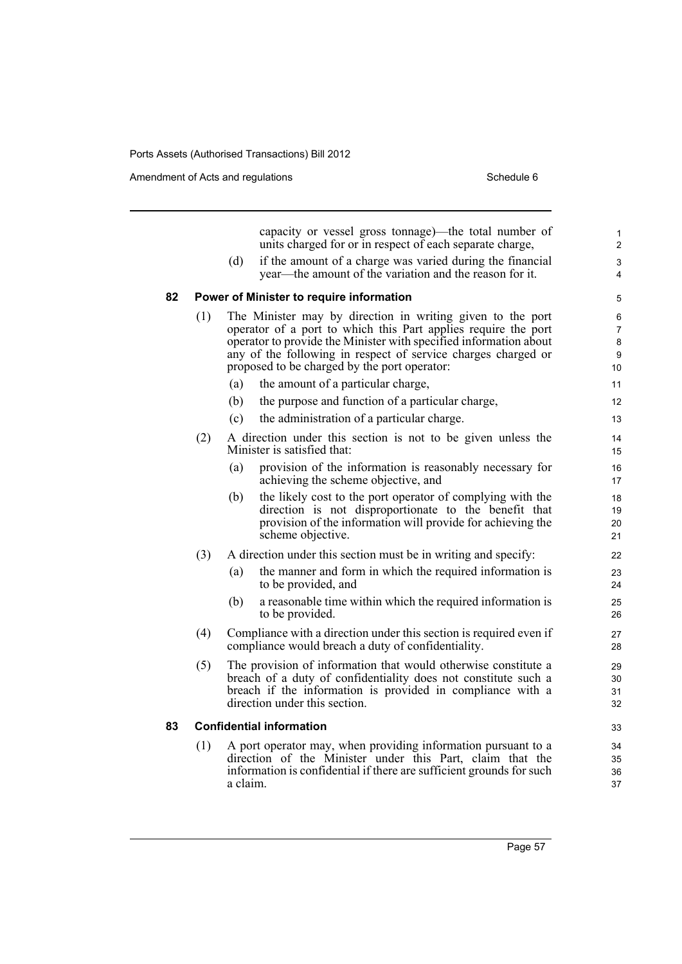Amendment of Acts and regulations Schedule 6

|    |     |          | capacity or vessel gross tonnage)—the total number of<br>units charged for or in respect of each separate charge,                   | 1<br>$\overline{2}$ |
|----|-----|----------|-------------------------------------------------------------------------------------------------------------------------------------|---------------------|
|    |     | (d)      | if the amount of a charge was varied during the financial                                                                           | 3                   |
|    |     |          | year—the amount of the variation and the reason for it.                                                                             | 4                   |
| 82 |     |          | Power of Minister to require information                                                                                            | 5                   |
|    | (1) |          | The Minister may by direction in writing given to the port                                                                          | 6                   |
|    |     |          | operator of a port to which this Part applies require the port<br>operator to provide the Minister with specified information about | 7<br>8              |
|    |     |          | any of the following in respect of service charges charged or                                                                       | 9                   |
|    |     |          | proposed to be charged by the port operator:                                                                                        | 10                  |
|    |     | (a)      | the amount of a particular charge,                                                                                                  | 11                  |
|    |     | (b)      | the purpose and function of a particular charge,                                                                                    | 12                  |
|    |     | (c)      | the administration of a particular charge.                                                                                          | 13                  |
|    | (2) |          | A direction under this section is not to be given unless the<br>Minister is satisfied that:                                         | 14<br>15            |
|    |     | (a)      | provision of the information is reasonably necessary for<br>achieving the scheme objective, and                                     | 16<br>17            |
|    |     | (b)      | the likely cost to the port operator of complying with the                                                                          | 18                  |
|    |     |          | direction is not disproportionate to the benefit that<br>provision of the information will provide for achieving the                | 19<br>20            |
|    |     |          | scheme objective.                                                                                                                   | 21                  |
|    | (3) |          | A direction under this section must be in writing and specify:                                                                      | 22                  |
|    |     | (a)      | the manner and form in which the required information is<br>to be provided, and                                                     | 23<br>24            |
|    |     | (b)      | a reasonable time within which the required information is<br>to be provided.                                                       | 25<br>26            |
|    | (4) |          | Compliance with a direction under this section is required even if<br>compliance would breach a duty of confidentiality.            | 27<br>28            |
|    | (5) |          | The provision of information that would otherwise constitute a                                                                      | 29                  |
|    |     |          | breach of a duty of confidentiality does not constitute such a                                                                      | 30                  |
|    |     |          | breach if the information is provided in compliance with a<br>direction under this section.                                         | 31<br>32            |
| 83 |     |          | <b>Confidential information</b>                                                                                                     | 33                  |
|    | (1) |          | A port operator may, when providing information pursuant to a                                                                       | 34                  |
|    |     |          | direction of the Minister under this Part, claim that the                                                                           | 35                  |
|    |     | a claim. | information is confidential if there are sufficient grounds for such                                                                | 36<br>37            |
|    |     |          |                                                                                                                                     |                     |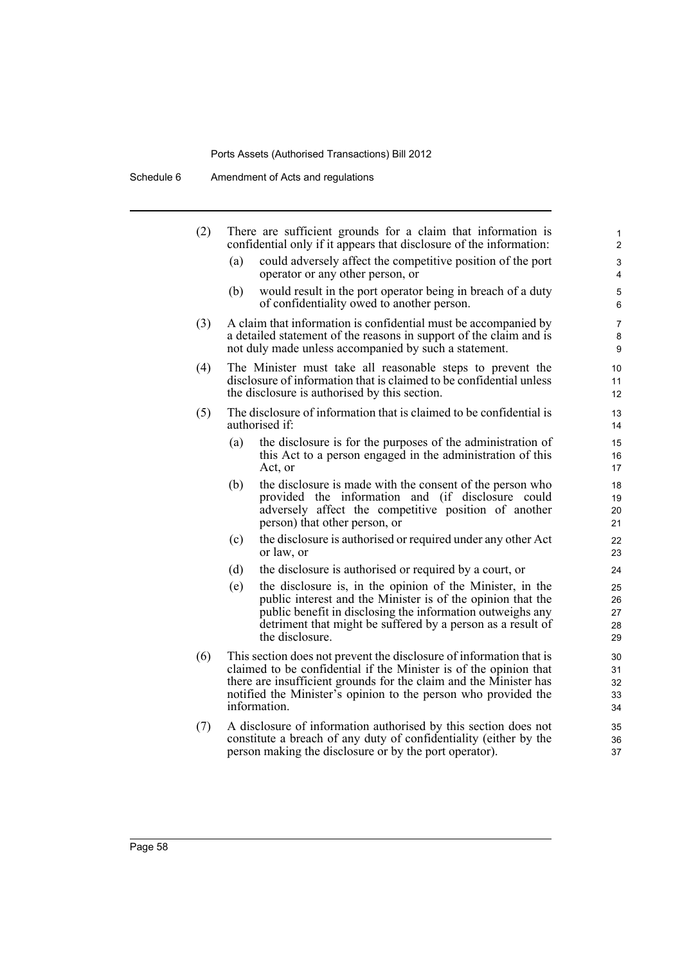Schedule 6 Amendment of Acts and regulations

| (2) | There are sufficient grounds for a claim that information is<br>confidential only if it appears that disclosure of the information:                                                                                                                                                             | 1<br>$\overline{2}$                                                                                                                                                                                                                                                      |                            |  |  |
|-----|-------------------------------------------------------------------------------------------------------------------------------------------------------------------------------------------------------------------------------------------------------------------------------------------------|--------------------------------------------------------------------------------------------------------------------------------------------------------------------------------------------------------------------------------------------------------------------------|----------------------------|--|--|
|     | (a)                                                                                                                                                                                                                                                                                             | could adversely affect the competitive position of the port<br>operator or any other person, or                                                                                                                                                                          | 3<br>4                     |  |  |
|     | (b)                                                                                                                                                                                                                                                                                             | would result in the port operator being in breach of a duty<br>of confidentiality owed to another person.                                                                                                                                                                | 5<br>6                     |  |  |
| (3) | A claim that information is confidential must be accompanied by<br>a detailed statement of the reasons in support of the claim and is<br>not duly made unless accompanied by such a statement.                                                                                                  |                                                                                                                                                                                                                                                                          |                            |  |  |
| (4) | The Minister must take all reasonable steps to prevent the<br>disclosure of information that is claimed to be confidential unless<br>the disclosure is authorised by this section.                                                                                                              |                                                                                                                                                                                                                                                                          |                            |  |  |
| (5) | The disclosure of information that is claimed to be confidential is<br>authorised if:                                                                                                                                                                                                           | 13<br>14                                                                                                                                                                                                                                                                 |                            |  |  |
|     | (a)                                                                                                                                                                                                                                                                                             | the disclosure is for the purposes of the administration of<br>this Act to a person engaged in the administration of this<br>Act, or                                                                                                                                     | 15<br>16<br>17             |  |  |
|     | (b)                                                                                                                                                                                                                                                                                             | the disclosure is made with the consent of the person who<br>provided the information and (if disclosure could<br>adversely affect the competitive position of another<br>person) that other person, or                                                                  | 18<br>19<br>20<br>21       |  |  |
|     | (c)                                                                                                                                                                                                                                                                                             | the disclosure is authorised or required under any other Act<br>or law, or                                                                                                                                                                                               | 22<br>23                   |  |  |
|     | (d)                                                                                                                                                                                                                                                                                             | the disclosure is authorised or required by a court, or                                                                                                                                                                                                                  | 24                         |  |  |
|     | (e)                                                                                                                                                                                                                                                                                             | the disclosure is, in the opinion of the Minister, in the<br>public interest and the Minister is of the opinion that the<br>public benefit in disclosing the information outweighs any<br>detriment that might be suffered by a person as a result of<br>the disclosure. | 25<br>26<br>27<br>28<br>29 |  |  |
| (6) | This section does not prevent the disclosure of information that is<br>claimed to be confidential if the Minister is of the opinion that<br>there are insufficient grounds for the claim and the Minister has<br>notified the Minister's opinion to the person who provided the<br>information. |                                                                                                                                                                                                                                                                          |                            |  |  |
| (7) | A disclosure of information authorised by this section does not<br>constitute a breach of any duty of confidentiality (either by the<br>person making the disclosure or by the port operator).                                                                                                  |                                                                                                                                                                                                                                                                          |                            |  |  |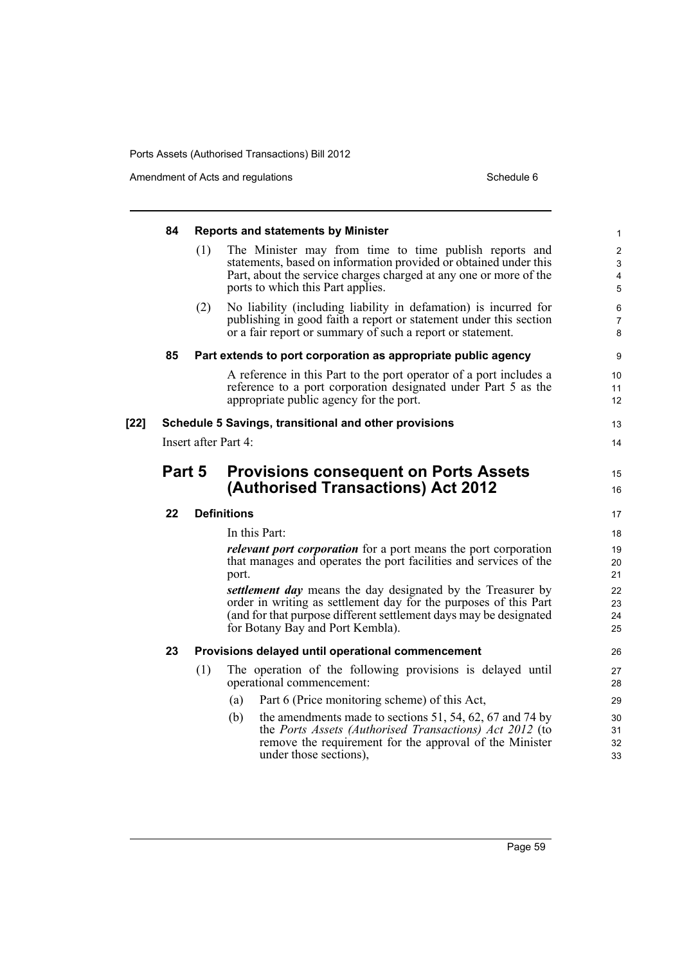Amendment of Acts and regulations Schedule 6

|      | 84                                                    |                                                               | <b>Reports and statements by Minister</b>                                                                                                            | $\mathbf{1}$                 |  |  |  |
|------|-------------------------------------------------------|---------------------------------------------------------------|------------------------------------------------------------------------------------------------------------------------------------------------------|------------------------------|--|--|--|
|      |                                                       | (1)                                                           | The Minister may from time to time publish reports and<br>statements, based on information provided or obtained under this                           | $\boldsymbol{2}$<br>3        |  |  |  |
|      |                                                       |                                                               | Part, about the service charges charged at any one or more of the<br>ports to which this Part applies.                                               | $\overline{\mathbf{4}}$<br>5 |  |  |  |
|      |                                                       | (2)                                                           | No liability (including liability in defamation) is incurred for                                                                                     | 6                            |  |  |  |
|      |                                                       |                                                               | publishing in good faith a report or statement under this section<br>or a fair report or summary of such a report or statement.                      | 7<br>8                       |  |  |  |
|      | 85                                                    | Part extends to port corporation as appropriate public agency |                                                                                                                                                      |                              |  |  |  |
|      |                                                       |                                                               | A reference in this Part to the port operator of a port includes a                                                                                   | 10                           |  |  |  |
|      |                                                       |                                                               | reference to a port corporation designated under Part 5 as the<br>appropriate public agency for the port.                                            | 11<br>12                     |  |  |  |
| [22] | Schedule 5 Savings, transitional and other provisions |                                                               |                                                                                                                                                      |                              |  |  |  |
|      | Insert after Part 4:                                  |                                                               |                                                                                                                                                      |                              |  |  |  |
|      | Part 5                                                |                                                               | <b>Provisions consequent on Ports Assets</b>                                                                                                         |                              |  |  |  |
|      |                                                       |                                                               | (Authorised Transactions) Act 2012                                                                                                                   |                              |  |  |  |
|      | 22                                                    |                                                               | <b>Definitions</b>                                                                                                                                   | 17                           |  |  |  |
|      |                                                       |                                                               | In this Part:                                                                                                                                        | 18                           |  |  |  |
|      |                                                       |                                                               | <i>relevant port corporation</i> for a port means the port corporation<br>that manages and operates the port facilities and services of the<br>port. | 19<br>20<br>21               |  |  |  |
|      |                                                       |                                                               | settlement day means the day designated by the Treasurer by                                                                                          | 22                           |  |  |  |
|      |                                                       |                                                               | order in writing as settlement day for the purposes of this Part<br>(and for that purpose different settlement days may be designated                | 23<br>24                     |  |  |  |
|      |                                                       |                                                               | for Botany Bay and Port Kembla).                                                                                                                     | 25                           |  |  |  |
|      | 23                                                    |                                                               | Provisions delayed until operational commencement                                                                                                    | 26                           |  |  |  |
|      |                                                       | (1)                                                           | The operation of the following provisions is delayed until<br>operational commencement:                                                              |                              |  |  |  |
|      |                                                       |                                                               | Part 6 (Price monitoring scheme) of this Act,<br>(a)                                                                                                 | 29                           |  |  |  |
|      |                                                       |                                                               | the amendments made to sections $51$ , $54$ , $62$ , $67$ and $74$ by<br>(b)<br>the Ports Assets (Authorised Transactions) Act 2012 (to              | 30                           |  |  |  |
|      |                                                       |                                                               | remove the requirement for the approval of the Minister<br>under those sections),                                                                    | 31<br>32<br>33               |  |  |  |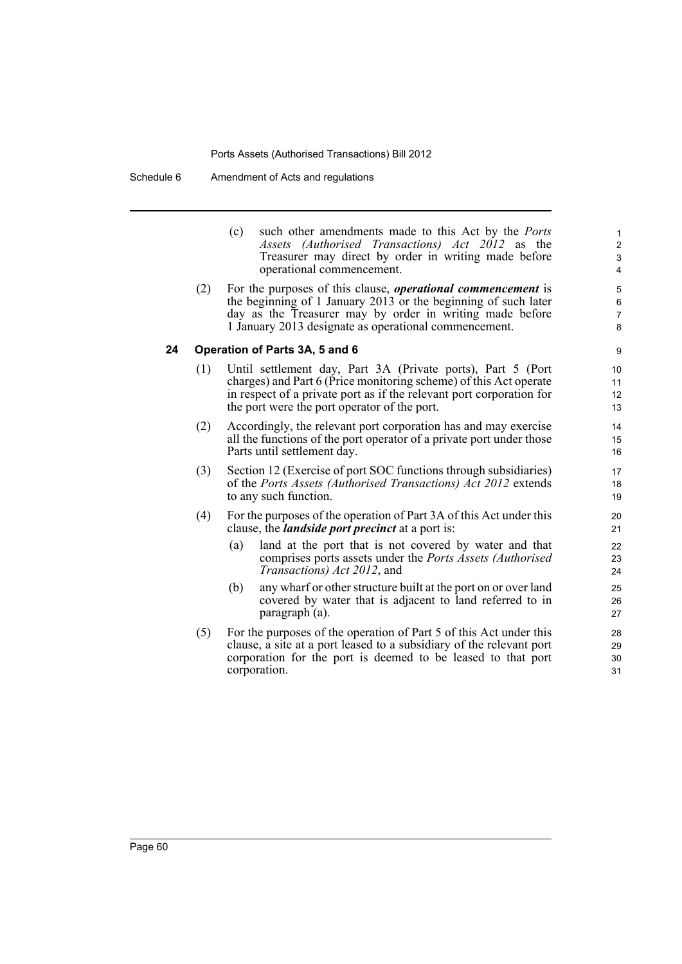Schedule 6 Amendment of Acts and regulations

- (c) such other amendments made to this Act by the *Ports Assets (Authorised Transactions) Act 2012* as the Treasurer may direct by order in writing made before operational commencement.
- (2) For the purposes of this clause, *operational commencement* is the beginning of 1 January 2013 or the beginning of such later day as the Treasurer may by order in writing made before 1 January 2013 designate as operational commencement.

### **24 Operation of Parts 3A, 5 and 6**

- (1) Until settlement day, Part 3A (Private ports), Part 5 (Port charges) and Part 6 (Price monitoring scheme) of this Act operate in respect of a private port as if the relevant port corporation for the port were the port operator of the port.
- (2) Accordingly, the relevant port corporation has and may exercise all the functions of the port operator of a private port under those Parts until settlement day.
- (3) Section 12 (Exercise of port SOC functions through subsidiaries) of the *Ports Assets (Authorised Transactions) Act 2012* extends to any such function.
- (4) For the purposes of the operation of Part 3A of this Act under this clause, the *landside port precinct* at a port is:
	- (a) land at the port that is not covered by water and that comprises ports assets under the *Ports Assets (Authorised Transactions) Act 2012*, and
	- (b) any wharf or other structure built at the port on or over land covered by water that is adjacent to land referred to in paragraph (a).
- (5) For the purposes of the operation of Part 5 of this Act under this clause, a site at a port leased to a subsidiary of the relevant port corporation for the port is deemed to be leased to that port corporation.

30 31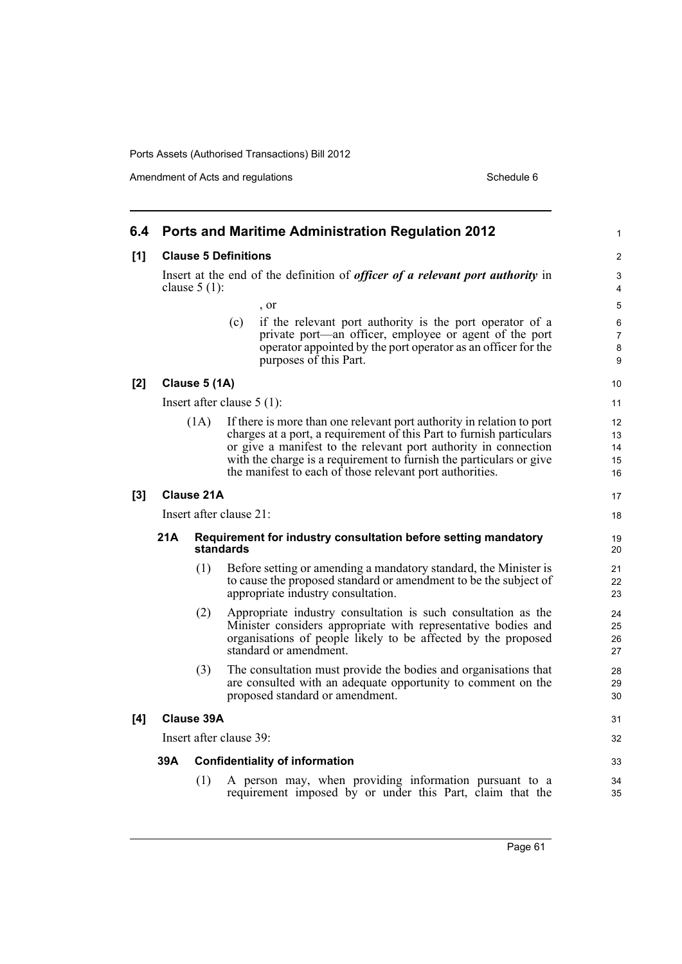Amendment of Acts and regulations Schedule 6

| 6.4 | <b>Ports and Maritime Administration Regulation 2012</b>                                                 |                   |           |                                                                                                                                                                                                                                                                                                                                                     |                                           |  |  |
|-----|----------------------------------------------------------------------------------------------------------|-------------------|-----------|-----------------------------------------------------------------------------------------------------------------------------------------------------------------------------------------------------------------------------------------------------------------------------------------------------------------------------------------------------|-------------------------------------------|--|--|
| [1] | <b>Clause 5 Definitions</b>                                                                              |                   |           |                                                                                                                                                                                                                                                                                                                                                     |                                           |  |  |
|     | Insert at the end of the definition of <i>officer of a relevant port authority</i> in<br>clause $5(1)$ : |                   |           |                                                                                                                                                                                                                                                                                                                                                     |                                           |  |  |
|     |                                                                                                          |                   |           | , or                                                                                                                                                                                                                                                                                                                                                | 5                                         |  |  |
|     |                                                                                                          |                   | (c)       | if the relevant port authority is the port operator of a<br>private port—an officer, employee or agent of the port<br>operator appointed by the port operator as an officer for the<br>purposes of this Part.                                                                                                                                       | 6<br>7<br>8<br>9                          |  |  |
| [2] |                                                                                                          | Clause 5 (1A)     |           |                                                                                                                                                                                                                                                                                                                                                     | 10                                        |  |  |
|     | Insert after clause $5(1)$ :                                                                             |                   |           |                                                                                                                                                                                                                                                                                                                                                     |                                           |  |  |
|     | (1A)                                                                                                     |                   |           | If there is more than one relevant port authority in relation to port<br>charges at a port, a requirement of this Part to furnish particulars<br>or give a manifest to the relevant port authority in connection<br>with the charge is a requirement to furnish the particulars or give<br>the manifest to each of those relevant port authorities. | $12 \overline{ }$<br>13<br>14<br>15<br>16 |  |  |
| [3] |                                                                                                          | <b>Clause 21A</b> |           |                                                                                                                                                                                                                                                                                                                                                     | 17                                        |  |  |
|     | Insert after clause 21:                                                                                  |                   |           |                                                                                                                                                                                                                                                                                                                                                     |                                           |  |  |
|     | 21A                                                                                                      |                   | standards | Requirement for industry consultation before setting mandatory                                                                                                                                                                                                                                                                                      | 19<br>20                                  |  |  |
|     |                                                                                                          | (1)               |           | Before setting or amending a mandatory standard, the Minister is<br>to cause the proposed standard or amendment to be the subject of<br>appropriate industry consultation.                                                                                                                                                                          | 21<br>22<br>23                            |  |  |
|     |                                                                                                          | (2)               |           | Appropriate industry consultation is such consultation as the<br>Minister considers appropriate with representative bodies and<br>organisations of people likely to be affected by the proposed<br>standard or amendment.                                                                                                                           | 24<br>25<br>26<br>27                      |  |  |
|     |                                                                                                          | (3)               |           | The consultation must provide the bodies and organisations that<br>are consulted with an adequate opportunity to comment on the<br>proposed standard or amendment.                                                                                                                                                                                  | 28<br>29<br>30                            |  |  |
| [4] | Clause 39A                                                                                               |                   |           |                                                                                                                                                                                                                                                                                                                                                     |                                           |  |  |
|     | Insert after clause 39:                                                                                  |                   |           |                                                                                                                                                                                                                                                                                                                                                     |                                           |  |  |
|     | 39A<br><b>Confidentiality of information</b>                                                             |                   |           |                                                                                                                                                                                                                                                                                                                                                     |                                           |  |  |
|     |                                                                                                          | (1)               |           | A person may, when providing information pursuant to a<br>requirement imposed by or under this Part, claim that the                                                                                                                                                                                                                                 | 34<br>35                                  |  |  |

Page 61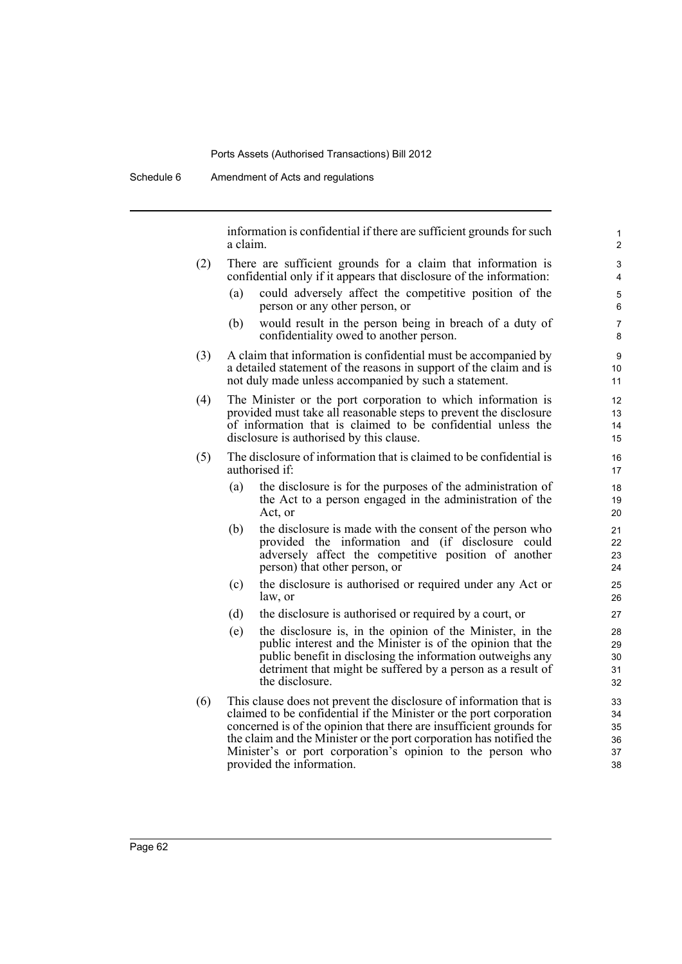information is confidential if there are sufficient grounds for such a claim.

- (2) There are sufficient grounds for a claim that information is confidential only if it appears that disclosure of the information:
	- (a) could adversely affect the competitive position of the person or any other person, or
	- (b) would result in the person being in breach of a duty of confidentiality owed to another person.
- (3) A claim that information is confidential must be accompanied by a detailed statement of the reasons in support of the claim and is not duly made unless accompanied by such a statement.
- (4) The Minister or the port corporation to which information is provided must take all reasonable steps to prevent the disclosure of information that is claimed to be confidential unless the disclosure is authorised by this clause.
- (5) The disclosure of information that is claimed to be confidential is authorised if:
	- (a) the disclosure is for the purposes of the administration of the Act to a person engaged in the administration of the Act, or
	- (b) the disclosure is made with the consent of the person who provided the information and (if disclosure could adversely affect the competitive position of another person) that other person, or
	- (c) the disclosure is authorised or required under any Act or law, or
	- (d) the disclosure is authorised or required by a court, or
	- (e) the disclosure is, in the opinion of the Minister, in the public interest and the Minister is of the opinion that the public benefit in disclosing the information outweighs any detriment that might be suffered by a person as a result of the disclosure.
- (6) This clause does not prevent the disclosure of information that is claimed to be confidential if the Minister or the port corporation concerned is of the opinion that there are insufficient grounds for the claim and the Minister or the port corporation has notified the Minister's or port corporation's opinion to the person who provided the information.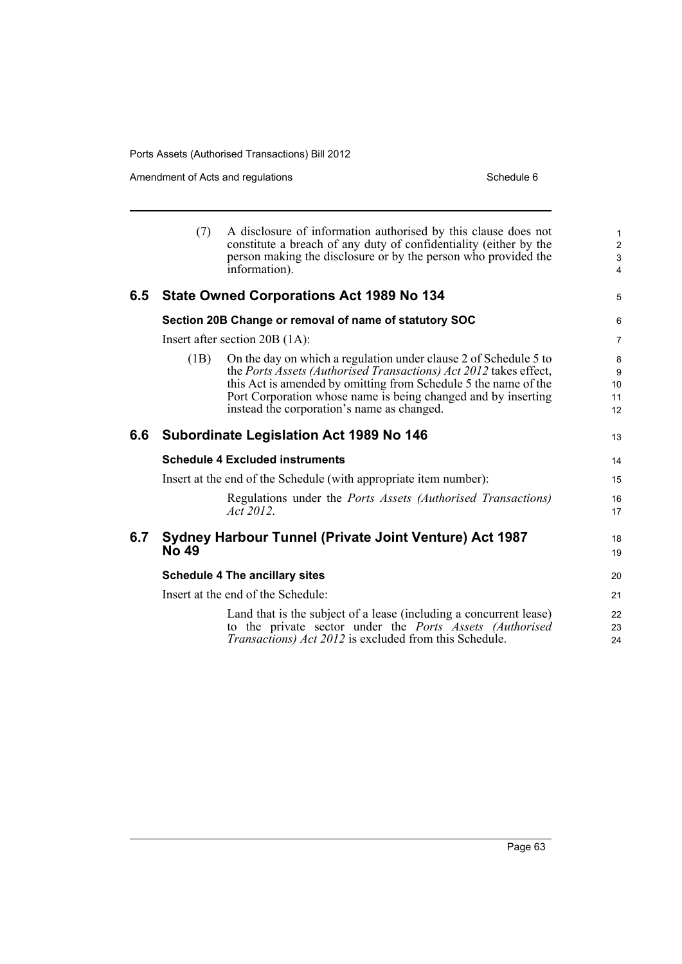Ports Assets (Authorised Transactions) Bill 2012

Amendment of Acts and regulations Schedule 6

|     | (7)                                                                    | A disclosure of information authorised by this clause does not<br>constitute a breach of any duty of confidentiality (either by the<br>person making the disclosure or by the person who provided the<br>information).                                                                                                  | $\mathbf{1}$<br>$\overline{2}$<br>3<br>$\overline{4}$ |
|-----|------------------------------------------------------------------------|-------------------------------------------------------------------------------------------------------------------------------------------------------------------------------------------------------------------------------------------------------------------------------------------------------------------------|-------------------------------------------------------|
| 6.5 | <b>State Owned Corporations Act 1989 No 134</b>                        |                                                                                                                                                                                                                                                                                                                         | 5                                                     |
|     | Section 20B Change or removal of name of statutory SOC                 |                                                                                                                                                                                                                                                                                                                         | 6                                                     |
|     | Insert after section $20B(1A)$ :                                       |                                                                                                                                                                                                                                                                                                                         | $\overline{7}$                                        |
|     | (1B)                                                                   | On the day on which a regulation under clause 2 of Schedule 5 to<br>the Ports Assets (Authorised Transactions) Act 2012 takes effect,<br>this Act is amended by omitting from Schedule 5 the name of the<br>Port Corporation whose name is being changed and by inserting<br>instead the corporation's name as changed. | 8<br>9<br>10 <sup>1</sup><br>11<br>12                 |
| 6.6 | <b>Subordinate Legislation Act 1989 No 146</b>                         |                                                                                                                                                                                                                                                                                                                         | 13                                                    |
|     | <b>Schedule 4 Excluded instruments</b>                                 |                                                                                                                                                                                                                                                                                                                         | 14                                                    |
|     | Insert at the end of the Schedule (with appropriate item number):      |                                                                                                                                                                                                                                                                                                                         | 15                                                    |
|     |                                                                        | Regulations under the <i>Ports Assets (Authorised Transactions)</i><br>Act 2012.                                                                                                                                                                                                                                        | 16<br>17                                              |
| 6.7 | <b>Sydney Harbour Tunnel (Private Joint Venture) Act 1987</b><br>No 49 |                                                                                                                                                                                                                                                                                                                         | 18<br>19                                              |
|     | <b>Schedule 4 The ancillary sites</b>                                  |                                                                                                                                                                                                                                                                                                                         | 20                                                    |
|     | Insert at the end of the Schedule:                                     |                                                                                                                                                                                                                                                                                                                         | 21                                                    |
|     |                                                                        | Land that is the subject of a lease (including a concurrent lease)<br>to the private sector under the Ports Assets (Authorised<br><i>Transactions) Act 2012</i> is excluded from this Schedule.                                                                                                                         | 22<br>23<br>24                                        |